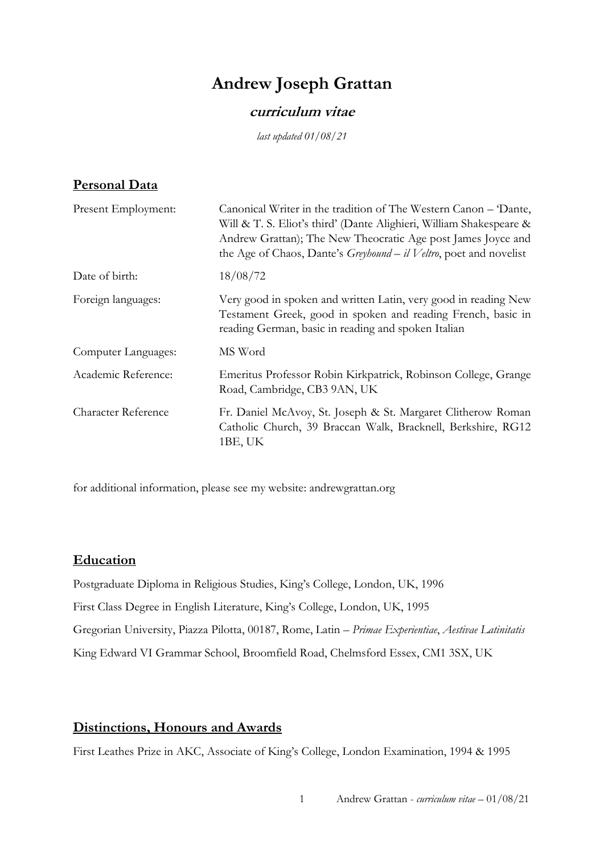# **Andrew Joseph Grattan**

## **curriculum vitae**

*last updated 01/08/21*

## **Personal Data**

| Canonical Writer in the tradition of The Western Canon – Dante,<br>Will & T. S. Eliot's third' (Dante Alighieri, William Shakespeare &<br>Andrew Grattan); The New Theocratic Age post James Joyce and<br>the Age of Chaos, Dante's Greyhound - il Veltro, poet and novelist |
|------------------------------------------------------------------------------------------------------------------------------------------------------------------------------------------------------------------------------------------------------------------------------|
| 18/08/72                                                                                                                                                                                                                                                                     |
| Very good in spoken and written Latin, very good in reading New<br>Testament Greek, good in spoken and reading French, basic in<br>reading German, basic in reading and spoken Italian                                                                                       |
| MS Word                                                                                                                                                                                                                                                                      |
| Emeritus Professor Robin Kirkpatrick, Robinson College, Grange<br>Road, Cambridge, CB3 9AN, UK                                                                                                                                                                               |
| Fr. Daniel McAvoy, St. Joseph & St. Margaret Clitherow Roman<br>Catholic Church, 39 Braccan Walk, Bracknell, Berkshire, RG12<br>1BE, UK                                                                                                                                      |
|                                                                                                                                                                                                                                                                              |

for additional information, please see my website: andrewgrattan.org

## **Education**

Postgraduate Diploma in Religious Studies, King's College, London, UK, 1996 First Class Degree in English Literature, King's College, London, UK, 1995 Gregorian University, Piazza Pilotta, 00187, Rome, Latin – *Primae Experientiae*, *Aestivae Latinitatis* King Edward VI Grammar School, Broomfield Road, Chelmsford Essex, CM1 3SX, UK

## **Distinctions, Honours and Awards**

First Leathes Prize in AKC, Associate of King's College, London Examination, 1994 & 1995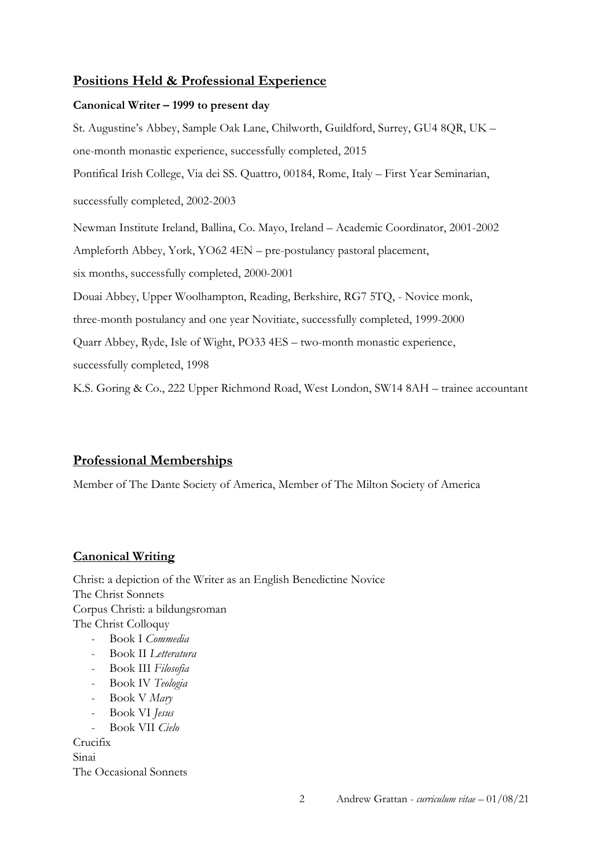## **Positions Held & Professional Experience**

### **Canonical Writer – 1999 to present day**

St. Augustine's Abbey, Sample Oak Lane, Chilworth, Guildford, Surrey, GU4 8QR, UK – one-month monastic experience, successfully completed, 2015 Pontifical Irish College, Via dei SS. Quattro, 00184, Rome, Italy – First Year Seminarian, successfully completed, 2002-2003 Newman Institute Ireland, Ballina, Co. Mayo, Ireland – Academic Coordinator, 2001-2002 Ampleforth Abbey, York, YO62 4EN – pre-postulancy pastoral placement, six months, successfully completed, 2000-2001 Douai Abbey, Upper Woolhampton, Reading, Berkshire, RG7 5TQ, - Novice monk, three-month postulancy and one year Novitiate, successfully completed, 1999-2000 Quarr Abbey, Ryde, Isle of Wight, PO33 4ES – two-month monastic experience, successfully completed, 1998 K.S. Goring & Co., 222 Upper Richmond Road, West London, SW14 8AH – trainee accountant

## **Professional Memberships**

Member of The Dante Society of America, Member of The Milton Society of America

## **Canonical Writing**

Christ: a depiction of the Writer as an English Benedictine Novice The Christ Sonnets Corpus Christi: a bildungsroman The Christ Colloquy - Book I *Commedia*

- Book II *Letteratura*
- Book III *Filosofia*
- Book IV *Teologia*
- Book V *Mary*
- Book VI *Jesus*
- Book VII *Cielo*

Crucifix

Sinai The Occasional Sonnets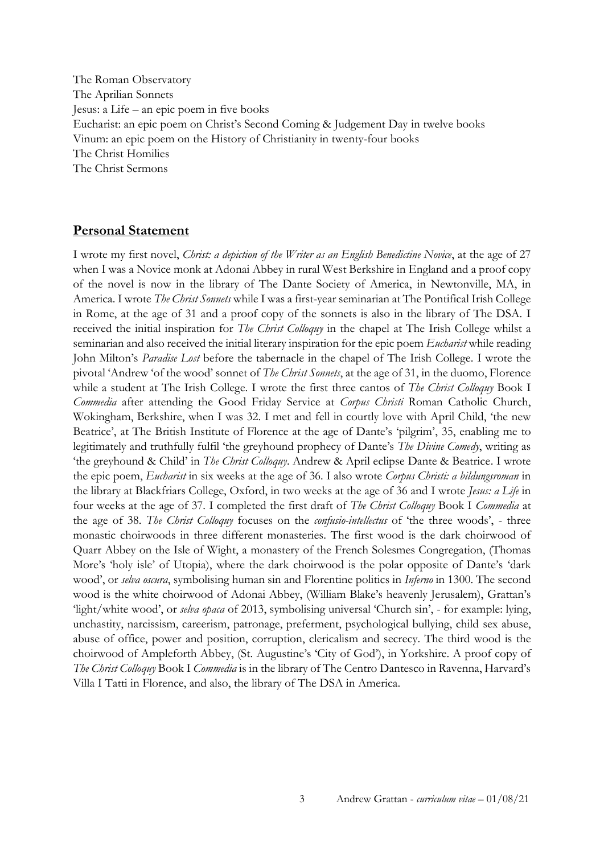The Roman Observatory The Aprilian Sonnets Jesus: a Life – an epic poem in five books Eucharist: an epic poem on Christ's Second Coming & Judgement Day in twelve books Vinum: an epic poem on the History of Christianity in twenty-four books The Christ Homilies The Christ Sermons

## **Personal Statement**

I wrote my first novel, *Christ: a depiction of the Writer as an English Benedictine Novice*, at the age of 27 when I was a Novice monk at Adonai Abbey in rural West Berkshire in England and a proof copy of the novel is now in the library of The Dante Society of America, in Newtonville, MA, in America. I wrote *The Christ Sonnets* while I was a first-year seminarian at The Pontifical Irish College in Rome, at the age of 31 and a proof copy of the sonnets is also in the library of The DSA. I received the initial inspiration for *The Christ Colloquy* in the chapel at The Irish College whilst a seminarian and also received the initial literary inspiration for the epic poem *Eucharist* while reading John Milton's *Paradise Lost* before the tabernacle in the chapel of The Irish College. I wrote the pivotal 'Andrew 'of the wood' sonnet of *The Christ Sonnets*, at the age of 31, in the duomo, Florence while a student at The Irish College. I wrote the first three cantos of *The Christ Colloquy* Book I *Commedia* after attending the Good Friday Service at *Corpus Christi* Roman Catholic Church, Wokingham, Berkshire, when I was 32. I met and fell in courtly love with April Child, 'the new Beatrice', at The British Institute of Florence at the age of Dante's 'pilgrim', 35, enabling me to legitimately and truthfully fulfil 'the greyhound prophecy of Dante's *The Divine Comedy*, writing as 'the greyhound & Child' in *The Christ Colloquy*. Andrew & April eclipse Dante & Beatrice. I wrote the epic poem, *Eucharist* in six weeks at the age of 36. I also wrote *Corpus Christi: a bildungsroman* in the library at Blackfriars College, Oxford, in two weeks at the age of 36 and I wrote *Jesus: a Life* in four weeks at the age of 37. I completed the first draft of *The Christ Colloquy* Book I *Commedia* at the age of 38. *The Christ Colloquy* focuses on the *confusio-intellectus* of 'the three woods', - three monastic choirwoods in three different monasteries. The first wood is the dark choirwood of Quarr Abbey on the Isle of Wight, a monastery of the French Solesmes Congregation, (Thomas More's 'holy isle' of Utopia), where the dark choirwood is the polar opposite of Dante's 'dark wood', or *selva oscura*, symbolising human sin and Florentine politics in *Inferno* in 1300. The second wood is the white choirwood of Adonai Abbey, (William Blake's heavenly Jerusalem), Grattan's 'light/white wood', or *selva opaca* of 2013, symbolising universal 'Church sin', - for example: lying, unchastity, narcissism, careerism, patronage, preferment, psychological bullying, child sex abuse, abuse of office, power and position, corruption, clericalism and secrecy. The third wood is the choirwood of Ampleforth Abbey, (St. Augustine's 'City of God'), in Yorkshire. A proof copy of *The Christ Colloquy* Book I *Commedia* is in the library of The Centro Dantesco in Ravenna, Harvard's Villa I Tatti in Florence, and also, the library of The DSA in America.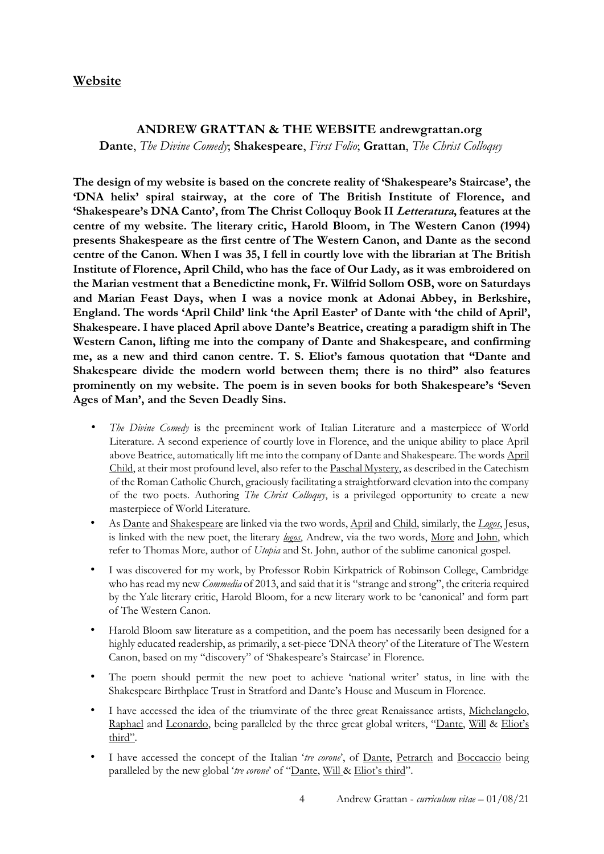## **Website**

### **ANDREW GRATTAN & THE WEBSITE andrewgrattan.org**

**Dante**, *The Divine Comedy*; **Shakespeare**, *First Folio*; **Grattan**, *The Christ Colloquy*

**The design of my website is based on the concrete reality of 'Shakespeare's Staircase', the 'DNA helix' spiral stairway, at the core of The British Institute of Florence, and 'Shakespeare's DNA Canto', from The Christ Colloquy Book II Letteratura, features at the centre of my website. The literary critic, Harold Bloom, in The Western Canon (1994) presents Shakespeare as the first centre of The Western Canon, and Dante as the second centre of the Canon. When I was 35, I fell in courtly love with the librarian at The British Institute of Florence, April Child, who has the face of Our Lady, as it was embroidered on the Marian vestment that a Benedictine monk, Fr. Wilfrid Sollom OSB, wore on Saturdays and Marian Feast Days, when I was a novice monk at Adonai Abbey, in Berkshire, England. The words 'April Child' link 'the April Easter' of Dante with 'the child of April', Shakespeare. I have placed April above Dante's Beatrice, creating a paradigm shift in The Western Canon, lifting me into the company of Dante and Shakespeare, and confirming me, as a new and third canon centre. T. S. Eliot's famous quotation that "Dante and Shakespeare divide the modern world between them; there is no third" also features prominently on my website. The poem is in seven books for both Shakespeare's 'Seven Ages of Man', and the Seven Deadly Sins.**

- *The Divine Comedy* is the preeminent work of Italian Literature and a masterpiece of World Literature. A second experience of courtly love in Florence, and the unique ability to place April above Beatrice, automatically lift me into the company of Dante and Shakespeare. The words April Child, at their most profound level, also refer to the Paschal Mystery, as described in the Catechism of the Roman Catholic Church, graciously facilitating a straightforward elevation into the company of the two poets. Authoring *The Christ Colloquy*, is a privileged opportunity to create a new masterpiece of World Literature.
- As Dante and Shakespeare are linked via the two words, April and Child, similarly, the *Logos*, Jesus, is linked with the new poet, the literary *logos*, Andrew, via the two words, More and John, which refer to Thomas More, author of *Utopia* and St. John, author of the sublime canonical gospel.
- I was discovered for my work, by Professor Robin Kirkpatrick of Robinson College, Cambridge who has read my new *Commedia* of 2013, and said that it is "strange and strong", the criteria required by the Yale literary critic, Harold Bloom, for a new literary work to be 'canonical' and form part of The Western Canon.
- Harold Bloom saw literature as a competition, and the poem has necessarily been designed for a highly educated readership, as primarily, a set-piece 'DNA theory' of the Literature of The Western Canon, based on my "discovery" of 'Shakespeare's Staircase' in Florence.
- The poem should permit the new poet to achieve 'national writer' status, in line with the Shakespeare Birthplace Trust in Stratford and Dante's House and Museum in Florence.
- I have accessed the idea of the triumvirate of the three great Renaissance artists, Michelangelo, Raphael and Leonardo, being paralleled by the three great global writers, "Dante, Will & Eliot's third".
- I have accessed the concept of the Italian 'tre corone', of Dante, Petrarch and Boccaccio being paralleled by the new global '*tre corone*' of "Dante, Will & Eliot's third".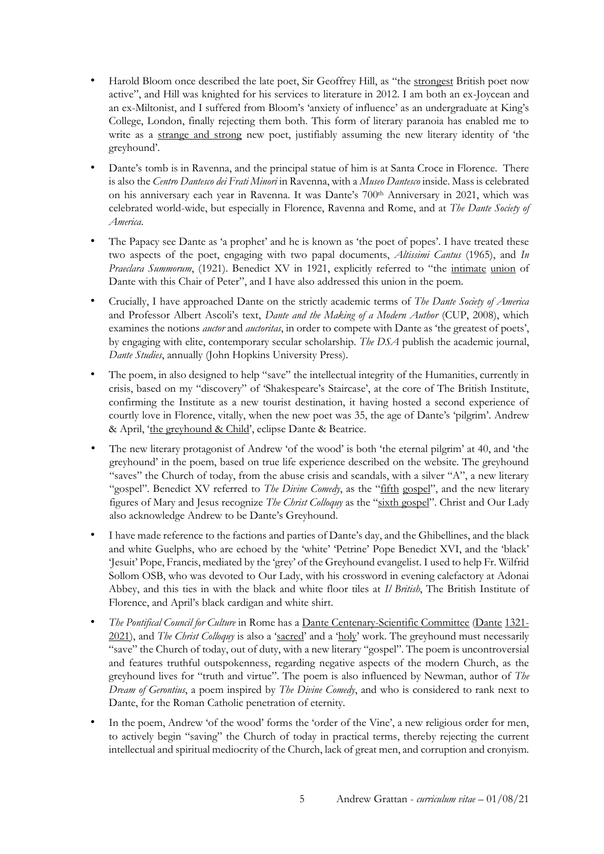- Harold Bloom once described the late poet, Sir Geoffrey Hill, as "the strongest British poet now active", and Hill was knighted for his services to literature in 2012. I am both an ex-Joycean and an ex-Miltonist, and I suffered from Bloom's 'anxiety of influence' as an undergraduate at King's College, London, finally rejecting them both. This form of literary paranoia has enabled me to write as a strange and strong new poet, justifiably assuming the new literary identity of 'the greyhound'.
- Dante's tomb is in Ravenna, and the principal statue of him is at Santa Croce in Florence. There is also the *Centro Dantesco dei Frati Minori* in Ravenna, with a *Museo Dantesco* inside. Mass is celebrated on his anniversary each year in Ravenna. It was Dante's 700th Anniversary in 2021, which was celebrated world-wide, but especially in Florence, Ravenna and Rome, and at *The Dante Society of America*.
- The Papacy see Dante as 'a prophet' and he is known as 'the poet of popes'. I have treated these two aspects of the poet, engaging with two papal documents, *Altissimi Cantus* (1965), and *In Praeclara Summorum*, (1921). Benedict XV in 1921, explicitly referred to "the *intimate union* of Dante with this Chair of Peter", and I have also addressed this union in the poem.
- Crucially, I have approached Dante on the strictly academic terms of *The Dante Society of America* and Professor Albert Ascoli's text, *Dante and the Making of a Modern Author* (CUP, 2008), which examines the notions *auctor* and *auctoritas*, in order to compete with Dante as 'the greatest of poets', by engaging with elite, contemporary secular scholarship. *The DSA* publish the academic journal, *Dante Studies*, annually (John Hopkins University Press).
- The poem, in also designed to help "save" the intellectual integrity of the Humanities, currently in crisis, based on my "discovery" of 'Shakespeare's Staircase', at the core of The British Institute, confirming the Institute as a new tourist destination, it having hosted a second experience of courtly love in Florence, vitally, when the new poet was 35, the age of Dante's 'pilgrim'. Andrew & April, 'the greyhound & Child', eclipse Dante & Beatrice.
- The new literary protagonist of Andrew 'of the wood' is both 'the eternal pilgrim' at 40, and 'the greyhound' in the poem, based on true life experience described on the website. The greyhound "saves" the Church of today, from the abuse crisis and scandals, with a silver "A", a new literary "gospel". Benedict XV referred to *The Divine Comedy*, as the "fifth gospel", and the new literary figures of Mary and Jesus recognize *The Christ Colloquy* as the "sixth gospel". Christ and Our Lady also acknowledge Andrew to be Dante's Greyhound.
- I have made reference to the factions and parties of Dante's day, and the Ghibellines, and the black and white Guelphs, who are echoed by the 'white' 'Petrine' Pope Benedict XVI, and the 'black' 'Jesuit' Pope, Francis, mediated by the 'grey' of the Greyhound evangelist. I used to help Fr. Wilfrid Sollom OSB, who was devoted to Our Lady, with his crossword in evening calefactory at Adonai Abbey, and this ties in with the black and white floor tiles at *Il British*, The British Institute of Florence, and April's black cardigan and white shirt.
- *The Pontifical Council for Culture* in Rome has a Dante Centenary-Scientific Committee (Dante 1321-2021), and *The Christ Colloquy* is also a 'sacred' and a 'holy' work. The greyhound must necessarily "save" the Church of today, out of duty, with a new literary "gospel". The poem is uncontroversial and features truthful outspokenness, regarding negative aspects of the modern Church, as the greyhound lives for "truth and virtue". The poem is also influenced by Newman, author of *The Dream of Gerontius*, a poem inspired by *The Divine Comedy*, and who is considered to rank next to Dante, for the Roman Catholic penetration of eternity.
- In the poem, Andrew 'of the wood' forms the 'order of the Vine', a new religious order for men, to actively begin "saving" the Church of today in practical terms, thereby rejecting the current intellectual and spiritual mediocrity of the Church, lack of great men, and corruption and cronyism.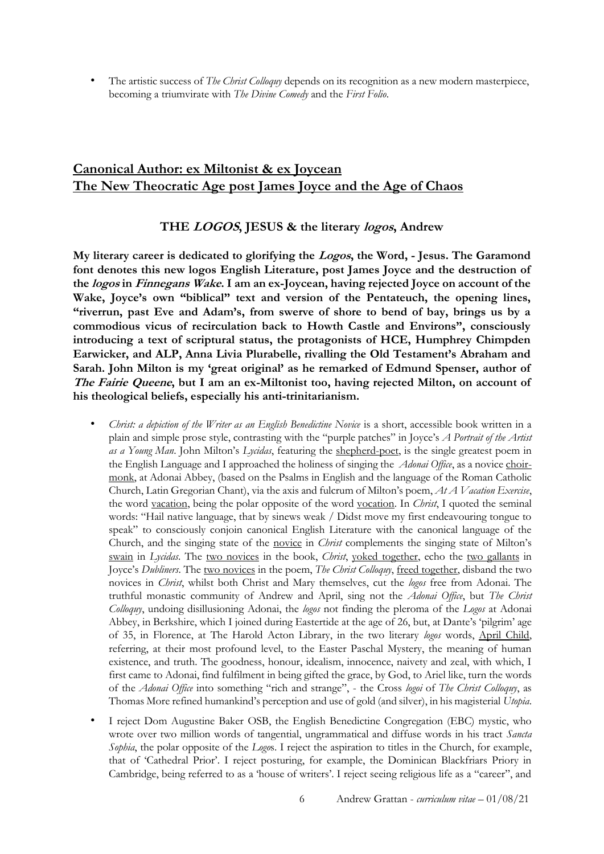• The artistic success of *The Christ Colloquy* depends on its recognition as a new modern masterpiece, becoming a triumvirate with *The Divine Comedy* and the *First Folio*.

## **Canonical Author: ex Miltonist & ex Joycean The New Theocratic Age post James Joyce and the Age of Chaos**

### **THE LOGOS, JESUS & the literary logos, Andrew**

**My literary career is dedicated to glorifying the Logos, the Word, - Jesus. The Garamond font denotes this new logos English Literature, post James Joyce and the destruction of the logos in Finnegans Wake. I am an ex-Joycean, having rejected Joyce on account of the Wake, Joyce's own "biblical" text and version of the Pentateuch, the opening lines, "riverrun, past Eve and Adam's, from swerve of shore to bend of bay, brings us by a commodious vicus of recirculation back to Howth Castle and Environs", consciously introducing a text of scriptural status, the protagonists of HCE, Humphrey Chimpden Earwicker, and ALP, Anna Livia Plurabelle, rivalling the Old Testament's Abraham and Sarah. John Milton is my 'great original' as he remarked of Edmund Spenser, author of The Fairie Queene, but I am an ex-Miltonist too, having rejected Milton, on account of his theological beliefs, especially his anti-trinitarianism.**

- *Christ: a depiction of the Writer as an English Benedictine Novice* is a short, accessible book written in a plain and simple prose style, contrasting with the "purple patches" in Joyce's *A Portrait of the Artist as a Young Man*. John Milton's *Lycidas*, featuring the shepherd-poet, is the single greatest poem in the English Language and I approached the holiness of singing the *Adonai Office*, as a novice choirmonk, at Adonai Abbey, (based on the Psalms in English and the language of the Roman Catholic Church, Latin Gregorian Chant), via the axis and fulcrum of Milton's poem, *At A Vacation Exercise*, the word vacation, being the polar opposite of the word vocation. In *Christ*, I quoted the seminal words: "Hail native language, that by sinews weak / Didst move my first endeavouring tongue to speak" to consciously conjoin canonical English Literature with the canonical language of the Church, and the singing state of the novice in *Christ* complements the singing state of Milton's swain in *Lycidas*. The two novices in the book, *Christ*, yoked together, echo the two gallants in Joyce's *Dubliners*. The two novices in the poem, *The Christ Colloquy*, freed together, disband the two novices in *Christ*, whilst both Christ and Mary themselves, cut the *logos* free from Adonai. The truthful monastic community of Andrew and April, sing not the *Adonai Office*, but *The Christ Colloquy*, undoing disillusioning Adonai, the *logos* not finding the pleroma of the *Logos* at Adonai Abbey, in Berkshire, which I joined during Eastertide at the age of 26, but, at Dante's 'pilgrim' age of 35, in Florence, at The Harold Acton Library, in the two literary *logos* words, April Child, referring, at their most profound level, to the Easter Paschal Mystery, the meaning of human existence, and truth. The goodness, honour, idealism, innocence, naivety and zeal, with which, I first came to Adonai, find fulfilment in being gifted the grace, by God, to Ariel like, turn the words of the *Adonai Office* into something "rich and strange", - the Cross *logoi* of *The Christ Colloquy*, as Thomas More refined humankind's perception and use of gold (and silver), in his magisterial *Utopia*.
- I reject Dom Augustine Baker OSB, the English Benedictine Congregation (EBC) mystic, who wrote over two million words of tangential, ungrammatical and diffuse words in his tract *Sancta Sophia*, the polar opposite of the *Logo*s. I reject the aspiration to titles in the Church, for example, that of 'Cathedral Prior'. I reject posturing, for example, the Dominican Blackfriars Priory in Cambridge, being referred to as a 'house of writers'. I reject seeing religious life as a "career", and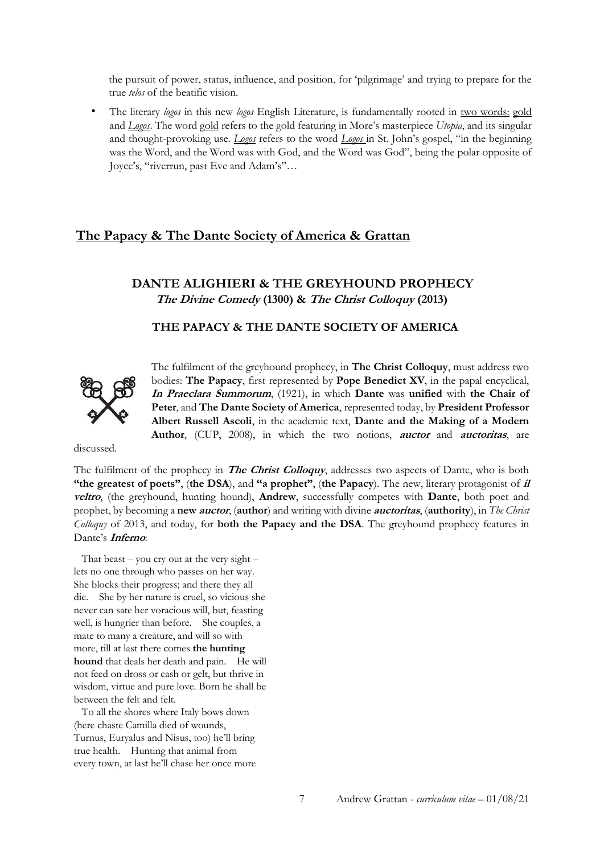the pursuit of power, status, influence, and position, for 'pilgrimage' and trying to prepare for the true *telos* of the beatific vision.

• The literary *logos* in this new *logos* English Literature, is fundamentally rooted in two words: gold and *Logos*. The word gold refers to the gold featuring in More's masterpiece *Utopia*, and its singular and thought-provoking use. *Logos* refers to the word *Logos* in St. John's gospel, "in the beginning was the Word, and the Word was with God, and the Word was God", being the polar opposite of Joyce's, "riverrun, past Eve and Adam's"…

## **The Papacy & The Dante Society of America & Grattan**

## **DANTE ALIGHIERI & THE GREYHOUND PROPHECY The Divine Comedy (1300) & The Christ Colloquy (2013)**

## **THE PAPACY & THE DANTE SOCIETY OF AMERICA**



The fulfilment of the greyhound prophecy, in **The Christ Colloquy**, must address two bodies: **The Papacy**, first represented by **Pope Benedict XV**, in the papal encyclical, **In Praeclara Summorum**, (1921), in which **Dante** was **unified** with **the Chair of Peter**, and **The Dante Society of America**, represented today, by **President Professor Albert Russell Ascoli**, in the academic text, **Dante and the Making of a Modern Author**, (CUP, 2008), in which the two notions, **auctor** and **auctoritas**, are

discussed.

The fulfilment of the prophecy in **The Christ Colloquy**, addresses two aspects of Dante, who is both **"the greatest of poets"**, (**the DSA**), and **"a prophet"**, (**the Papacy**). The new, literary protagonist of **il veltro**, (the greyhound, hunting hound), **Andrew**, successfully competes with **Dante**, both poet and prophet, by becoming a **new auctor**, (**author**) and writing with divine **auctoritas**, (**authority**), in *The Christ Colloquy* of 2013, and today, for **both the Papacy and the DSA**. The greyhound prophecy features in Dante's **Inferno**:

That beast – you cry out at the very sight – lets no one through who passes on her way. She blocks their progress; and there they all die. She by her nature is cruel, so vicious she never can sate her voracious will, but, feasting well, is hungrier than before. She couples, a mate to many a creature, and will so with more, till at last there comes **the hunting hound** that deals her death and pain. He will not feed on dross or cash or gelt, but thrive in wisdom, virtue and pure love. Born he shall be between the felt and felt.

 To all the shores where Italy bows down (here chaste Camilla died of wounds, Turnus, Euryalus and Nisus, too) he'll bring true health. Hunting that animal from every town, at last he'll chase her once more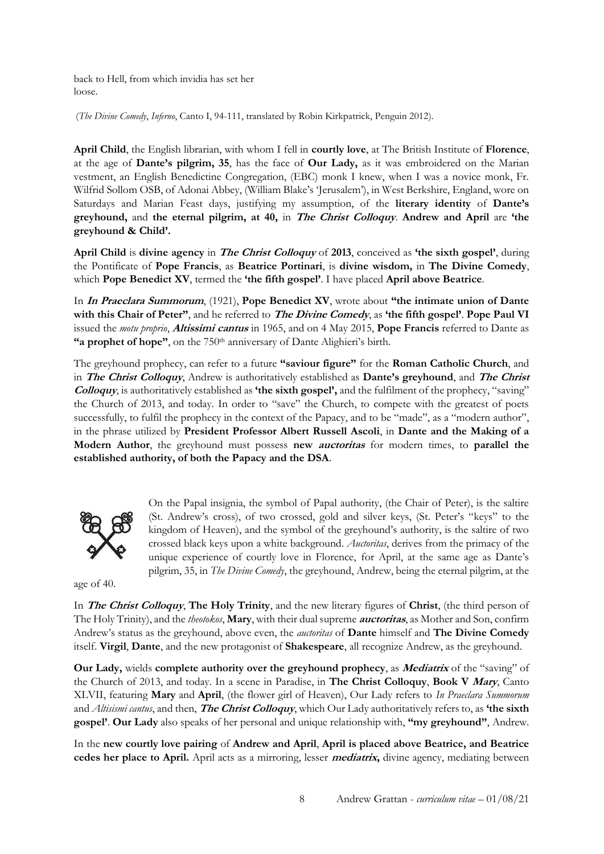back to Hell, from which invidia has set her loose.

(*The Divine Comedy*, *Inferno*, Canto I, 94-111, translated by Robin Kirkpatrick, Penguin 2012).

**April Child**, the English librarian, with whom I fell in **courtly love**, at The British Institute of **Florence**, at the age of **Dante's pilgrim, 35**, has the face of **Our Lady,** as it was embroidered on the Marian vestment, an English Benedictine Congregation, (EBC) monk I knew, when I was a novice monk, Fr. Wilfrid Sollom OSB, of Adonai Abbey, (William Blake's 'Jerusalem'), in West Berkshire, England, wore on Saturdays and Marian Feast days, justifying my assumption, of the **literary identity** of **Dante's greyhound,** and **the eternal pilgrim, at 40,** in **The Christ Colloquy**. **Andrew and April** are **'the greyhound & Child'.**

**April Child** is **divine agency** in **The Christ Colloquy** of **2013**, conceived as **'the sixth gospel'**, during the Pontificate of **Pope Francis**, as **Beatrice Portinari**, is **divine wisdom,** in **The Divine Comedy**, which **Pope Benedict XV**, termed the **'the fifth gospel'**. I have placed **April above Beatrice**.

In **In Praeclara Summorum**, (1921), **Pope Benedict XV**, wrote about **"the intimate union of Dante with this Chair of Peter"**, and he referred to **The Divine Comedy**, as **'the fifth gospel'**. **Pope Paul VI** issued the *motu proprio*, **Altissimi cantus** in 1965, and on 4 May 2015, **Pope Francis** referred to Dante as **"a prophet of hope"**, on the 750<sup>th</sup> anniversary of Dante Alighieri's birth.

The greyhound prophecy, can refer to a future **"saviour figure"** for the **Roman Catholic Church**, and in **The Christ Colloquy**, Andrew is authoritatively established as **Dante's greyhound**, and **The Christ Colloquy**, is authoritatively established as **'the sixth gospel',** and the fulfilment of the prophecy, "saving" the Church of 2013, and today. In order to "save" the Church, to compete with the greatest of poets successfully, to fulfil the prophecy in the context of the Papacy, and to be "made", as a "modern author", in the phrase utilized by **President Professor Albert Russell Ascoli**, in **Dante and the Making of a Modern Author**, the greyhound must possess **new auctoritas** for modern times, to **parallel the established authority, of both the Papacy and the DSA**.



On the Papal insignia, the symbol of Papal authority, (the Chair of Peter), is the saltire (St. Andrew's cross), of two crossed, gold and silver keys, (St. Peter's "keys" to the kingdom of Heaven), and the symbol of the greyhound's authority, is the saltire of two crossed black keys upon a white background. *Auctoritas*, derives from the primacy of the unique experience of courtly love in Florence, for April, at the same age as Dante's pilgrim, 35, in *The Divine Comedy*, the greyhound, Andrew, being the eternal pilgrim, at the

age of 40.

In **The Christ Colloquy**, **The Holy Trinity**, and the new literary figures of **Christ**, (the third person of The Holy Trinity), and the *theotokos*, **Mary**, with their dual supreme **auctoritas**, as Mother and Son, confirm Andrew's status as the greyhound, above even, the *auctoritas* of **Dante** himself and **The Divine Comedy** itself. **Virgil**, **Dante**, and the new protagonist of **Shakespeare**, all recognize Andrew, as the greyhound.

**Our Lady,** wields **complete authority over the greyhound prophecy**, as **Mediatrix** of the "saving" of the Church of 2013, and today. In a scene in Paradise, in **The Christ Colloquy**, **Book V Mary**, Canto XLVII, featuring **Mary** and **April**, (the flower girl of Heaven), Our Lady refers to *In Praeclara Summorum* and *Altisismi cantus*, and then, **The Christ Colloquy**, which Our Lady authoritatively refers to, as **'the sixth gospel'**. **Our Lady** also speaks of her personal and unique relationship with, **"my greyhound"**, Andrew.

In the **new courtly love pairing** of **Andrew and April**, **April is placed above Beatrice, and Beatrice cedes her place to April.** April acts as a mirroring, lesser **mediatrix,** divine agency, mediating between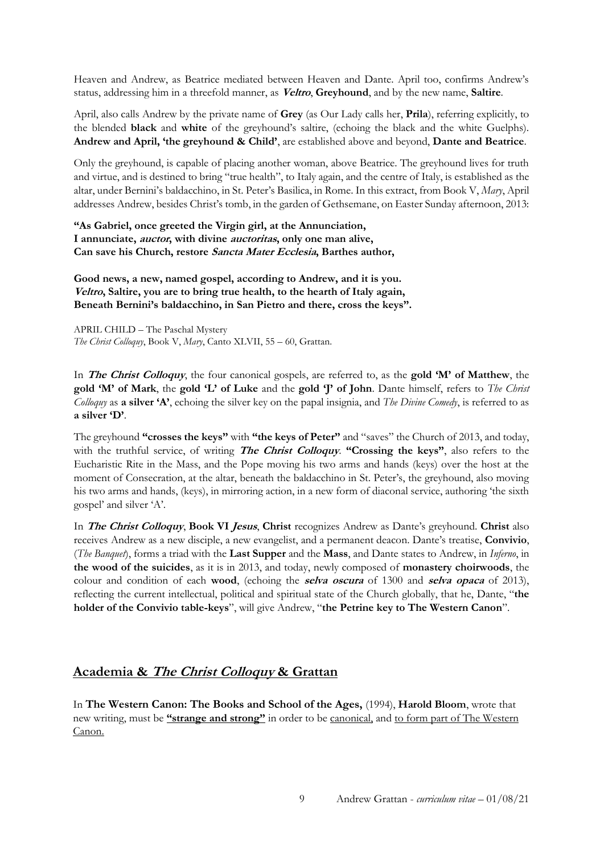Heaven and Andrew, as Beatrice mediated between Heaven and Dante. April too, confirms Andrew's status, addressing him in a threefold manner, as **Veltro**, **Greyhound**, and by the new name, **Saltire**.

April, also calls Andrew by the private name of **Grey** (as Our Lady calls her, **Prila**), referring explicitly, to the blended **black** and **white** of the greyhound's saltire, (echoing the black and the white Guelphs). **Andrew and April, 'the greyhound & Child'**, are established above and beyond, **Dante and Beatrice**.

Only the greyhound, is capable of placing another woman, above Beatrice. The greyhound lives for truth and virtue, and is destined to bring "true health", to Italy again, and the centre of Italy, is established as the altar, under Bernini's baldacchino, in St. Peter's Basilica, in Rome. In this extract, from Book V, *Mary*, April addresses Andrew, besides Christ's tomb, in the garden of Gethsemane, on Easter Sunday afternoon, 2013:

**"As Gabriel, once greeted the Virgin girl, at the Annunciation, I annunciate, auctor, with divine auctoritas, only one man alive, Can save his Church, restore Sancta Mater Ecclesia, Barthes author,** 

**Good news, a new, named gospel, according to Andrew, and it is you. Veltro, Saltire, you are to bring true health, to the hearth of Italy again, Beneath Bernini's baldacchino, in San Pietro and there, cross the keys".** 

APRIL CHILD – The Paschal Mystery *The Christ Colloquy*, Book V, *Mary*, Canto XLVII, 55 – 60, Grattan.

In **The Christ Colloquy**, the four canonical gospels, are referred to, as the **gold 'M' of Matthew**, the **gold 'M' of Mark**, the **gold 'L' of Luke** and the **gold 'J' of John**. Dante himself, refers to *The Christ Colloquy* as **a silver 'A'**, echoing the silver key on the papal insignia, and *The Divine Comedy*, is referred to as **a silver 'D'**.

The greyhound **"crosses the keys"** with **"the keys of Peter"** and "saves" the Church of 2013, and today, with the truthful service, of writing **The Christ Colloquy**. **"Crossing the keys"**, also refers to the Eucharistic Rite in the Mass, and the Pope moving his two arms and hands (keys) over the host at the moment of Consecration, at the altar, beneath the baldacchino in St. Peter's, the greyhound, also moving his two arms and hands, (keys), in mirroring action, in a new form of diaconal service, authoring 'the sixth gospel' and silver 'A'.

In **The Christ Colloquy**, **Book VI Jesus**, **Christ** recognizes Andrew as Dante's greyhound. **Christ** also receives Andrew as a new disciple, a new evangelist, and a permanent deacon. Dante's treatise, **Convivio**, (*The Banquet*), forms a triad with the **Last Supper** and the **Mass**, and Dante states to Andrew, in *Inferno*, in **the wood of the suicides**, as it is in 2013, and today, newly composed of **monastery choirwoods**, the colour and condition of each **wood**, (echoing the **selva oscura** of 1300 and **selva opaca** of 2013), reflecting the current intellectual, political and spiritual state of the Church globally, that he, Dante, "**the holder of the Convivio table-keys**", will give Andrew, "**the Petrine key to The Western Canon**".

## **Academia & The Christ Colloquy & Grattan**

In **The Western Canon: The Books and School of the Ages,** (1994), **Harold Bloom**, wrote that new writing, must be **"strange and strong"** in order to be canonical, and to form part of The Western Canon.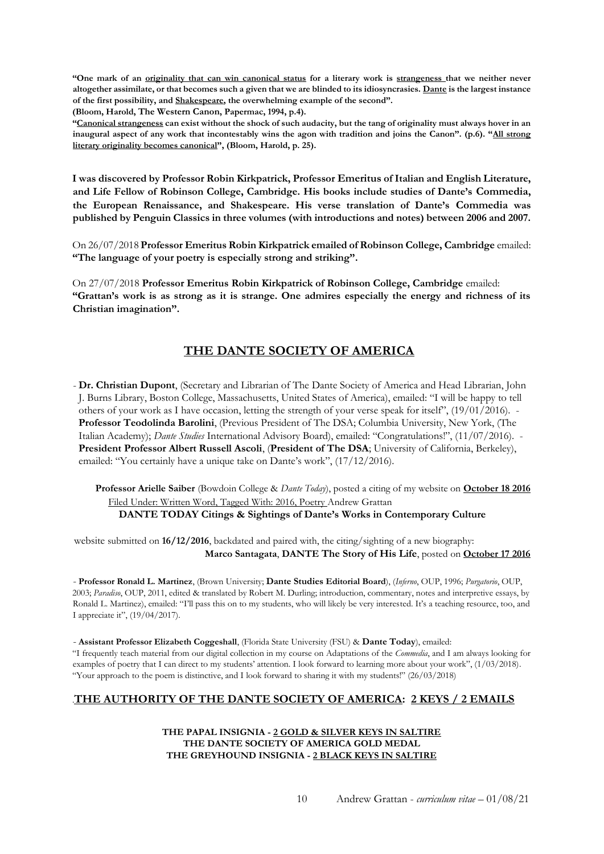**"One mark of an originality that can win canonical status for a literary work is strangeness that we neither never altogether assimilate, or that becomes such a given that we are blinded to its idiosyncrasies. Dante is the largest instance of the first possibility, and Shakespeare, the overwhelming example of the second".** 

**(Bloom, Harold, The Western Canon, Papermac, 1994, p.4).** 

**"Canonical strangeness can exist without the shock of such audacity, but the tang of originality must always hover in an inaugural aspect of any work that incontestably wins the agon with tradition and joins the Canon". (p.6). "All strong literary originality becomes canonical", (Bloom, Harold, p. 25).** 

**I was discovered by Professor Robin Kirkpatrick, Professor Emeritus of Italian and English Literature, and Life Fellow of Robinson College, Cambridge. His books include studies of Dante's Commedia, the European Renaissance, and Shakespeare. His verse translation of Dante's Commedia was published by Penguin Classics in three volumes (with introductions and notes) between 2006 and 2007.** 

On 26/07/2018 **Professor Emeritus Robin Kirkpatrick emailed of Robinson College, Cambridge** emailed: **"The language of your poetry is especially strong and striking".**

On 27/07/2018 **Professor Emeritus Robin Kirkpatrick of Robinson College, Cambridge** emailed: **"Grattan's work is as strong as it is strange. One admires especially the energy and richness of its Christian imagination".**

## **THE DANTE SOCIETY OF AMERICA**

- **Dr. Christian Dupont**, (Secretary and Librarian of The Dante Society of America and Head Librarian, John J. Burns Library, Boston College, Massachusetts, United States of America), emailed: "I will be happy to tell others of your work as I have occasion, letting the strength of your verse speak for itself", (19/01/2016). - **Professor Teodolinda Barolini**, (Previous President of The DSA; Columbia University, New York, (The Italian Academy); *Dante Studies* International Advisory Board), emailed: "Congratulations!", (11/07/2016). - **President Professor Albert Russell Ascoli**, (**President of The DSA**; University of California, Berkeley), emailed: "You certainly have a unique take on Dante's work", (17/12/2016).

**Professor Arielle Saiber** (Bowdoin College & *Dante Today*), posted a citing of my website on **October 18 2016** Filed Under: Written Word, Tagged With: 2016, Poetry Andrew Grattan **DANTE TODAY Citings & Sightings of Dante's Works in Contemporary Culture** 

website submitted on **16/12/2016**, backdated and paired with, the citing/sighting of a new biography: **Marco Santagata**, **DANTE The Story of His Life**, posted on **October 17 2016**

- **Professor Ronald L. Martinez**, (Brown University; **Dante Studies Editorial Board**), (*Inferno*, OUP, 1996; *Purgatorio*, OUP, 2003; *Paradiso*, OUP, 2011, edited & translated by Robert M. Durling; introduction, commentary, notes and interpretive essays, by Ronald L. Martinez), emailed: "I'll pass this on to my students, who will likely be very interested. It's a teaching resource, too, and I appreciate it", (19/04/2017).

- **Assistant Professor Elizabeth Coggeshall**, (Florida State University (FSU) & **Dante Today**), emailed: "I frequently teach material from our digital collection in my course on Adaptations of the *Commedia*, and I am always looking for examples of poetry that I can direct to my students' attention. I look forward to learning more about your work", (1/03/2018). "Your approach to the poem is distinctive, and I look forward to sharing it with my students!" (26/03/2018)

### .**THE AUTHORITY OF THE DANTE SOCIETY OF AMERICA: 2 KEYS / 2 EMAILS**

**THE PAPAL INSIGNIA - 2 GOLD & SILVER KEYS IN SALTIRE THE DANTE SOCIETY OF AMERICA GOLD MEDAL THE GREYHOUND INSIGNIA - 2 BLACK KEYS IN SALTIRE**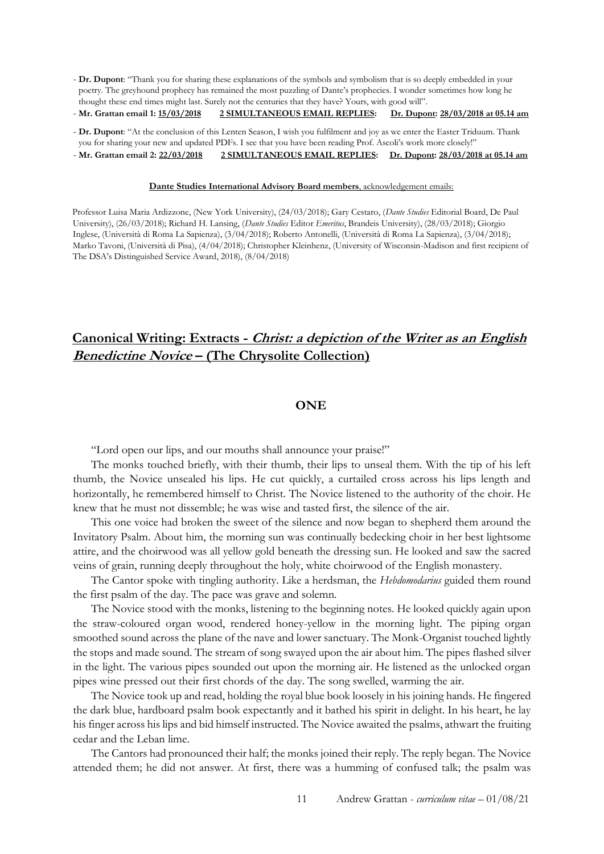- **Dr. Dupont**: "Thank you for sharing these explanations of the symbols and symbolism that is so deeply embedded in your poetry. The greyhound prophecy has remained the most puzzling of Dante's prophecies. I wonder sometimes how long he thought these end times might last. Surely not the centuries that they have? Yours, with good will".

- **Mr. Grattan email 1: 15/03/2018 2 SIMULTANEOUS EMAIL REPLIES: Dr. Dupont: 28/03/2018 at 05.14 am**

- **Dr. Dupont**: "At the conclusion of this Lenten Season, I wish you fulfilment and joy as we enter the Easter Triduum. Thank you for sharing your new and updated PDFs. I see that you have been reading Prof. Ascoli's work more closely!"

- **Mr. Grattan email 2: 22/03/2018 2 SIMULTANEOUS EMAIL REPLIES: Dr. Dupont: 28/03/2018 at 05.14 am**

#### **Dante Studies International Advisory Board members**, acknowledgement emails:

Professor Luisa Maria Ardizzone, (New York University), (24/03/2018); Gary Cestaro, (*Dante Studies* Editorial Board, De Paul University), (26/03/2018); Richard H. Lansing, (*Dante Studies* Editor *Emeritus*, Brandeis University), (28/03/2018); Giorgio Inglese, (Università di Roma La Sapienza), (3/04/2018); Roberto Antonelli, (Università di Roma La Sapienza), (3/04/2018); Marko Tavoni, (Università di Pisa), (4/04/2018); Christopher Kleinhenz, (University of Wisconsin-Madison and first recipient of The DSA's Distinguished Service Award, 2018), (8/04/2018)

## **Canonical Writing: Extracts - Christ: a depiction of the Writer as an English Benedictine Novice – (The Chrysolite Collection)**

#### **ONE**

"Lord open our lips, and our mouths shall announce your praise!"

The monks touched briefly, with their thumb, their lips to unseal them. With the tip of his left thumb, the Novice unsealed his lips. He cut quickly, a curtailed cross across his lips length and horizontally, he remembered himself to Christ. The Novice listened to the authority of the choir. He knew that he must not dissemble; he was wise and tasted first, the silence of the air.

This one voice had broken the sweet of the silence and now began to shepherd them around the Invitatory Psalm. About him, the morning sun was continually bedecking choir in her best lightsome attire, and the choirwood was all yellow gold beneath the dressing sun. He looked and saw the sacred veins of grain, running deeply throughout the holy, white choirwood of the English monastery.

The Cantor spoke with tingling authority. Like a herdsman, the *Hebdomodarius* guided them round the first psalm of the day. The pace was grave and solemn.

The Novice stood with the monks, listening to the beginning notes. He looked quickly again upon the straw-coloured organ wood, rendered honey-yellow in the morning light. The piping organ smoothed sound across the plane of the nave and lower sanctuary. The Monk-Organist touched lightly the stops and made sound. The stream of song swayed upon the air about him. The pipes flashed silver in the light. The various pipes sounded out upon the morning air. He listened as the unlocked organ pipes wine pressed out their first chords of the day. The song swelled, warming the air.

The Novice took up and read, holding the royal blue book loosely in his joining hands. He fingered the dark blue, hardboard psalm book expectantly and it bathed his spirit in delight. In his heart, he lay his finger across his lips and bid himself instructed. The Novice awaited the psalms, athwart the fruiting cedar and the Leban lime.

The Cantors had pronounced their half; the monks joined their reply. The reply began. The Novice attended them; he did not answer. At first, there was a humming of confused talk; the psalm was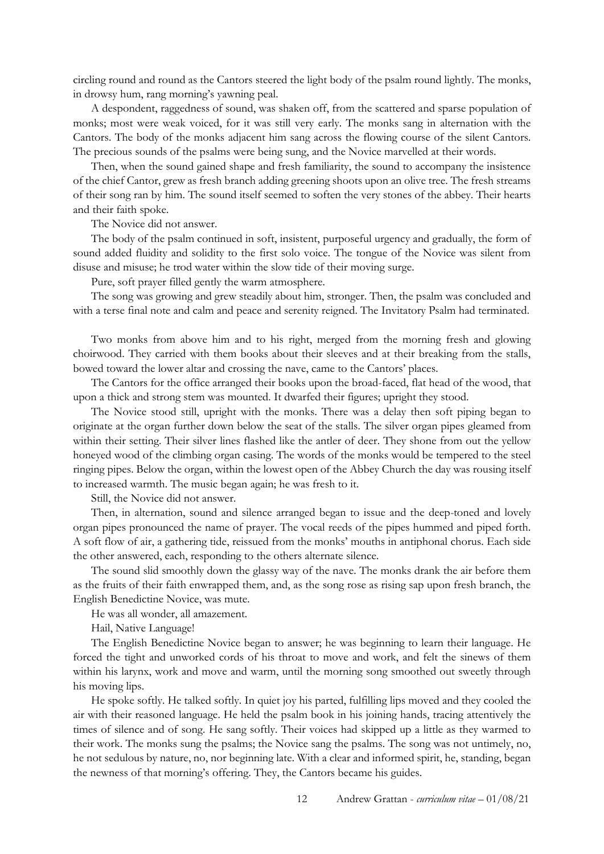circling round and round as the Cantors steered the light body of the psalm round lightly. The monks, in drowsy hum, rang morning's yawning peal.

A despondent, raggedness of sound, was shaken off, from the scattered and sparse population of monks; most were weak voiced, for it was still very early. The monks sang in alternation with the Cantors. The body of the monks adjacent him sang across the flowing course of the silent Cantors. The precious sounds of the psalms were being sung, and the Novice marvelled at their words.

Then, when the sound gained shape and fresh familiarity, the sound to accompany the insistence of the chief Cantor, grew as fresh branch adding greening shoots upon an olive tree. The fresh streams of their song ran by him. The sound itself seemed to soften the very stones of the abbey. Their hearts and their faith spoke.

The Novice did not answer.

The body of the psalm continued in soft, insistent, purposeful urgency and gradually, the form of sound added fluidity and solidity to the first solo voice. The tongue of the Novice was silent from disuse and misuse; he trod water within the slow tide of their moving surge.

Pure, soft prayer filled gently the warm atmosphere.

The song was growing and grew steadily about him, stronger. Then, the psalm was concluded and with a terse final note and calm and peace and serenity reigned. The Invitatory Psalm had terminated.

Two monks from above him and to his right, merged from the morning fresh and glowing choirwood. They carried with them books about their sleeves and at their breaking from the stalls, bowed toward the lower altar and crossing the nave, came to the Cantors' places.

The Cantors for the office arranged their books upon the broad-faced, flat head of the wood, that upon a thick and strong stem was mounted. It dwarfed their figures; upright they stood.

The Novice stood still, upright with the monks. There was a delay then soft piping began to originate at the organ further down below the seat of the stalls. The silver organ pipes gleamed from within their setting. Their silver lines flashed like the antler of deer. They shone from out the yellow honeyed wood of the climbing organ casing. The words of the monks would be tempered to the steel ringing pipes. Below the organ, within the lowest open of the Abbey Church the day was rousing itself to increased warmth. The music began again; he was fresh to it.

Still, the Novice did not answer.

Then, in alternation, sound and silence arranged began to issue and the deep-toned and lovely organ pipes pronounced the name of prayer. The vocal reeds of the pipes hummed and piped forth. A soft flow of air, a gathering tide, reissued from the monks' mouths in antiphonal chorus. Each side the other answered, each, responding to the others alternate silence.

The sound slid smoothly down the glassy way of the nave. The monks drank the air before them as the fruits of their faith enwrapped them, and, as the song rose as rising sap upon fresh branch, the English Benedictine Novice, was mute.

He was all wonder, all amazement.

Hail, Native Language!

The English Benedictine Novice began to answer; he was beginning to learn their language. He forced the tight and unworked cords of his throat to move and work, and felt the sinews of them within his larynx, work and move and warm, until the morning song smoothed out sweetly through his moving lips.

He spoke softly. He talked softly. In quiet joy his parted, fulfilling lips moved and they cooled the air with their reasoned language. He held the psalm book in his joining hands, tracing attentively the times of silence and of song. He sang softly. Their voices had skipped up a little as they warmed to their work. The monks sung the psalms; the Novice sang the psalms. The song was not untimely, no, he not sedulous by nature, no, nor beginning late. With a clear and informed spirit, he, standing, began the newness of that morning's offering. They, the Cantors became his guides.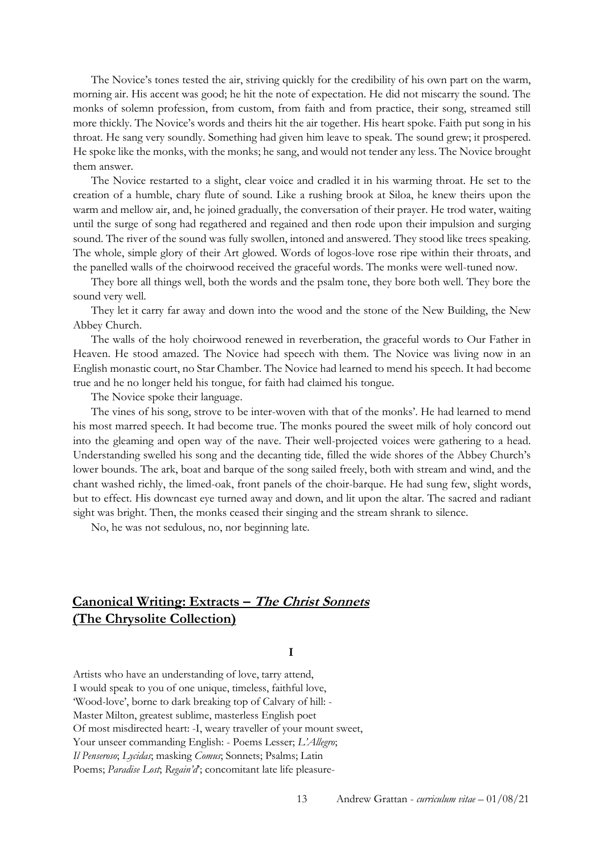The Novice's tones tested the air, striving quickly for the credibility of his own part on the warm, morning air. His accent was good; he hit the note of expectation. He did not miscarry the sound. The monks of solemn profession, from custom, from faith and from practice, their song, streamed still more thickly. The Novice's words and theirs hit the air together. His heart spoke. Faith put song in his throat. He sang very soundly. Something had given him leave to speak. The sound grew; it prospered. He spoke like the monks, with the monks; he sang, and would not tender any less. The Novice brought them answer.

The Novice restarted to a slight, clear voice and cradled it in his warming throat. He set to the creation of a humble, chary flute of sound. Like a rushing brook at Siloa, he knew theirs upon the warm and mellow air, and, he joined gradually, the conversation of their prayer. He trod water, waiting until the surge of song had regathered and regained and then rode upon their impulsion and surging sound. The river of the sound was fully swollen, intoned and answered. They stood like trees speaking. The whole, simple glory of their Art glowed. Words of logos-love rose ripe within their throats, and the panelled walls of the choirwood received the graceful words. The monks were well-tuned now.

They bore all things well, both the words and the psalm tone, they bore both well. They bore the sound very well.

They let it carry far away and down into the wood and the stone of the New Building, the New Abbey Church.

The walls of the holy choirwood renewed in reverberation, the graceful words to Our Father in Heaven. He stood amazed. The Novice had speech with them. The Novice was living now in an English monastic court, no Star Chamber. The Novice had learned to mend his speech. It had become true and he no longer held his tongue, for faith had claimed his tongue.

The Novice spoke their language.

The vines of his song, strove to be inter-woven with that of the monks'. He had learned to mend his most marred speech. It had become true. The monks poured the sweet milk of holy concord out into the gleaming and open way of the nave. Their well-projected voices were gathering to a head. Understanding swelled his song and the decanting tide, filled the wide shores of the Abbey Church's lower bounds. The ark, boat and barque of the song sailed freely, both with stream and wind, and the chant washed richly, the limed-oak, front panels of the choir-barque. He had sung few, slight words, but to effect. His downcast eye turned away and down, and lit upon the altar. The sacred and radiant sight was bright. Then, the monks ceased their singing and the stream shrank to silence.

No, he was not sedulous, no, nor beginning late.

## **Canonical Writing: Extracts – The Christ Sonnets (The Chrysolite Collection)**

#### **I**

Artists who have an understanding of love, tarry attend, I would speak to you of one unique, timeless, faithful love, 'Wood-love', borne to dark breaking top of Calvary of hill: - Master Milton, greatest sublime, masterless English poet Of most misdirected heart: -I, weary traveller of your mount sweet, Your unseer commanding English: - Poems Lesser; *L'Allegro*; *Il Penseroso*; *Lycidas*; masking *Comus*; Sonnets; Psalms; Latin Poems; *Paradise Lost*; *Regain'd*; concomitant late life pleasure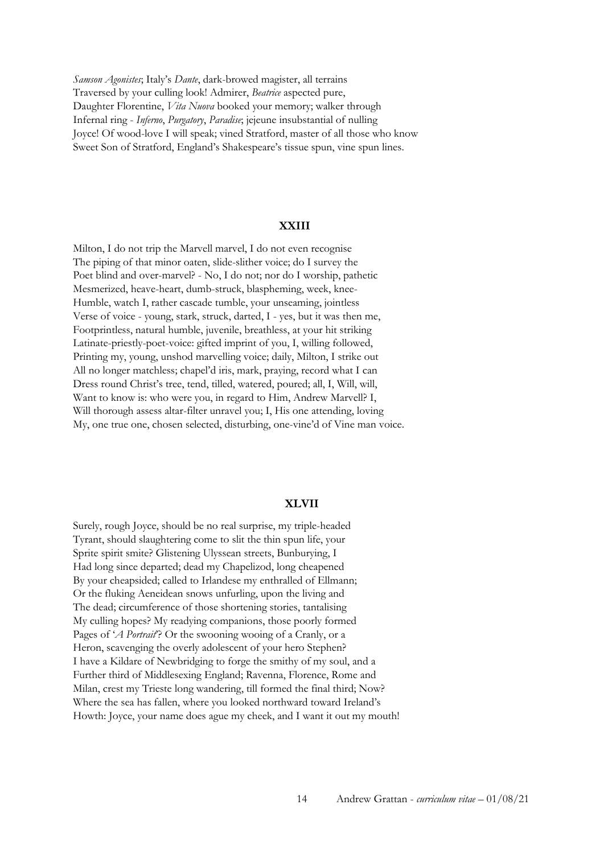*Samson Agonistes*; Italy's *Dante*, dark-browed magister, all terrains Traversed by your culling look! Admirer, *Beatrice* aspected pure, Daughter Florentine, *Vita Nuova* booked your memory; walker through Infernal ring - *Inferno*, *Purgatory*, *Paradise*; jejeune insubstantial of nulling Joyce! Of wood-love I will speak; vined Stratford, master of all those who know Sweet Son of Stratford, England's Shakespeare's tissue spun, vine spun lines.

#### **XXIII**

Milton, I do not trip the Marvell marvel, I do not even recognise The piping of that minor oaten, slide-slither voice; do I survey the Poet blind and over-marvel? - No, I do not; nor do I worship, pathetic Mesmerized, heave-heart, dumb-struck, blaspheming, week, knee-Humble, watch I, rather cascade tumble, your unseaming, jointless Verse of voice - young, stark, struck, darted, I - yes, but it was then me, Footprintless, natural humble, juvenile, breathless, at your hit striking Latinate-priestly-poet-voice: gifted imprint of you, I, willing followed, Printing my, young, unshod marvelling voice; daily, Milton, I strike out All no longer matchless; chapel'd iris, mark, praying, record what I can Dress round Christ's tree, tend, tilled, watered, poured; all, I, Will, will, Want to know is: who were you, in regard to Him, Andrew Marvell? I, Will thorough assess altar-filter unravel you; I, His one attending, loving My, one true one, chosen selected, disturbing, one-vine'd of Vine man voice.

#### **XLVII**

Surely, rough Joyce, should be no real surprise, my triple-headed Tyrant, should slaughtering come to slit the thin spun life, your Sprite spirit smite? Glistening Ulyssean streets, Bunburying, I Had long since departed; dead my Chapelizod, long cheapened By your cheapsided; called to Irlandese my enthralled of Ellmann; Or the fluking Aeneidean snows unfurling, upon the living and The dead; circumference of those shortening stories, tantalising My culling hopes? My readying companions, those poorly formed Pages of '*A Portrait*'? Or the swooning wooing of a Cranly, or a Heron, scavenging the overly adolescent of your hero Stephen? I have a Kildare of Newbridging to forge the smithy of my soul, and a Further third of Middlesexing England; Ravenna, Florence, Rome and Milan, crest my Trieste long wandering, till formed the final third; Now? Where the sea has fallen, where you looked northward toward Ireland's Howth: Joyce, your name does ague my cheek, and I want it out my mouth!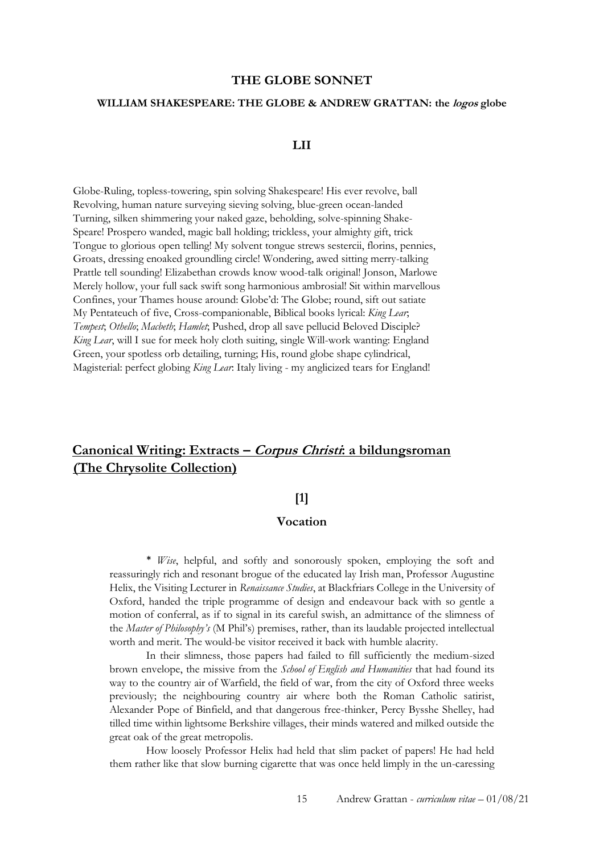#### **THE GLOBE SONNET**

#### **WILLIAM SHAKESPEARE: THE GLOBE & ANDREW GRATTAN: the logos globe**

### **LII**

Globe-Ruling, topless-towering, spin solving Shakespeare! His ever revolve, ball Revolving, human nature surveying sieving solving, blue-green ocean-landed Turning, silken shimmering your naked gaze, beholding, solve-spinning Shake-Speare! Prospero wanded, magic ball holding; trickless, your almighty gift, trick Tongue to glorious open telling! My solvent tongue strews sestercii, florins, pennies, Groats, dressing enoaked groundling circle! Wondering, awed sitting merry-talking Prattle tell sounding! Elizabethan crowds know wood-talk original! Jonson, Marlowe Merely hollow, your full sack swift song harmonious ambrosial! Sit within marvellous Confines, your Thames house around: Globe'd: The Globe; round, sift out satiate My Pentateuch of five, Cross-companionable, Biblical books lyrical: *King Lear*; *Tempest*; *Othello*; *Macbeth*; *Hamlet*; Pushed, drop all save pellucid Beloved Disciple? *King Lear*, will I sue for meek holy cloth suiting, single Will-work wanting: England Green, your spotless orb detailing, turning; His, round globe shape cylindrical, Magisterial: perfect globing *King Lear*: Italy living - my anglicized tears for England!

## **Canonical Writing: Extracts – Corpus Christi: a bildungsroman (The Chrysolite Collection)**

## **[1]**

### **Vocation**

\* *Wise*, helpful, and softly and sonorously spoken, employing the soft and reassuringly rich and resonant brogue of the educated lay Irish man, Professor Augustine Helix, the Visiting Lecturer in *Renaissance Studies*, at Blackfriars College in the University of Oxford, handed the triple programme of design and endeavour back with so gentle a motion of conferral, as if to signal in its careful swish, an admittance of the slimness of the *Master of Philosophy's* (M Phil's) premises, rather, than its laudable projected intellectual worth and merit. The would-be visitor received it back with humble alacrity.

In their slimness, those papers had failed to fill sufficiently the medium-sized brown envelope, the missive from the *School of English and Humanities* that had found its way to the country air of Warfield, the field of war, from the city of Oxford three weeks previously; the neighbouring country air where both the Roman Catholic satirist, Alexander Pope of Binfield, and that dangerous free-thinker, Percy Bysshe Shelley, had tilled time within lightsome Berkshire villages, their minds watered and milked outside the great oak of the great metropolis.

How loosely Professor Helix had held that slim packet of papers! He had held them rather like that slow burning cigarette that was once held limply in the un-caressing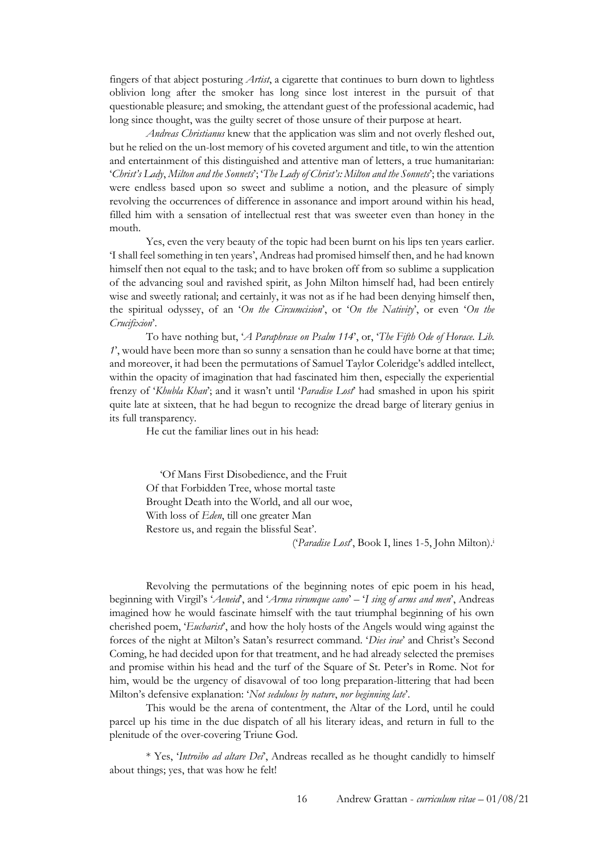fingers of that abject posturing *Artist*, a cigarette that continues to burn down to lightless oblivion long after the smoker has long since lost interest in the pursuit of that questionable pleasure; and smoking, the attendant guest of the professional academic, had long since thought, was the guilty secret of those unsure of their purpose at heart.

*Andreas Christianus* knew that the application was slim and not overly fleshed out, but he relied on the un-lost memory of his coveted argument and title, to win the attention and entertainment of this distinguished and attentive man of letters, a true humanitarian: '*Christ's Lady*, *Milton and the Sonnets*'; '*The Lady of Christ's: Milton and the Sonnets*'; the variations were endless based upon so sweet and sublime a notion, and the pleasure of simply revolving the occurrences of difference in assonance and import around within his head, filled him with a sensation of intellectual rest that was sweeter even than honey in the mouth.

Yes, even the very beauty of the topic had been burnt on his lips ten years earlier. 'I shall feel something in ten years', Andreas had promised himself then, and he had known himself then not equal to the task; and to have broken off from so sublime a supplication of the advancing soul and ravished spirit, as John Milton himself had, had been entirely wise and sweetly rational; and certainly, it was not as if he had been denying himself then, the spiritual odyssey, of an '*On the Circumcision*', or '*On the Nativity*', or even '*On the Crucifixion*'.

To have nothing but, '*A Paraphrase on Psalm 114*', or, '*The Fifth Ode of Horace. Lib. 1*', would have been more than so sunny a sensation than he could have borne at that time; and moreover, it had been the permutations of Samuel Taylor Coleridge's addled intellect, within the opacity of imagination that had fascinated him then, especially the experiential frenzy of '*Khubla Khan*'; and it wasn't until '*Paradise Lost*' had smashed in upon his spirit quite late at sixteen, that he had begun to recognize the dread barge of literary genius in its full transparency.

He cut the familiar lines out in his head:

 'Of Mans First Disobedience, and the Fruit Of that Forbidden Tree, whose mortal taste Brought Death into the World, and all our woe, With loss of *Eden*, till one greater Man Restore us, and regain the blissful Seat'.

('*Paradise Lost*', Book I, lines 1-5, John Milton).<sup>i</sup>

Revolving the permutations of the beginning notes of epic poem in his head, beginning with Virgil's '*Aeneid*', and '*Arma virumque cano*' – '*I sing of arms and men*', Andreas imagined how he would fascinate himself with the taut triumphal beginning of his own cherished poem, '*Eucharist*', and how the holy hosts of the Angels would wing against the forces of the night at Milton's Satan's resurrect command. '*Dies irae*' and Christ's Second Coming, he had decided upon for that treatment, and he had already selected the premises and promise within his head and the turf of the Square of St. Peter's in Rome. Not for him, would be the urgency of disavowal of too long preparation-littering that had been Milton's defensive explanation: '*Not sedulous by nature*, *nor beginning late*'.

This would be the arena of contentment, the Altar of the Lord, until he could parcel up his time in the due dispatch of all his literary ideas, and return in full to the plenitude of the over-covering Triune God.

\* Yes, '*Introibo ad altare Dei*', Andreas recalled as he thought candidly to himself about things; yes, that was how he felt!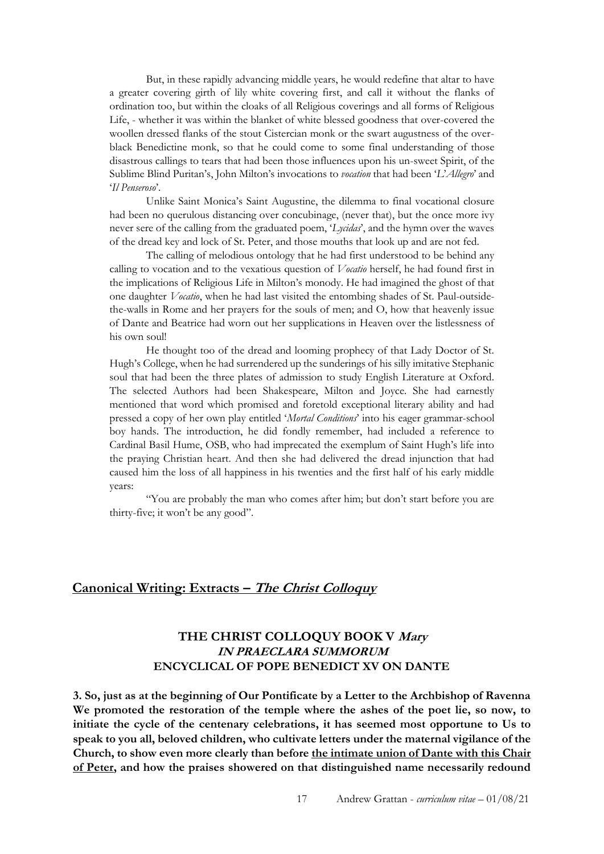But, in these rapidly advancing middle years, he would redefine that altar to have a greater covering girth of lily white covering first, and call it without the flanks of ordination too, but within the cloaks of all Religious coverings and all forms of Religious Life, - whether it was within the blanket of white blessed goodness that over-covered the woollen dressed flanks of the stout Cistercian monk or the swart augustness of the overblack Benedictine monk, so that he could come to some final understanding of those disastrous callings to tears that had been those influences upon his un-sweet Spirit, of the Sublime Blind Puritan's, John Milton's invocations to *vocation* that had been '*L*'*Allegro*' and '*Il Penseroso*'.

Unlike Saint Monica's Saint Augustine, the dilemma to final vocational closure had been no querulous distancing over concubinage, (never that), but the once more ivy never sere of the calling from the graduated poem, '*Lycidas*', and the hymn over the waves of the dread key and lock of St. Peter, and those mouths that look up and are not fed.

The calling of melodious ontology that he had first understood to be behind any calling to vocation and to the vexatious question of *Vocatio* herself, he had found first in the implications of Religious Life in Milton's monody. He had imagined the ghost of that one daughter *Vocatio*, when he had last visited the entombing shades of St. Paul-outsidethe-walls in Rome and her prayers for the souls of men; and O, how that heavenly issue of Dante and Beatrice had worn out her supplications in Heaven over the listlessness of his own soul!

He thought too of the dread and looming prophecy of that Lady Doctor of St. Hugh's College, when he had surrendered up the sunderings of his silly imitative Stephanic soul that had been the three plates of admission to study English Literature at Oxford. The selected Authors had been Shakespeare, Milton and Joyce. She had earnestly mentioned that word which promised and foretold exceptional literary ability and had pressed a copy of her own play entitled '*Mortal Conditions*' into his eager grammar-school boy hands. The introduction, he did fondly remember, had included a reference to Cardinal Basil Hume, OSB, who had imprecated the exemplum of Saint Hugh's life into the praying Christian heart. And then she had delivered the dread injunction that had caused him the loss of all happiness in his twenties and the first half of his early middle years:

"You are probably the man who comes after him; but don't start before you are thirty-five; it won't be any good".

### **Canonical Writing: Extracts – The Christ Colloquy**

## **THE CHRIST COLLOQUY BOOK V Mary IN PRAECLARA SUMMORUM ENCYCLICAL OF POPE BENEDICT XV ON DANTE**

**3. So, just as at the beginning of Our Pontificate by a Letter to the Archbishop of Ravenna We promoted the restoration of the temple where the ashes of the poet lie, so now, to initiate the cycle of the centenary celebrations, it has seemed most opportune to Us to speak to you all, beloved children, who cultivate letters under the maternal vigilance of the Church, to show even more clearly than before the intimate union of Dante with this Chair of Peter, and how the praises showered on that distinguished name necessarily redound**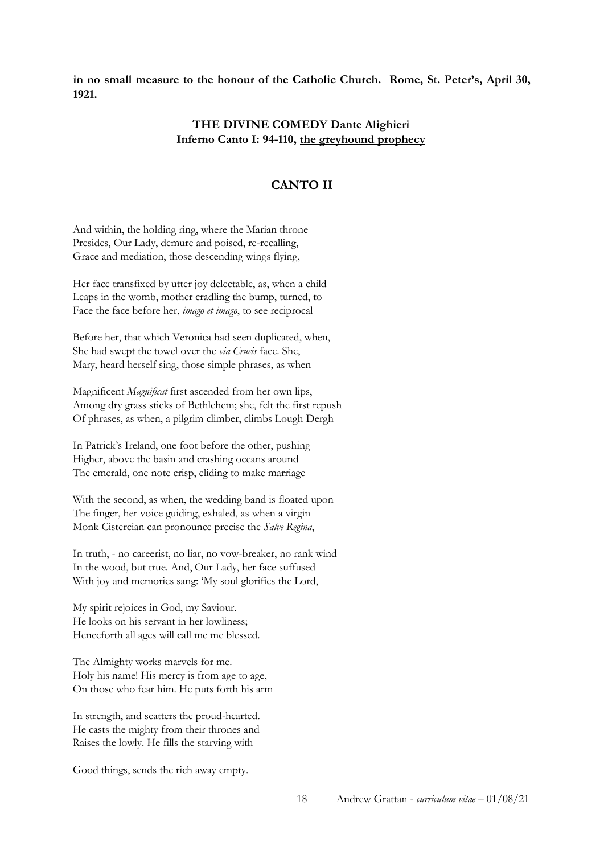**in no small measure to the honour of the Catholic Church. Rome, St. Peter's, April 30, 1921.** 

### **THE DIVINE COMEDY Dante Alighieri Inferno Canto I: 94-110, the greyhound prophecy**

## **CANTO II**

And within, the holding ring, where the Marian throne Presides, Our Lady, demure and poised, re-recalling, Grace and mediation, those descending wings flying,

Her face transfixed by utter joy delectable, as, when a child Leaps in the womb, mother cradling the bump, turned, to Face the face before her, *imago et imago*, to see reciprocal

Before her, that which Veronica had seen duplicated, when, She had swept the towel over the *via Crucis* face. She, Mary, heard herself sing, those simple phrases, as when

Magnificent *Magnificat* first ascended from her own lips, Among dry grass sticks of Bethlehem; she, felt the first repush Of phrases, as when, a pilgrim climber, climbs Lough Dergh

In Patrick's Ireland, one foot before the other, pushing Higher, above the basin and crashing oceans around The emerald, one note crisp, eliding to make marriage

With the second, as when, the wedding band is floated upon The finger, her voice guiding, exhaled, as when a virgin Monk Cistercian can pronounce precise the *Salve Regina*,

In truth, - no careerist, no liar, no vow-breaker, no rank wind In the wood, but true. And, Our Lady, her face suffused With joy and memories sang: 'My soul glorifies the Lord,

My spirit rejoices in God, my Saviour. He looks on his servant in her lowliness; Henceforth all ages will call me me blessed.

The Almighty works marvels for me. Holy his name! His mercy is from age to age, On those who fear him. He puts forth his arm

In strength, and scatters the proud-hearted. He casts the mighty from their thrones and Raises the lowly. He fills the starving with

Good things, sends the rich away empty.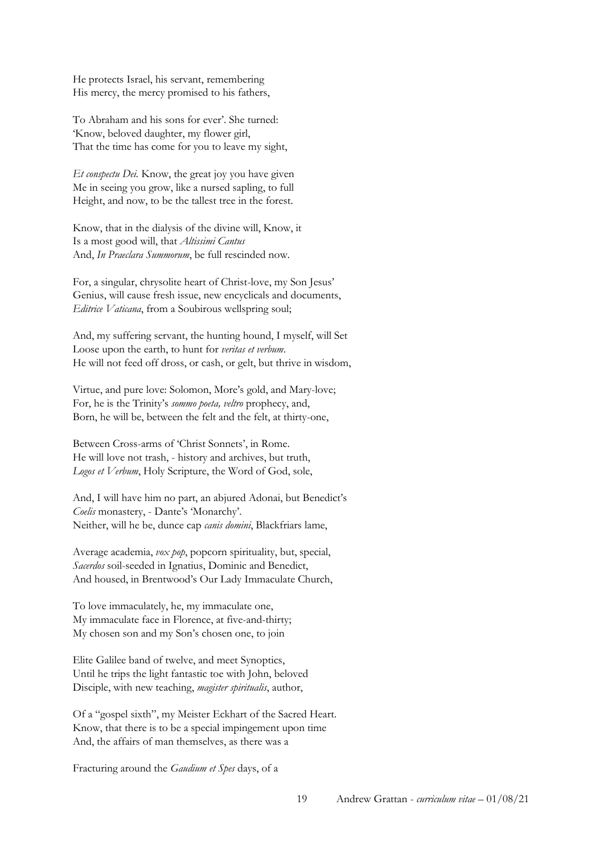He protects Israel, his servant, remembering His mercy, the mercy promised to his fathers,

To Abraham and his sons for ever'. She turned: 'Know, beloved daughter, my flower girl, That the time has come for you to leave my sight,

*Et conspectu Dei.* Know, the great joy you have given Me in seeing you grow, like a nursed sapling, to full Height, and now, to be the tallest tree in the forest.

Know, that in the dialysis of the divine will, Know, it Is a most good will, that *Altissimi Cantus* And, *In Praeclara Summorum*, be full rescinded now.

For, a singular, chrysolite heart of Christ-love, my Son Jesus' Genius, will cause fresh issue, new encyclicals and documents, *Editrice Vaticana*, from a Soubirous wellspring soul;

And, my suffering servant, the hunting hound, I myself, will Set Loose upon the earth, to hunt for *veritas et verbum*. He will not feed off dross, or cash, or gelt, but thrive in wisdom,

Virtue, and pure love: Solomon, More's gold, and Mary-love; For, he is the Trinity's *sommo poeta, veltro* prophecy, and, Born, he will be, between the felt and the felt, at thirty-one,

Between Cross-arms of 'Christ Sonnets', in Rome. He will love not trash, - history and archives, but truth, *Logos et Verbum*, Holy Scripture, the Word of God, sole,

And, I will have him no part, an abjured Adonai, but Benedict's *Coelis* monastery, - Dante's 'Monarchy'. Neither, will he be, dunce cap *canis domini*, Blackfriars lame,

Average academia, *vox pop*, popcorn spirituality, but, special, *Sacerdos* soil-seeded in Ignatius, Dominic and Benedict, And housed, in Brentwood's Our Lady Immaculate Church,

To love immaculately, he, my immaculate one, My immaculate face in Florence, at five-and-thirty; My chosen son and my Son's chosen one, to join

Elite Galilee band of twelve, and meet Synoptics, Until he trips the light fantastic toe with John, beloved Disciple, with new teaching, *magister spiritualis*, author,

Of a "gospel sixth", my Meister Eckhart of the Sacred Heart. Know, that there is to be a special impingement upon time And, the affairs of man themselves, as there was a

Fracturing around the *Gaudium et Spes* days, of a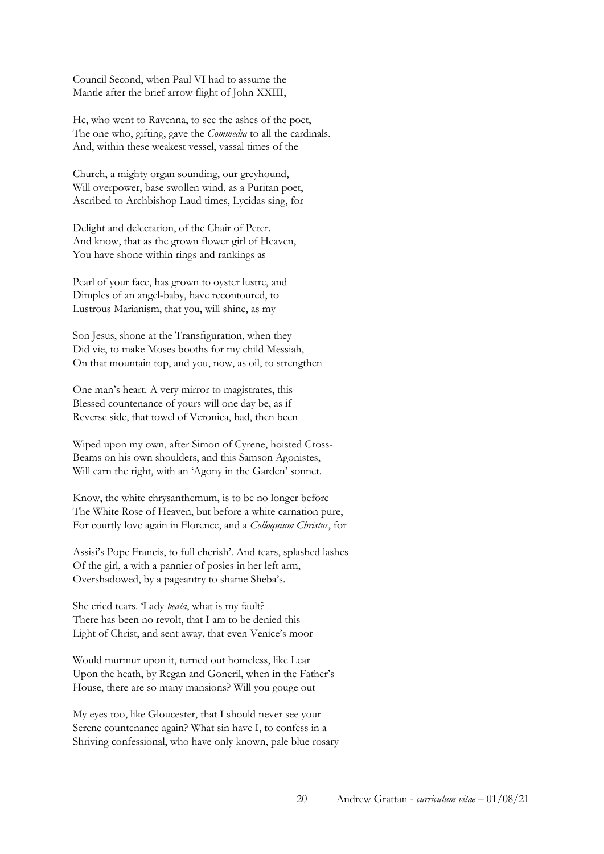Council Second, when Paul VI had to assume the Mantle after the brief arrow flight of John XXIII,

He, who went to Ravenna, to see the ashes of the poet, The one who, gifting, gave the *Commedia* to all the cardinals. And, within these weakest vessel, vassal times of the

Church, a mighty organ sounding, our greyhound, Will overpower, base swollen wind, as a Puritan poet, Ascribed to Archbishop Laud times, Lycidas sing, for

Delight and delectation, of the Chair of Peter. And know, that as the grown flower girl of Heaven, You have shone within rings and rankings as

Pearl of your face, has grown to oyster lustre, and Dimples of an angel-baby, have recontoured, to Lustrous Marianism, that you, will shine, as my

Son Jesus, shone at the Transfiguration, when they Did vie, to make Moses booths for my child Messiah, On that mountain top, and you, now, as oil, to strengthen

One man's heart. A very mirror to magistrates, this Blessed countenance of yours will one day be, as if Reverse side, that towel of Veronica, had, then been

Wiped upon my own, after Simon of Cyrene, hoisted Cross-Beams on his own shoulders, and this Samson Agonistes, Will earn the right, with an 'Agony in the Garden' sonnet.

Know, the white chrysanthemum, is to be no longer before The White Rose of Heaven, but before a white carnation pure, For courtly love again in Florence, and a *Colloquium Christus*, for

Assisi's Pope Francis, to full cherish'. And tears, splashed lashes Of the girl, a with a pannier of posies in her left arm, Overshadowed, by a pageantry to shame Sheba's.

She cried tears. 'Lady *beata*, what is my fault? There has been no revolt, that I am to be denied this Light of Christ, and sent away, that even Venice's moor

Would murmur upon it, turned out homeless, like Lear Upon the heath, by Regan and Goneril, when in the Father's House, there are so many mansions? Will you gouge out

My eyes too, like Gloucester, that I should never see your Serene countenance again? What sin have I, to confess in a Shriving confessional, who have only known, pale blue rosary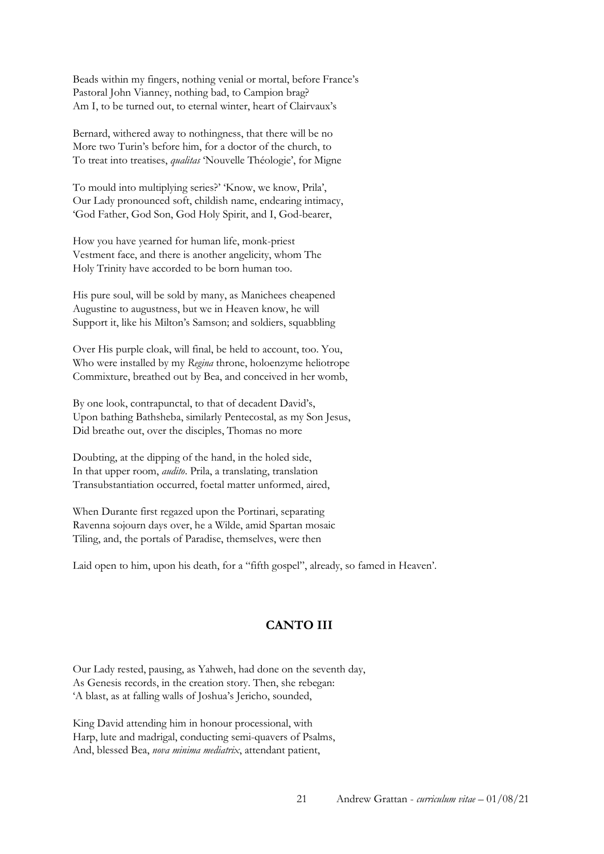Beads within my fingers, nothing venial or mortal, before France's Pastoral John Vianney, nothing bad, to Campion brag? Am I, to be turned out, to eternal winter, heart of Clairvaux's

Bernard, withered away to nothingness, that there will be no More two Turin's before him, for a doctor of the church, to To treat into treatises, *qualitas* 'Nouvelle Théologie', for Migne

To mould into multiplying series?' 'Know, we know, Prila', Our Lady pronounced soft, childish name, endearing intimacy, 'God Father, God Son, God Holy Spirit, and I, God-bearer,

How you have yearned for human life, monk-priest Vestment face, and there is another angelicity, whom The Holy Trinity have accorded to be born human too.

His pure soul, will be sold by many, as Manichees cheapened Augustine to augustness, but we in Heaven know, he will Support it, like his Milton's Samson; and soldiers, squabbling

Over His purple cloak, will final, be held to account, too. You, Who were installed by my *Regina* throne, holoenzyme heliotrope Commixture, breathed out by Bea, and conceived in her womb,

By one look, contrapunctal, to that of decadent David's, Upon bathing Bathsheba, similarly Pentecostal, as my Son Jesus, Did breathe out, over the disciples, Thomas no more

Doubting, at the dipping of the hand, in the holed side, In that upper room, *audito*. Prila, a translating, translation Transubstantiation occurred, foetal matter unformed, aired,

When Durante first regazed upon the Portinari, separating Ravenna sojourn days over, he a Wilde, amid Spartan mosaic Tiling, and, the portals of Paradise, themselves, were then

Laid open to him, upon his death, for a "fifth gospel", already, so famed in Heaven'.

## **CANTO III**

Our Lady rested, pausing, as Yahweh, had done on the seventh day, As Genesis records, in the creation story. Then, she rebegan: 'A blast, as at falling walls of Joshua's Jericho, sounded,

King David attending him in honour processional, with Harp, lute and madrigal, conducting semi-quavers of Psalms, And, blessed Bea, *nova minima mediatrix*, attendant patient,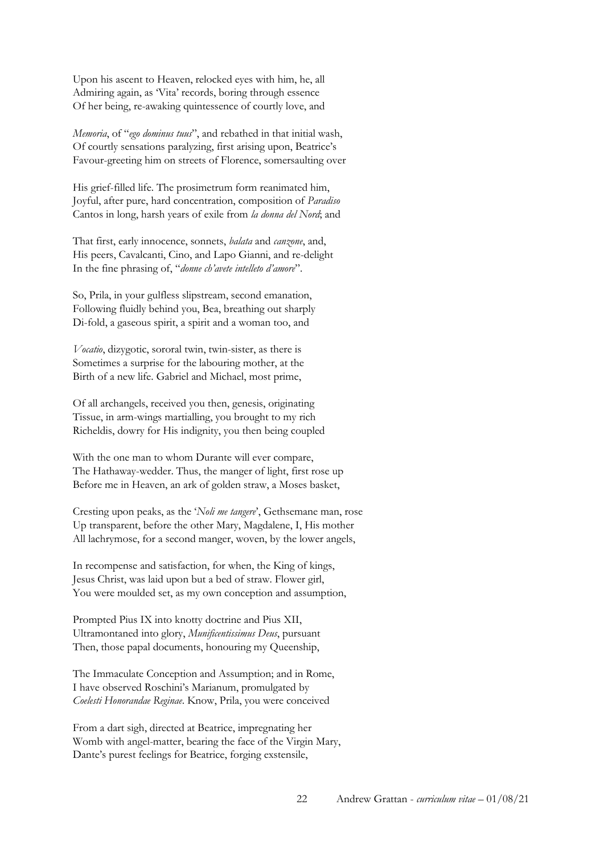Upon his ascent to Heaven, relocked eyes with him, he, all Admiring again, as 'Vita' records, boring through essence Of her being, re-awaking quintessence of courtly love, and

*Memoria*, of "*ego dominus tuus*", and rebathed in that initial wash, Of courtly sensations paralyzing, first arising upon, Beatrice's Favour-greeting him on streets of Florence, somersaulting over

His grief-filled life. The prosimetrum form reanimated him, Joyful, after pure, hard concentration, composition of *Paradiso*  Cantos in long, harsh years of exile from *la donna del Nord*; and

That first, early innocence, sonnets, *balata* and *canzone*, and, His peers, Cavalcanti, Cino, and Lapo Gianni, and re-delight In the fine phrasing of, "*donne ch'avete intelleto d'amore*".

So, Prila, in your gulfless slipstream, second emanation, Following fluidly behind you, Bea, breathing out sharply Di-fold, a gaseous spirit, a spirit and a woman too, and

*Vocatio*, dizygotic, sororal twin, twin-sister, as there is Sometimes a surprise for the labouring mother, at the Birth of a new life. Gabriel and Michael, most prime,

Of all archangels, received you then, genesis, originating Tissue, in arm-wings martialling, you brought to my rich Richeldis, dowry for His indignity, you then being coupled

With the one man to whom Durante will ever compare, The Hathaway-wedder. Thus, the manger of light, first rose up Before me in Heaven, an ark of golden straw, a Moses basket,

Cresting upon peaks, as the '*Noli me tangere*', Gethsemane man, rose Up transparent, before the other Mary, Magdalene, I, His mother All lachrymose, for a second manger, woven, by the lower angels,

In recompense and satisfaction, for when, the King of kings, Jesus Christ, was laid upon but a bed of straw. Flower girl, You were moulded set, as my own conception and assumption,

Prompted Pius IX into knotty doctrine and Pius XII, Ultramontaned into glory, *Munificentissimus Deus*, pursuant Then, those papal documents, honouring my Queenship,

The Immaculate Conception and Assumption; and in Rome, I have observed Roschini's Marianum, promulgated by *Coelesti Honorandae Reginae*. Know, Prila, you were conceived

From a dart sigh, directed at Beatrice, impregnating her Womb with angel-matter, bearing the face of the Virgin Mary, Dante's purest feelings for Beatrice, forging exstensile,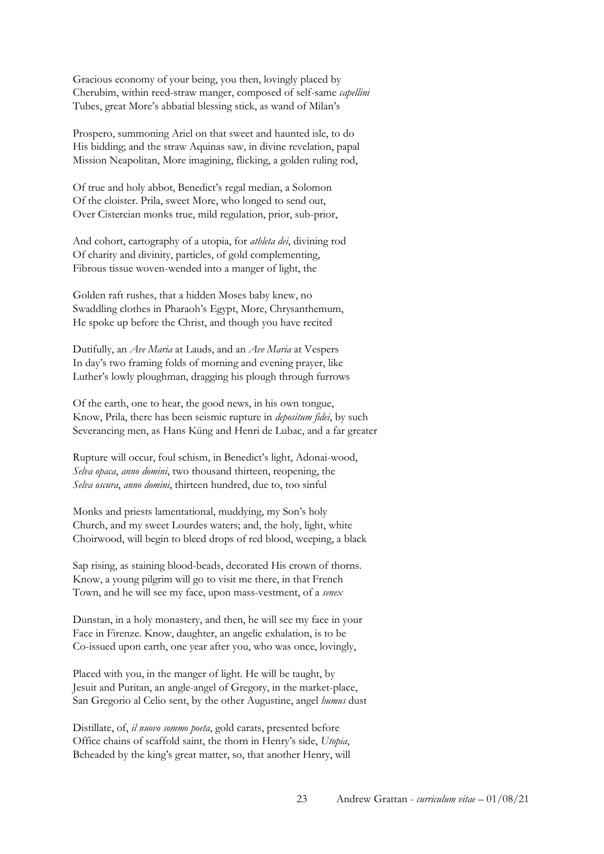Gracious economy of your being, you then, lovingly placed by Cherubim, within reed-straw manger, composed of self-same *capellini*  Tubes, great More's abbatial blessing stick, as wand of Milan's

Prospero, summoning Ariel on that sweet and haunted isle, to do His bidding; and the straw Aquinas saw, in divine revelation, papal Mission Neapolitan, More imagining, flicking, a golden ruling rod,

Of true and holy abbot, Benedict's regal median, a Solomon Of the cloister. Prila, sweet More, who longed to send out, Over Cistercian monks true, mild regulation, prior, sub-prior,

And cohort, cartography of a utopia, for *athleta dei*, divining rod Of charity and divinity, particles, of gold complementing, Fibrous tissue woven-wended into a manger of light, the

Golden raft rushes, that a hidden Moses baby knew, no Swaddling clothes in Pharaoh's Egypt, More, Chrysanthemum, He spoke up before the Christ, and though you have recited

Dutifully, an *Ave Maria* at Lauds, and an *Ave Maria* at Vespers In day's two framing folds of morning and evening prayer, like Luther's lowly ploughman, dragging his plough through furrows

Of the earth, one to hear, the good news, in his own tongue, Know, Prila, there has been seismic rupture in *depositum fidei*, by such Severancing men, as Hans Küng and Henri de Lubac, and a far greater

Rupture will occur, foul schism, in Benedict's light, Adonai-wood, *Selva opaca*, *anno domini*, two thousand thirteen, reopening, the *Selva oscura*, *anno domini*, thirteen hundred, due to, too sinful

Monks and priests lamentational, muddying, my Son's holy Church, and my sweet Lourdes waters; and, the holy, light, white Choirwood, will begin to bleed drops of red blood, weeping, a black

Sap rising, as staining blood-beads, decorated His crown of thorns. Know, a young pilgrim will go to visit me there, in that French Town, and he will see my face, upon mass-vestment, of a *senex*

Dunstan, in a holy monastery, and then, he will see my face in your Face in Firenze. Know, daughter, an angelic exhalation, is to be Co-issued upon earth, one year after you, who was once, lovingly,

Placed with you, in the manger of light. He will be taught, by Jesuit and Puritan, an angle-angel of Gregory, in the market-place, San Gregorio al Celio sent, by the other Augustine, angel *humus* dust

Distillate, of, *il nuovo sommo poeta*, gold carats, presented before Office chains of scaffold saint, the thorn in Henry's side, *Utopia*, Beheaded by the king's great matter, so, that another Henry, will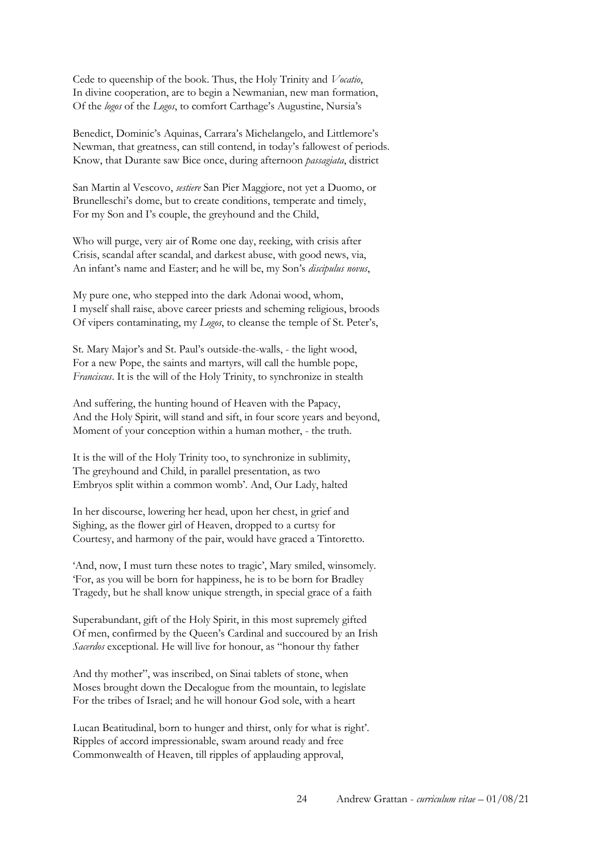Cede to queenship of the book. Thus, the Holy Trinity and *Vocatio*, In divine cooperation, are to begin a Newmanian, new man formation, Of the *logos* of the *Logos*, to comfort Carthage's Augustine, Nursia's

Benedict, Dominic's Aquinas, Carrara's Michelangelo, and Littlemore's Newman, that greatness, can still contend, in today's fallowest of periods. Know, that Durante saw Bice once, during afternoon *passagiata*, district

San Martin al Vescovo, *sestiere* San Pier Maggiore, not yet a Duomo, or Brunelleschi's dome, but to create conditions, temperate and timely, For my Son and I's couple, the greyhound and the Child,

Who will purge, very air of Rome one day, reeking, with crisis after Crisis, scandal after scandal, and darkest abuse, with good news, via, An infant's name and Easter; and he will be, my Son's *discipulus novus*,

My pure one, who stepped into the dark Adonai wood, whom, I myself shall raise, above career priests and scheming religious, broods Of vipers contaminating, my *Logos*, to cleanse the temple of St. Peter's,

St. Mary Major's and St. Paul's outside-the-walls, - the light wood, For a new Pope, the saints and martyrs, will call the humble pope, *Franciscus*. It is the will of the Holy Trinity, to synchronize in stealth

And suffering, the hunting hound of Heaven with the Papacy, And the Holy Spirit, will stand and sift, in four score years and beyond, Moment of your conception within a human mother, - the truth.

It is the will of the Holy Trinity too, to synchronize in sublimity, The greyhound and Child, in parallel presentation, as two Embryos split within a common womb'. And, Our Lady, halted

In her discourse, lowering her head, upon her chest, in grief and Sighing, as the flower girl of Heaven, dropped to a curtsy for Courtesy, and harmony of the pair, would have graced a Tintoretto.

'And, now, I must turn these notes to tragic', Mary smiled, winsomely. 'For, as you will be born for happiness, he is to be born for Bradley Tragedy, but he shall know unique strength, in special grace of a faith

Superabundant, gift of the Holy Spirit, in this most supremely gifted Of men, confirmed by the Queen's Cardinal and succoured by an Irish *Sacerdos* exceptional. He will live for honour, as "honour thy father

And thy mother", was inscribed, on Sinai tablets of stone, when Moses brought down the Decalogue from the mountain, to legislate For the tribes of Israel; and he will honour God sole, with a heart

Lucan Beatitudinal, born to hunger and thirst, only for what is right'. Ripples of accord impressionable, swam around ready and free Commonwealth of Heaven, till ripples of applauding approval,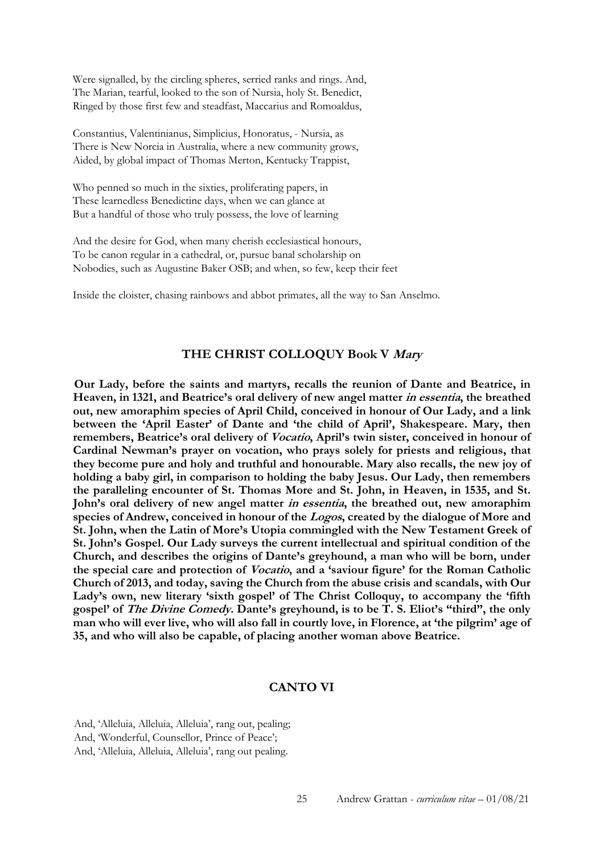Were signalled, by the circling spheres, serried ranks and rings. And, The Marian, tearful, looked to the son of Nursia, holy St. Benedict, Ringed by those first few and steadfast, Maccarius and Romoaldus,

Constantius, Valentinianus, Simplicius, Honoratus, - Nursia, as There is New Norcia in Australia, where a new community grows, Aided, by global impact of Thomas Merton, Kentucky Trappist,

Who penned so much in the sixties, proliferating papers, in These learnedless Benedictine days, when we can glance at But a handful of those who truly possess, the love of learning

And the desire for God, when many cherish ecclesiastical honours, To be canon regular in a cathedral, or, pursue banal scholarship on Nobodies, such as Augustine Baker OSB; and when, so few, keep their feet

Inside the cloister, chasing rainbows and abbot primates, all the way to San Anselmo.

### **THE CHRIST COLLOQUY Book V Mary**

**Our Lady, before the saints and martyrs, recalls the reunion of Dante and Beatrice, in Heaven, in 1321, and Beatrice's oral delivery of new angel matter in essentia, the breathed out, new amoraphim species of April Child, conceived in honour of Our Lady, and a link between the 'April Easter' of Dante and 'the child of April', Shakespeare. Mary, then remembers, Beatrice's oral delivery of Vocatio, April's twin sister, conceived in honour of Cardinal Newman's prayer on vocation, who prays solely for priests and religious, that they become pure and holy and truthful and honourable. Mary also recalls, the new joy of holding a baby girl, in comparison to holding the baby Jesus. Our Lady, then remembers the paralleling encounter of St. Thomas More and St. John, in Heaven, in 1535, and St. John's oral delivery of new angel matter in essentia, the breathed out, new amoraphim species of Andrew, conceived in honour of the Logos, created by the dialogue of More and St. John, when the Latin of More's Utopia commingled with the New Testament Greek of St. John's Gospel. Our Lady surveys the current intellectual and spiritual condition of the Church, and describes the origins of Dante's greyhound, a man who will be born, under the special care and protection of Vocatio, and a 'saviour figure' for the Roman Catholic Church of 2013, and today, saving the Church from the abuse crisis and scandals, with Our Lady's own, new literary 'sixth gospel' of The Christ Colloquy, to accompany the 'fifth gospel' of The Divine Comedy. Dante's greyhound, is to be T. S. Eliot's "third", the only man who will ever live, who will also fall in courtly love, in Florence, at 'the pilgrim' age of 35, and who will also be capable, of placing another woman above Beatrice.** 

## **CANTO VI**

And, 'Alleluia, Alleluia, Alleluia', rang out, pealing; And, 'Wonderful, Counsellor, Prince of Peace'; And, 'Alleluia, Alleluia, Alleluia', rang out pealing.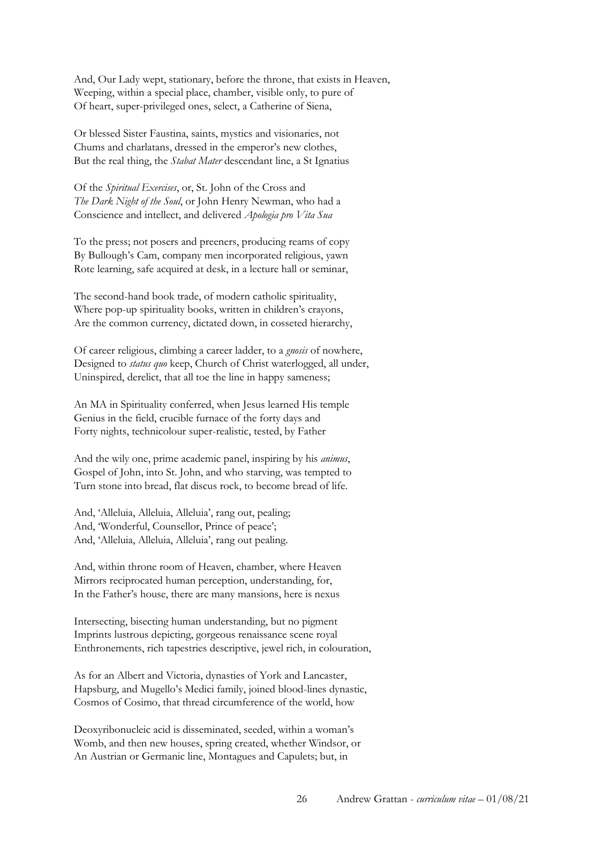And, Our Lady wept, stationary, before the throne, that exists in Heaven, Weeping, within a special place, chamber, visible only, to pure of Of heart, super-privileged ones, select, a Catherine of Siena,

Or blessed Sister Faustina, saints, mystics and visionaries, not Chums and charlatans, dressed in the emperor's new clothes, But the real thing, the *Stabat Mater* descendant line, a St Ignatius

Of the *Spiritual Exercises*, or, St. John of the Cross and *The Dark Night of the Soul*, or John Henry Newman, who had a Conscience and intellect, and delivered *Apologia pro Vita Sua*

To the press; not posers and preeners, producing reams of copy By Bullough's Cam, company men incorporated religious, yawn Rote learning, safe acquired at desk, in a lecture hall or seminar,

The second-hand book trade, of modern catholic spirituality, Where pop-up spirituality books, written in children's crayons, Are the common currency, dictated down, in cosseted hierarchy,

Of career religious, climbing a career ladder, to a *gnosis* of nowhere, Designed to *status quo* keep, Church of Christ waterlogged, all under, Uninspired, derelict, that all toe the line in happy sameness;

An MA in Spirituality conferred, when Jesus learned His temple Genius in the field, crucible furnace of the forty days and Forty nights, technicolour super-realistic, tested, by Father

And the wily one, prime academic panel, inspiring by his *animus*, Gospel of John, into St. John, and who starving, was tempted to Turn stone into bread, flat discus rock, to become bread of life.

And, 'Alleluia, Alleluia, Alleluia', rang out, pealing; And, 'Wonderful, Counsellor, Prince of peace'; And, 'Alleluia, Alleluia, Alleluia', rang out pealing.

And, within throne room of Heaven, chamber, where Heaven Mirrors reciprocated human perception, understanding, for, In the Father's house, there are many mansions, here is nexus

Intersecting, bisecting human understanding, but no pigment Imprints lustrous depicting, gorgeous renaissance scene royal Enthronements, rich tapestries descriptive, jewel rich, in colouration,

As for an Albert and Victoria, dynasties of York and Lancaster, Hapsburg, and Mugello's Medici family, joined blood-lines dynastic, Cosmos of Cosimo, that thread circumference of the world, how

Deoxyribonucleic acid is disseminated, seeded, within a woman's Womb, and then new houses, spring created, whether Windsor, or An Austrian or Germanic line, Montagues and Capulets; but, in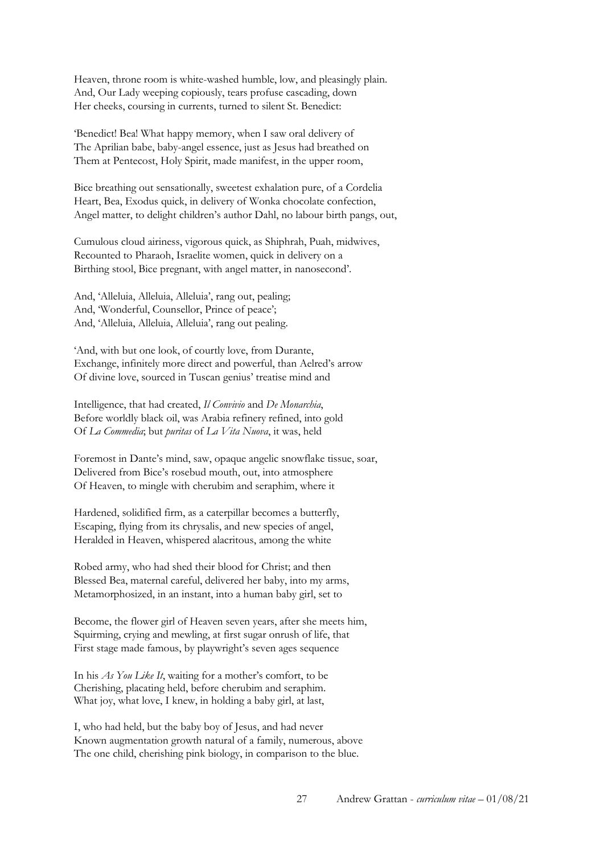Heaven, throne room is white-washed humble, low, and pleasingly plain. And, Our Lady weeping copiously, tears profuse cascading, down Her cheeks, coursing in currents, turned to silent St. Benedict:

'Benedict! Bea! What happy memory, when I saw oral delivery of The Aprilian babe, baby-angel essence, just as Jesus had breathed on Them at Pentecost, Holy Spirit, made manifest, in the upper room,

Bice breathing out sensationally, sweetest exhalation pure, of a Cordelia Heart, Bea, Exodus quick, in delivery of Wonka chocolate confection, Angel matter, to delight children's author Dahl, no labour birth pangs, out,

Cumulous cloud airiness, vigorous quick, as Shiphrah, Puah, midwives, Recounted to Pharaoh, Israelite women, quick in delivery on a Birthing stool, Bice pregnant, with angel matter, in nanosecond'.

And, 'Alleluia, Alleluia, Alleluia', rang out, pealing; And, 'Wonderful, Counsellor, Prince of peace'; And, 'Alleluia, Alleluia, Alleluia', rang out pealing.

'And, with but one look, of courtly love, from Durante, Exchange, infinitely more direct and powerful, than Aelred's arrow Of divine love, sourced in Tuscan genius' treatise mind and

Intelligence, that had created, *Il Convivio* and *De Monarchia*, Before worldly black oil, was Arabia refinery refined, into gold Of *La Commedia*; but *puritas* of *La Vita Nuova*, it was, held

Foremost in Dante's mind, saw, opaque angelic snowflake tissue, soar, Delivered from Bice's rosebud mouth, out, into atmosphere Of Heaven, to mingle with cherubim and seraphim, where it

Hardened, solidified firm, as a caterpillar becomes a butterfly, Escaping, flying from its chrysalis, and new species of angel, Heralded in Heaven, whispered alacritous, among the white

Robed army, who had shed their blood for Christ; and then Blessed Bea, maternal careful, delivered her baby, into my arms, Metamorphosized, in an instant, into a human baby girl, set to

Become, the flower girl of Heaven seven years, after she meets him, Squirming, crying and mewling, at first sugar onrush of life, that First stage made famous, by playwright's seven ages sequence

In his *As You Like It*, waiting for a mother's comfort, to be Cherishing, placating held, before cherubim and seraphim. What joy, what love, I knew, in holding a baby girl, at last,

I, who had held, but the baby boy of Jesus, and had never Known augmentation growth natural of a family, numerous, above The one child, cherishing pink biology, in comparison to the blue.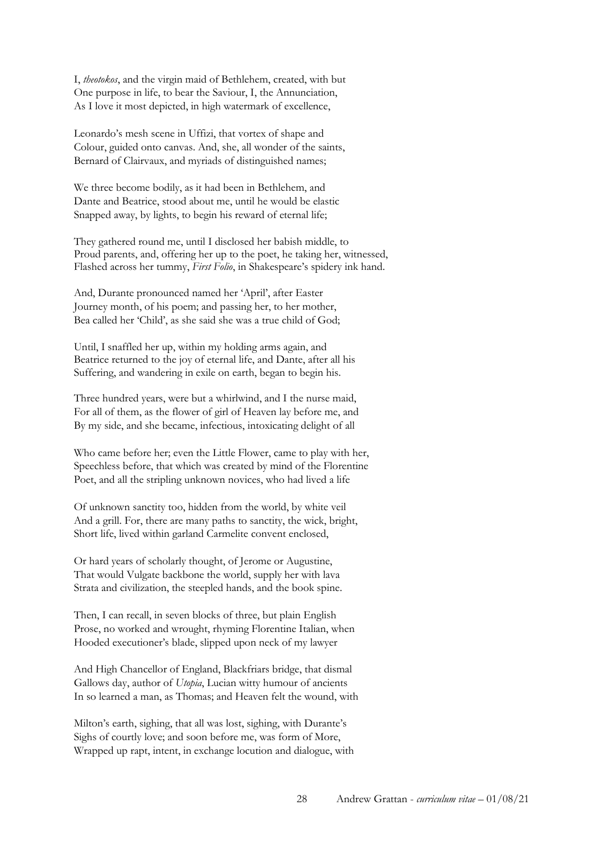I, *theotokos*, and the virgin maid of Bethlehem, created, with but One purpose in life, to bear the Saviour, I, the Annunciation, As I love it most depicted, in high watermark of excellence,

Leonardo's mesh scene in Uffizi, that vortex of shape and Colour, guided onto canvas. And, she, all wonder of the saints, Bernard of Clairvaux, and myriads of distinguished names;

We three become bodily, as it had been in Bethlehem, and Dante and Beatrice, stood about me, until he would be elastic Snapped away, by lights, to begin his reward of eternal life;

They gathered round me, until I disclosed her babish middle, to Proud parents, and, offering her up to the poet, he taking her, witnessed, Flashed across her tummy, *First Folio*, in Shakespeare's spidery ink hand.

And, Durante pronounced named her 'April', after Easter Journey month, of his poem; and passing her, to her mother, Bea called her 'Child', as she said she was a true child of God;

Until, I snaffled her up, within my holding arms again, and Beatrice returned to the joy of eternal life, and Dante, after all his Suffering, and wandering in exile on earth, began to begin his.

Three hundred years, were but a whirlwind, and I the nurse maid, For all of them, as the flower of girl of Heaven lay before me, and By my side, and she became, infectious, intoxicating delight of all

Who came before her; even the Little Flower, came to play with her, Speechless before, that which was created by mind of the Florentine Poet, and all the stripling unknown novices, who had lived a life

Of unknown sanctity too, hidden from the world, by white veil And a grill. For, there are many paths to sanctity, the wick, bright, Short life, lived within garland Carmelite convent enclosed,

Or hard years of scholarly thought, of Jerome or Augustine, That would Vulgate backbone the world, supply her with lava Strata and civilization, the steepled hands, and the book spine.

Then, I can recall, in seven blocks of three, but plain English Prose, no worked and wrought, rhyming Florentine Italian, when Hooded executioner's blade, slipped upon neck of my lawyer

And High Chancellor of England, Blackfriars bridge, that dismal Gallows day, author of *Utopia*, Lucian witty humour of ancients In so learned a man, as Thomas; and Heaven felt the wound, with

Milton's earth, sighing, that all was lost, sighing, with Durante's Sighs of courtly love; and soon before me, was form of More, Wrapped up rapt, intent, in exchange locution and dialogue, with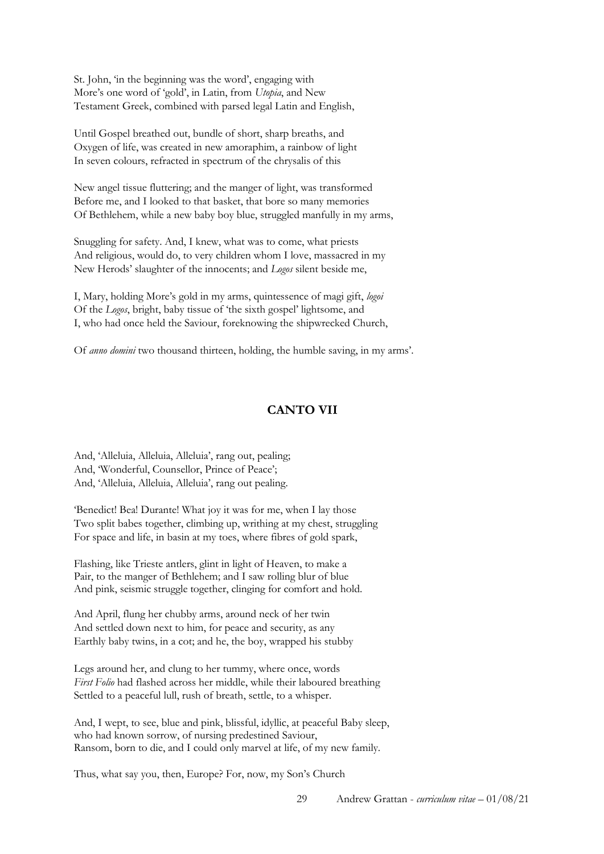St. John, 'in the beginning was the word', engaging with More's one word of 'gold', in Latin, from *Utopia*, and New Testament Greek, combined with parsed legal Latin and English,

Until Gospel breathed out, bundle of short, sharp breaths, and Oxygen of life, was created in new amoraphim, a rainbow of light In seven colours, refracted in spectrum of the chrysalis of this

New angel tissue fluttering; and the manger of light, was transformed Before me, and I looked to that basket, that bore so many memories Of Bethlehem, while a new baby boy blue, struggled manfully in my arms,

Snuggling for safety. And, I knew, what was to come, what priests And religious, would do, to very children whom I love, massacred in my New Herods' slaughter of the innocents; and *Logos* silent beside me,

I, Mary, holding More's gold in my arms, quintessence of magi gift, *logoi* Of the *Logos*, bright, baby tissue of 'the sixth gospel' lightsome, and I, who had once held the Saviour, foreknowing the shipwrecked Church,

Of *anno domini* two thousand thirteen, holding, the humble saving, in my arms'.

## **CANTO VII**

And, 'Alleluia, Alleluia, Alleluia', rang out, pealing; And, 'Wonderful, Counsellor, Prince of Peace'; And, 'Alleluia, Alleluia, Alleluia', rang out pealing.

'Benedict! Bea! Durante! What joy it was for me, when I lay those Two split babes together, climbing up, writhing at my chest, struggling For space and life, in basin at my toes, where fibres of gold spark,

Flashing, like Trieste antlers, glint in light of Heaven, to make a Pair, to the manger of Bethlehem; and I saw rolling blur of blue And pink, seismic struggle together, clinging for comfort and hold.

And April, flung her chubby arms, around neck of her twin And settled down next to him, for peace and security, as any Earthly baby twins, in a cot; and he, the boy, wrapped his stubby

Legs around her, and clung to her tummy, where once, words *First Folio* had flashed across her middle, while their laboured breathing Settled to a peaceful lull, rush of breath, settle, to a whisper.

And, I wept, to see, blue and pink, blissful, idyllic, at peaceful Baby sleep, who had known sorrow, of nursing predestined Saviour, Ransom, born to die, and I could only marvel at life, of my new family.

Thus, what say you, then, Europe? For, now, my Son's Church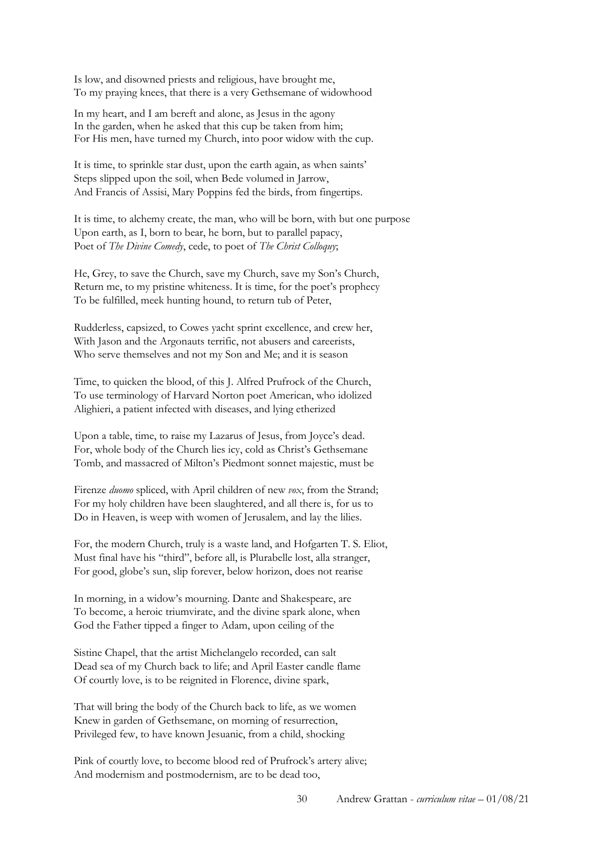Is low, and disowned priests and religious, have brought me, To my praying knees, that there is a very Gethsemane of widowhood

In my heart, and I am bereft and alone, as Jesus in the agony In the garden, when he asked that this cup be taken from him; For His men, have turned my Church, into poor widow with the cup.

It is time, to sprinkle star dust, upon the earth again, as when saints' Steps slipped upon the soil, when Bede volumed in Jarrow, And Francis of Assisi, Mary Poppins fed the birds, from fingertips.

It is time, to alchemy create, the man, who will be born, with but one purpose Upon earth, as I, born to bear, he born, but to parallel papacy, Poet of *The Divine Comedy*, cede, to poet of *The Christ Colloquy*;

He, Grey, to save the Church, save my Church, save my Son's Church, Return me, to my pristine whiteness. It is time, for the poet's prophecy To be fulfilled, meek hunting hound, to return tub of Peter,

Rudderless, capsized, to Cowes yacht sprint excellence, and crew her, With Jason and the Argonauts terrific, not abusers and careerists, Who serve themselves and not my Son and Me; and it is season

Time, to quicken the blood, of this J. Alfred Prufrock of the Church, To use terminology of Harvard Norton poet American, who idolized Alighieri, a patient infected with diseases, and lying etherized

Upon a table, time, to raise my Lazarus of Jesus, from Joyce's dead. For, whole body of the Church lies icy, cold as Christ's Gethsemane Tomb, and massacred of Milton's Piedmont sonnet majestic, must be

Firenze *duomo* spliced, with April children of new *vox*, from the Strand; For my holy children have been slaughtered, and all there is, for us to Do in Heaven, is weep with women of Jerusalem, and lay the lilies.

For, the modern Church, truly is a waste land, and Hofgarten T. S. Eliot, Must final have his "third", before all, is Plurabelle lost, alla stranger, For good, globe's sun, slip forever, below horizon, does not rearise

In morning, in a widow's mourning. Dante and Shakespeare, are To become, a heroic triumvirate, and the divine spark alone, when God the Father tipped a finger to Adam, upon ceiling of the

Sistine Chapel, that the artist Michelangelo recorded, can salt Dead sea of my Church back to life; and April Easter candle flame Of courtly love, is to be reignited in Florence, divine spark,

That will bring the body of the Church back to life, as we women Knew in garden of Gethsemane, on morning of resurrection, Privileged few, to have known Jesuanic, from a child, shocking

Pink of courtly love, to become blood red of Prufrock's artery alive; And modernism and postmodernism, are to be dead too,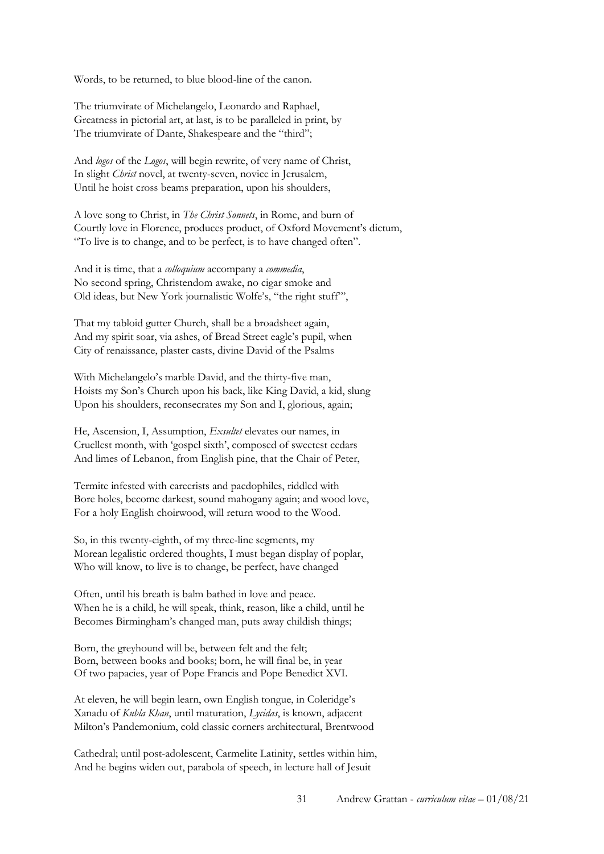Words, to be returned, to blue blood-line of the canon.

The triumvirate of Michelangelo, Leonardo and Raphael, Greatness in pictorial art, at last, is to be paralleled in print, by The triumvirate of Dante, Shakespeare and the "third";

And *logos* of the *Logos*, will begin rewrite, of very name of Christ, In slight *Christ* novel, at twenty-seven, novice in Jerusalem, Until he hoist cross beams preparation, upon his shoulders,

A love song to Christ, in *The Christ Sonnets*, in Rome, and burn of Courtly love in Florence, produces product, of Oxford Movement's dictum, "To live is to change, and to be perfect, is to have changed often".

And it is time, that a *colloquium* accompany a *commedia*, No second spring, Christendom awake, no cigar smoke and Old ideas, but New York journalistic Wolfe's, "the right stuff"',

That my tabloid gutter Church, shall be a broadsheet again, And my spirit soar, via ashes, of Bread Street eagle's pupil, when City of renaissance, plaster casts, divine David of the Psalms

With Michelangelo's marble David, and the thirty-five man, Hoists my Son's Church upon his back, like King David, a kid, slung Upon his shoulders, reconsecrates my Son and I, glorious, again;

He, Ascension, I, Assumption, *Exsultet* elevates our names, in Cruellest month, with 'gospel sixth', composed of sweetest cedars And limes of Lebanon, from English pine, that the Chair of Peter,

Termite infested with careerists and paedophiles, riddled with Bore holes, become darkest, sound mahogany again; and wood love, For a holy English choirwood, will return wood to the Wood.

So, in this twenty-eighth, of my three-line segments, my Morean legalistic ordered thoughts, I must began display of poplar, Who will know, to live is to change, be perfect, have changed

Often, until his breath is balm bathed in love and peace. When he is a child, he will speak, think, reason, like a child, until he Becomes Birmingham's changed man, puts away childish things;

Born, the greyhound will be, between felt and the felt; Born, between books and books; born, he will final be, in year Of two papacies, year of Pope Francis and Pope Benedict XVI.

At eleven, he will begin learn, own English tongue, in Coleridge's Xanadu of *Kubla Khan*, until maturation, *Lycidas*, is known, adjacent Milton's Pandemonium, cold classic corners architectural, Brentwood

Cathedral; until post-adolescent, Carmelite Latinity, settles within him, And he begins widen out, parabola of speech, in lecture hall of Jesuit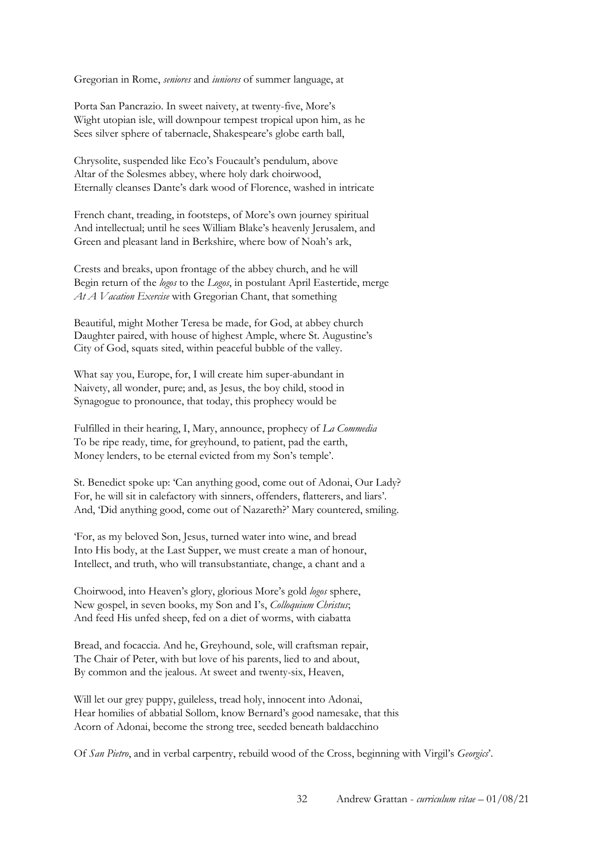Gregorian in Rome, *seniores* and *iuniores* of summer language, at

Porta San Pancrazio. In sweet naivety, at twenty-five, More's Wight utopian isle, will downpour tempest tropical upon him, as he Sees silver sphere of tabernacle, Shakespeare's globe earth ball,

Chrysolite, suspended like Eco's Foucault's pendulum, above Altar of the Solesmes abbey, where holy dark choirwood, Eternally cleanses Dante's dark wood of Florence, washed in intricate

French chant, treading, in footsteps, of More's own journey spiritual And intellectual; until he sees William Blake's heavenly Jerusalem, and Green and pleasant land in Berkshire, where bow of Noah's ark,

Crests and breaks, upon frontage of the abbey church, and he will Begin return of the *logos* to the *Logos*, in postulant April Eastertide, merge *At A Vacation Exercise* with Gregorian Chant, that something

Beautiful, might Mother Teresa be made, for God, at abbey church Daughter paired, with house of highest Ample, where St. Augustine's City of God, squats sited, within peaceful bubble of the valley.

What say you, Europe, for, I will create him super-abundant in Naivety, all wonder, pure; and, as Jesus, the boy child, stood in Synagogue to pronounce, that today, this prophecy would be

Fulfilled in their hearing, I, Mary, announce, prophecy of *La Commedia* To be ripe ready, time, for greyhound, to patient, pad the earth, Money lenders, to be eternal evicted from my Son's temple'.

St. Benedict spoke up: 'Can anything good, come out of Adonai, Our Lady? For, he will sit in calefactory with sinners, offenders, flatterers, and liars'. And, 'Did anything good, come out of Nazareth?' Mary countered, smiling.

'For, as my beloved Son, Jesus, turned water into wine, and bread Into His body, at the Last Supper, we must create a man of honour, Intellect, and truth, who will transubstantiate, change, a chant and a

Choirwood, into Heaven's glory, glorious More's gold *logos* sphere, New gospel, in seven books, my Son and I's, *Colloquium Christus*; And feed His unfed sheep, fed on a diet of worms, with ciabatta

Bread, and focaccia. And he, Greyhound, sole, will craftsman repair, The Chair of Peter, with but love of his parents, lied to and about, By common and the jealous. At sweet and twenty-six, Heaven,

Will let our grey puppy, guileless, tread holy, innocent into Adonai, Hear homilies of abbatial Sollom, know Bernard's good namesake, that this Acorn of Adonai, become the strong tree, seeded beneath baldacchino

Of *San Pietro*, and in verbal carpentry, rebuild wood of the Cross, beginning with Virgil's *Georgics*'.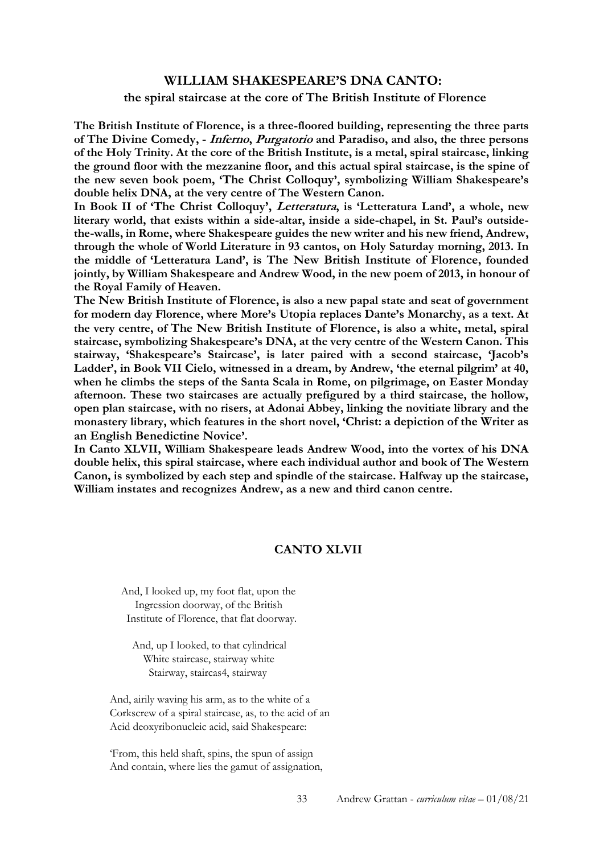## **WILLIAM SHAKESPEARE'S DNA CANTO: the spiral staircase at the core of The British Institute of Florence**

**The British Institute of Florence, is a three-floored building, representing the three parts of The Divine Comedy, - Inferno, Purgatorio and Paradiso, and also, the three persons of the Holy Trinity. At the core of the British Institute, is a metal, spiral staircase, linking the ground floor with the mezzanine floor, and this actual spiral staircase, is the spine of the new seven book poem, 'The Christ Colloquy', symbolizing William Shakespeare's double helix DNA, at the very centre of The Western Canon.** 

**In Book II of 'The Christ Colloquy', Letteratura, is 'Letteratura Land', a whole, new literary world, that exists within a side-altar, inside a side-chapel, in St. Paul's outsidethe-walls, in Rome, where Shakespeare guides the new writer and his new friend, Andrew, through the whole of World Literature in 93 cantos, on Holy Saturday morning, 2013. In the middle of 'Letteratura Land', is The New British Institute of Florence, founded jointly, by William Shakespeare and Andrew Wood, in the new poem of 2013, in honour of the Royal Family of Heaven.** 

**The New British Institute of Florence, is also a new papal state and seat of government for modern day Florence, where More's Utopia replaces Dante's Monarchy, as a text. At the very centre, of The New British Institute of Florence, is also a white, metal, spiral staircase, symbolizing Shakespeare's DNA, at the very centre of the Western Canon. This stairway, 'Shakespeare's Staircase', is later paired with a second staircase, 'Jacob's Ladder', in Book VII Cielo, witnessed in a dream, by Andrew, 'the eternal pilgrim' at 40, when he climbs the steps of the Santa Scala in Rome, on pilgrimage, on Easter Monday afternoon. These two staircases are actually prefigured by a third staircase, the hollow, open plan staircase, with no risers, at Adonai Abbey, linking the novitiate library and the monastery library, which features in the short novel, 'Christ: a depiction of the Writer as an English Benedictine Novice'.** 

**In Canto XLVII, William Shakespeare leads Andrew Wood, into the vortex of his DNA double helix, this spiral staircase, where each individual author and book of The Western Canon, is symbolized by each step and spindle of the staircase. Halfway up the staircase, William instates and recognizes Andrew, as a new and third canon centre.** 

## **CANTO XLVII**

 And, I looked up, my foot flat, upon the Ingression doorway, of the British Institute of Florence, that flat doorway.

 And, up I looked, to that cylindrical White staircase, stairway white Stairway, staircas4, stairway

And, airily waving his arm, as to the white of a Corkscrew of a spiral staircase, as, to the acid of an Acid deoxyribonucleic acid, said Shakespeare:

'From, this held shaft, spins, the spun of assign And contain, where lies the gamut of assignation,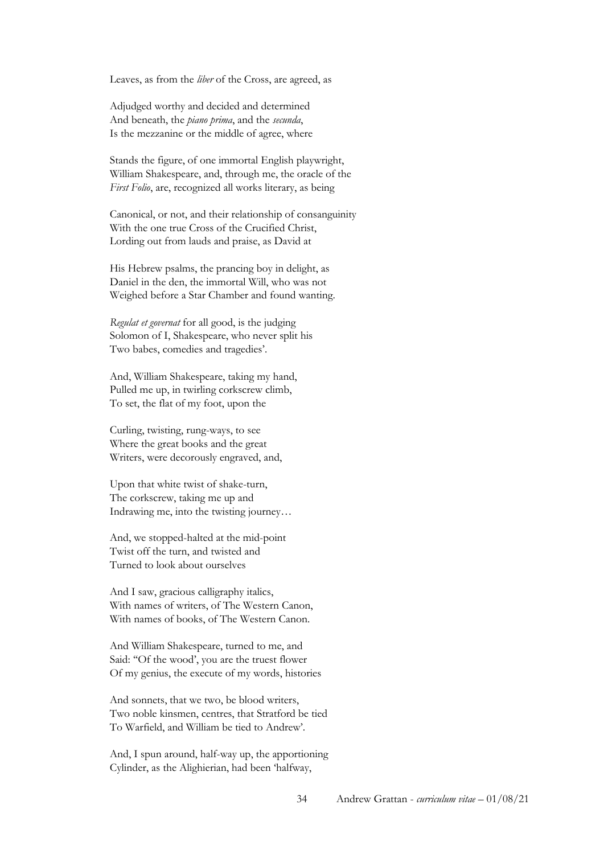Leaves, as from the *liber* of the Cross, are agreed, as

Adjudged worthy and decided and determined And beneath, the *piano prima*, and the *secunda*, Is the mezzanine or the middle of agree, where

Stands the figure, of one immortal English playwright, William Shakespeare, and, through me, the oracle of the *First Folio*, are, recognized all works literary, as being

Canonical, or not, and their relationship of consanguinity With the one true Cross of the Crucified Christ, Lording out from lauds and praise, as David at

His Hebrew psalms, the prancing boy in delight, as Daniel in the den, the immortal Will, who was not Weighed before a Star Chamber and found wanting.

*Regulat et governat* for all good, is the judging Solomon of I, Shakespeare, who never split his Two babes, comedies and tragedies'.

And, William Shakespeare, taking my hand, Pulled me up, in twirling corkscrew climb, To set, the flat of my foot, upon the

Curling, twisting, rung-ways, to see Where the great books and the great Writers, were decorously engraved, and,

Upon that white twist of shake-turn, The corkscrew, taking me up and Indrawing me, into the twisting journey…

And, we stopped-halted at the mid-point Twist off the turn, and twisted and Turned to look about ourselves

And I saw, gracious calligraphy italics, With names of writers, of The Western Canon, With names of books, of The Western Canon.

And William Shakespeare, turned to me, and Said: ''Of the wood', you are the truest flower Of my genius, the execute of my words, histories

And sonnets, that we two, be blood writers, Two noble kinsmen, centres, that Stratford be tied To Warfield, and William be tied to Andrew'.

And, I spun around, half-way up, the apportioning Cylinder, as the Alighierian, had been 'halfway,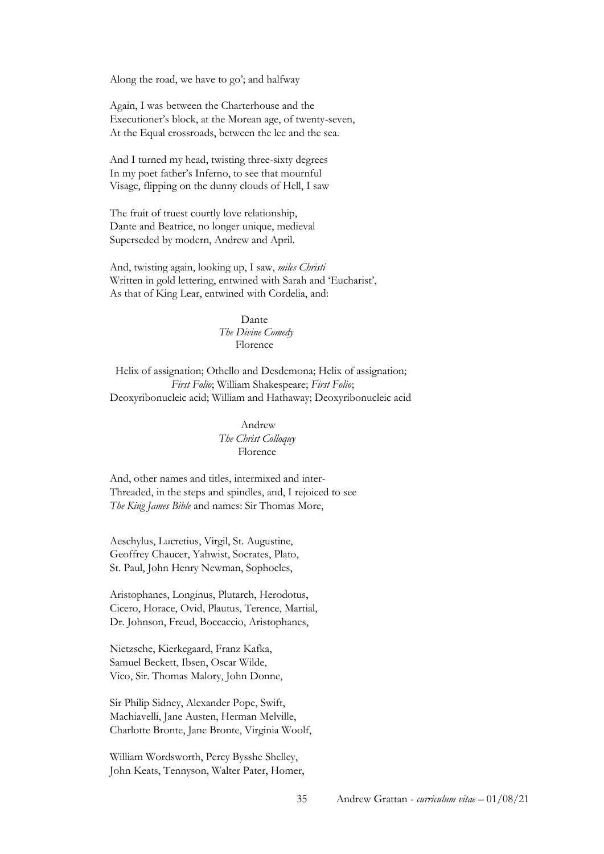Along the road, we have to go'; and halfway

Again, I was between the Charterhouse and the Executioner's block, at the Morean age, of twenty-seven, At the Equal crossroads, between the lee and the sea.

And I turned my head, twisting three-sixty degrees In my poet father's Inferno, to see that mournful Visage, flipping on the dunny clouds of Hell, I saw

The fruit of truest courtly love relationship, Dante and Beatrice, no longer unique, medieval Superseded by modern, Andrew and April.

And, twisting again, looking up, I saw, *miles Christi* Written in gold lettering, entwined with Sarah and 'Eucharist', As that of King Lear, entwined with Cordelia, and:

> Dante *The Divine Comedy*  Florence

 Helix of assignation; Othello and Desdemona; Helix of assignation;  *First Folio*; William Shakespeare; *First Folio*; Deoxyribonucleic acid; William and Hathaway; Deoxyribonucleic acid

> Andrew *The Christ Colloquy*  Florence

And, other names and titles, intermixed and inter-Threaded, in the steps and spindles, and, I rejoiced to see *The King James Bible* and names: Sir Thomas More,

Aeschylus, Lucretius, Virgil, St. Augustine, Geoffrey Chaucer, Yahwist, Socrates, Plato, St. Paul, John Henry Newman, Sophocles,

Aristophanes, Longinus, Plutarch, Herodotus, Cicero, Horace, Ovid, Plautus, Terence, Martial, Dr. Johnson, Freud, Boccaccio, Aristophanes,

Nietzsche, Kierkegaard, Franz Kafka, Samuel Beckett, Ibsen, Oscar Wilde, Vico, Sir. Thomas Malory, John Donne,

Sir Philip Sidney, Alexander Pope, Swift, Machiavelli, Jane Austen, Herman Melville, Charlotte Bronte, Jane Bronte, Virginia Woolf,

William Wordsworth, Percy Bysshe Shelley, John Keats, Tennyson, Walter Pater, Homer,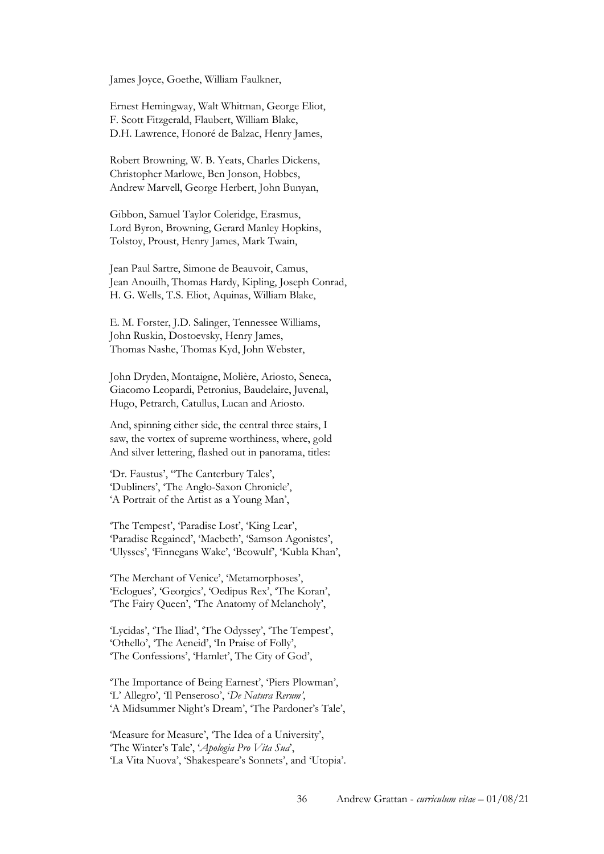James Joyce, Goethe, William Faulkner,

Ernest Hemingway, Walt Whitman, George Eliot, F. Scott Fitzgerald, Flaubert, William Blake, D.H. Lawrence, Honoré de Balzac, Henry James,

Robert Browning, W. B. Yeats, Charles Dickens, Christopher Marlowe, Ben Jonson, Hobbes, Andrew Marvell, George Herbert, John Bunyan,

Gibbon, Samuel Taylor Coleridge, Erasmus, Lord Byron, Browning, Gerard Manley Hopkins, Tolstoy, Proust, Henry James, Mark Twain,

Jean Paul Sartre, Simone de Beauvoir, Camus, Jean Anouilh, Thomas Hardy, Kipling, Joseph Conrad, H. G. Wells, T.S. Eliot, Aquinas, William Blake,

E. M. Forster, J.D. Salinger, Tennessee Williams, John Ruskin, Dostoevsky, Henry James, Thomas Nashe, Thomas Kyd, John Webster,

John Dryden, Montaigne, Molière, Ariosto, Seneca, Giacomo Leopardi, Petronius, Baudelaire, Juvenal, Hugo, Petrarch, Catullus, Lucan and Ariosto.

And, spinning either side, the central three stairs, I saw, the vortex of supreme worthiness, where, gold And silver lettering, flashed out in panorama, titles:

'Dr. Faustus', ''The Canterbury Tales', 'Dubliners', 'The Anglo-Saxon Chronicle', 'A Portrait of the Artist as a Young Man',

'The Tempest', 'Paradise Lost', 'King Lear', 'Paradise Regained', 'Macbeth', 'Samson Agonistes', 'Ulysses', 'Finnegans Wake', 'Beowulf', 'Kubla Khan',

'The Merchant of Venice', 'Metamorphoses', 'Eclogues', 'Georgics', 'Oedipus Rex', 'The Koran', 'The Fairy Queen', 'The Anatomy of Melancholy',

'Lycidas', 'The Iliad', 'The Odyssey', 'The Tempest', 'Othello', 'The Aeneid', 'In Praise of Folly', 'The Confessions', 'Hamlet', The City of God',

'The Importance of Being Earnest', 'Piers Plowman', 'L' Allegro', 'Il Penseroso', '*De Natura Rerum'*, 'A Midsummer Night's Dream', 'The Pardoner's Tale',

'Measure for Measure', 'The Idea of a University', 'The Winter's Tale', '*Apologia Pro Vita Sua*', 'La Vita Nuova', 'Shakespeare's Sonnets', and 'Utopia'.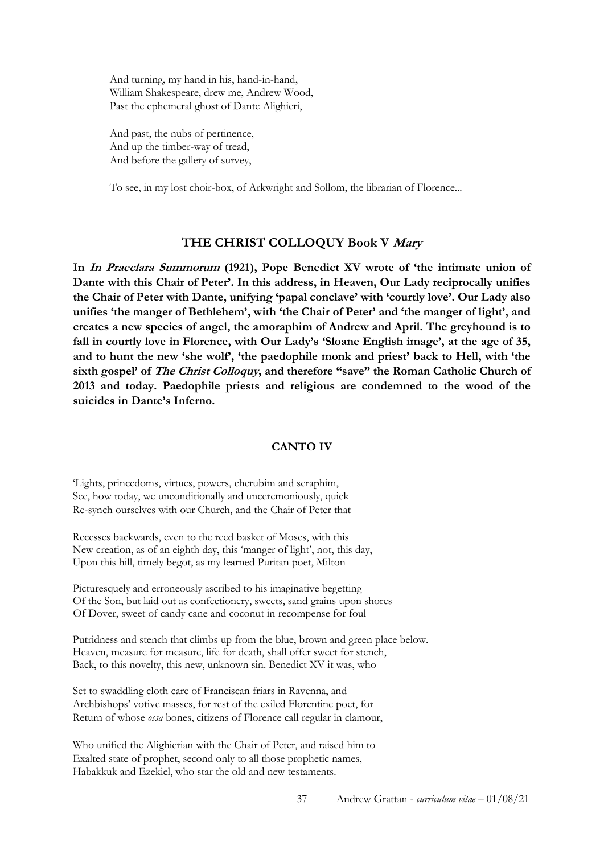And turning, my hand in his, hand-in-hand, William Shakespeare, drew me, Andrew Wood, Past the ephemeral ghost of Dante Alighieri,

And past, the nubs of pertinence, And up the timber-way of tread, And before the gallery of survey,

To see, in my lost choir-box, of Arkwright and Sollom, the librarian of Florence...

### **THE CHRIST COLLOQUY Book V Mary**

**In In Praeclara Summorum (1921), Pope Benedict XV wrote of 'the intimate union of Dante with this Chair of Peter'. In this address, in Heaven, Our Lady reciprocally unifies the Chair of Peter with Dante, unifying 'papal conclave' with 'courtly love'. Our Lady also unifies 'the manger of Bethlehem', with 'the Chair of Peter' and 'the manger of light', and creates a new species of angel, the amoraphim of Andrew and April. The greyhound is to fall in courtly love in Florence, with Our Lady's 'Sloane English image', at the age of 35, and to hunt the new 'she wolf', 'the paedophile monk and priest' back to Hell, with 'the sixth gospel' of The Christ Colloquy, and therefore "save" the Roman Catholic Church of 2013 and today. Paedophile priests and religious are condemned to the wood of the suicides in Dante's Inferno.** 

#### **CANTO IV**

'Lights, princedoms, virtues, powers, cherubim and seraphim, See, how today, we unconditionally and unceremoniously, quick Re-synch ourselves with our Church, and the Chair of Peter that

Recesses backwards, even to the reed basket of Moses, with this New creation, as of an eighth day, this 'manger of light', not, this day, Upon this hill, timely begot, as my learned Puritan poet, Milton

Picturesquely and erroneously ascribed to his imaginative begetting Of the Son, but laid out as confectionery, sweets, sand grains upon shores Of Dover, sweet of candy cane and coconut in recompense for foul

Putridness and stench that climbs up from the blue, brown and green place below. Heaven, measure for measure, life for death, shall offer sweet for stench, Back, to this novelty, this new, unknown sin. Benedict XV it was, who

Set to swaddling cloth care of Franciscan friars in Ravenna, and Archbishops' votive masses, for rest of the exiled Florentine poet, for Return of whose *ossa* bones, citizens of Florence call regular in clamour,

Who unified the Alighierian with the Chair of Peter, and raised him to Exalted state of prophet, second only to all those prophetic names, Habakkuk and Ezekiel, who star the old and new testaments.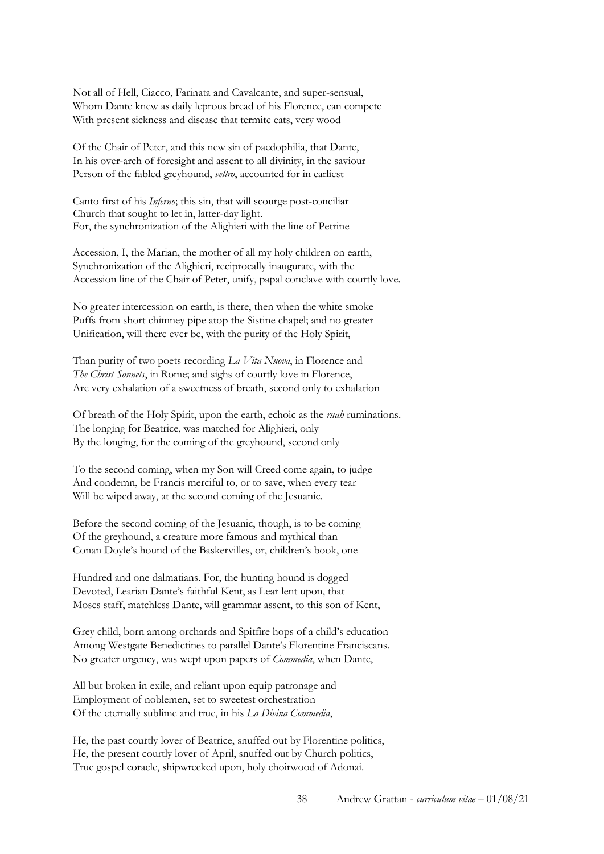Not all of Hell, Ciacco, Farinata and Cavalcante, and super-sensual, Whom Dante knew as daily leprous bread of his Florence, can compete With present sickness and disease that termite eats, very wood

Of the Chair of Peter, and this new sin of paedophilia, that Dante, In his over-arch of foresight and assent to all divinity, in the saviour Person of the fabled greyhound, *veltro*, accounted for in earliest

Canto first of his *Inferno*; this sin, that will scourge post-conciliar Church that sought to let in, latter-day light. For, the synchronization of the Alighieri with the line of Petrine

Accession, I, the Marian, the mother of all my holy children on earth, Synchronization of the Alighieri, reciprocally inaugurate, with the Accession line of the Chair of Peter, unify, papal conclave with courtly love.

No greater intercession on earth, is there, then when the white smoke Puffs from short chimney pipe atop the Sistine chapel; and no greater Unification, will there ever be, with the purity of the Holy Spirit,

Than purity of two poets recording *La Vita Nuova*, in Florence and *The Christ Sonnets*, in Rome; and sighs of courtly love in Florence, Are very exhalation of a sweetness of breath, second only to exhalation

Of breath of the Holy Spirit, upon the earth, echoic as the *ruah* ruminations. The longing for Beatrice, was matched for Alighieri, only By the longing, for the coming of the greyhound, second only

To the second coming, when my Son will Creed come again, to judge And condemn, be Francis merciful to, or to save, when every tear Will be wiped away, at the second coming of the Jesuanic.

Before the second coming of the Jesuanic, though, is to be coming Of the greyhound, a creature more famous and mythical than Conan Doyle's hound of the Baskervilles, or, children's book, one

Hundred and one dalmatians. For, the hunting hound is dogged Devoted, Learian Dante's faithful Kent, as Lear lent upon, that Moses staff, matchless Dante, will grammar assent, to this son of Kent,

Grey child, born among orchards and Spitfire hops of a child's education Among Westgate Benedictines to parallel Dante's Florentine Franciscans. No greater urgency, was wept upon papers of *Commedia*, when Dante,

All but broken in exile, and reliant upon equip patronage and Employment of noblemen, set to sweetest orchestration Of the eternally sublime and true, in his *La Divina Commedia*,

He, the past courtly lover of Beatrice, snuffed out by Florentine politics, He, the present courtly lover of April, snuffed out by Church politics, True gospel coracle, shipwrecked upon, holy choirwood of Adonai.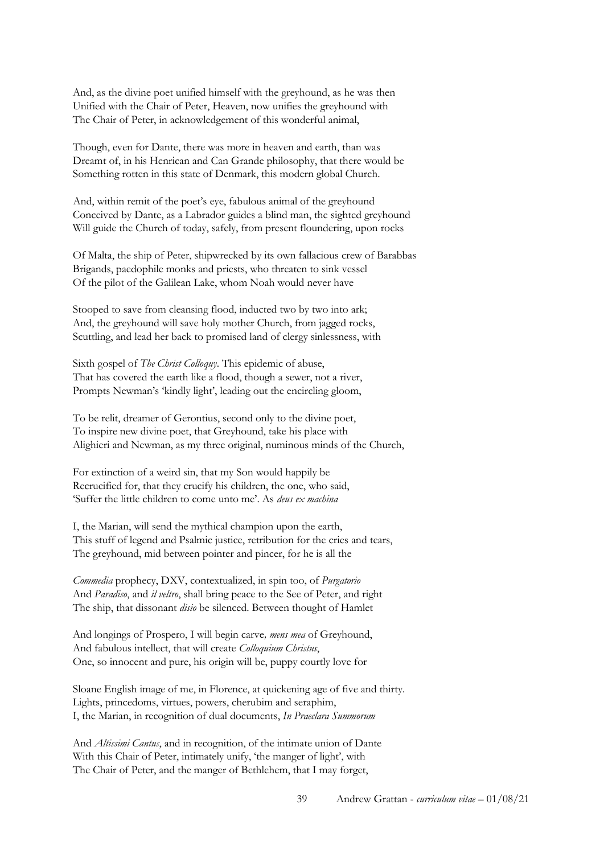And, as the divine poet unified himself with the greyhound, as he was then Unified with the Chair of Peter, Heaven, now unifies the greyhound with The Chair of Peter, in acknowledgement of this wonderful animal,

Though, even for Dante, there was more in heaven and earth, than was Dreamt of, in his Henrican and Can Grande philosophy, that there would be Something rotten in this state of Denmark, this modern global Church.

And, within remit of the poet's eye, fabulous animal of the greyhound Conceived by Dante, as a Labrador guides a blind man, the sighted greyhound Will guide the Church of today, safely, from present floundering, upon rocks

Of Malta, the ship of Peter, shipwrecked by its own fallacious crew of Barabbas Brigands, paedophile monks and priests, who threaten to sink vessel Of the pilot of the Galilean Lake, whom Noah would never have

Stooped to save from cleansing flood, inducted two by two into ark; And, the greyhound will save holy mother Church, from jagged rocks, Scuttling, and lead her back to promised land of clergy sinlessness, with

Sixth gospel of *The Christ Colloquy*. This epidemic of abuse, That has covered the earth like a flood, though a sewer, not a river, Prompts Newman's 'kindly light', leading out the encircling gloom,

To be relit, dreamer of Gerontius, second only to the divine poet, To inspire new divine poet, that Greyhound, take his place with Alighieri and Newman, as my three original, numinous minds of the Church,

For extinction of a weird sin, that my Son would happily be Recrucified for, that they crucify his children, the one, who said, 'Suffer the little children to come unto me'. As *deus ex machina*

I, the Marian, will send the mythical champion upon the earth, This stuff of legend and Psalmic justice, retribution for the cries and tears, The greyhound, mid between pointer and pincer, for he is all the

*Commedia* prophecy, DXV, contextualized, in spin too, of *Purgatorio*  And *Paradiso*, and *il veltro*, shall bring peace to the See of Peter, and right The ship, that dissonant *disio* be silenced. Between thought of Hamlet

And longings of Prospero, I will begin carve*, mens mea* of Greyhound, And fabulous intellect, that will create *Colloquium Christus*, One, so innocent and pure, his origin will be, puppy courtly love for

Sloane English image of me, in Florence, at quickening age of five and thirty. Lights, princedoms, virtues, powers, cherubim and seraphim, I, the Marian, in recognition of dual documents, *In Praeclara Summorum*

And *Altissimi Cantus*, and in recognition, of the intimate union of Dante With this Chair of Peter, intimately unify, 'the manger of light', with The Chair of Peter, and the manger of Bethlehem, that I may forget,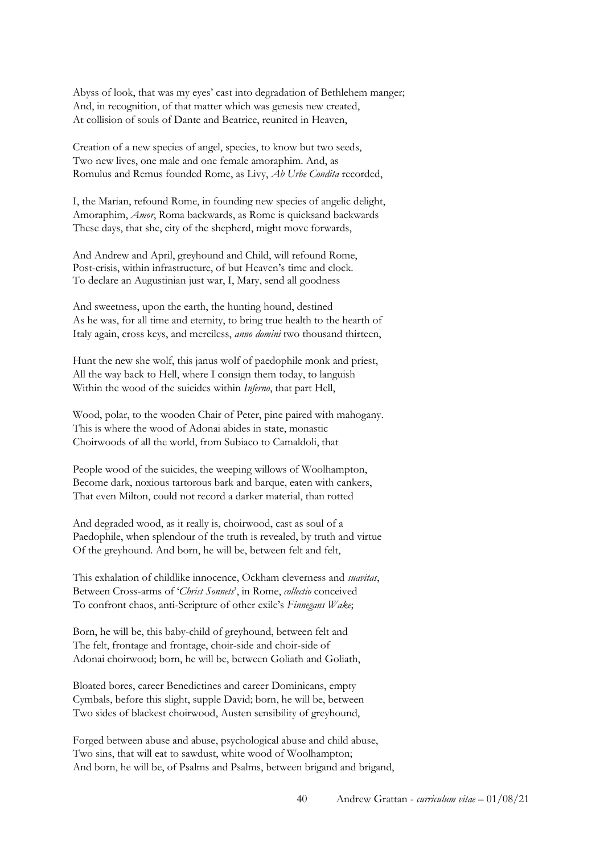Abyss of look, that was my eyes' cast into degradation of Bethlehem manger; And, in recognition, of that matter which was genesis new created, At collision of souls of Dante and Beatrice, reunited in Heaven,

Creation of a new species of angel, species, to know but two seeds, Two new lives, one male and one female amoraphim. And, as Romulus and Remus founded Rome, as Livy, *Ab Urbe Condita* recorded,

I, the Marian, refound Rome, in founding new species of angelic delight, Amoraphim, *Amor*, Roma backwards, as Rome is quicksand backwards These days, that she, city of the shepherd, might move forwards,

And Andrew and April, greyhound and Child, will refound Rome, Post-crisis, within infrastructure, of but Heaven's time and clock. To declare an Augustinian just war, I, Mary, send all goodness

And sweetness, upon the earth, the hunting hound, destined As he was, for all time and eternity, to bring true health to the hearth of Italy again, cross keys, and merciless, *anno domini* two thousand thirteen,

Hunt the new she wolf, this janus wolf of paedophile monk and priest, All the way back to Hell, where I consign them today, to languish Within the wood of the suicides within *Inferno*, that part Hell,

Wood, polar, to the wooden Chair of Peter, pine paired with mahogany. This is where the wood of Adonai abides in state, monastic Choirwoods of all the world, from Subiaco to Camaldoli, that

People wood of the suicides, the weeping willows of Woolhampton, Become dark, noxious tartorous bark and barque, eaten with cankers, That even Milton, could not record a darker material, than rotted

And degraded wood, as it really is, choirwood, cast as soul of a Paedophile, when splendour of the truth is revealed, by truth and virtue Of the greyhound. And born, he will be, between felt and felt,

This exhalation of childlike innocence, Ockham cleverness and *suavitas*, Between Cross-arms of '*Christ Sonnets*', in Rome, *collectio* conceived To confront chaos, anti-Scripture of other exile's *Finnegans Wake*;

Born, he will be, this baby-child of greyhound, between felt and The felt, frontage and frontage, choir-side and choir-side of Adonai choirwood; born, he will be, between Goliath and Goliath,

Bloated bores, career Benedictines and career Dominicans, empty Cymbals, before this slight, supple David; born, he will be, between Two sides of blackest choirwood, Austen sensibility of greyhound,

Forged between abuse and abuse, psychological abuse and child abuse, Two sins, that will eat to sawdust, white wood of Woolhampton; And born, he will be, of Psalms and Psalms, between brigand and brigand,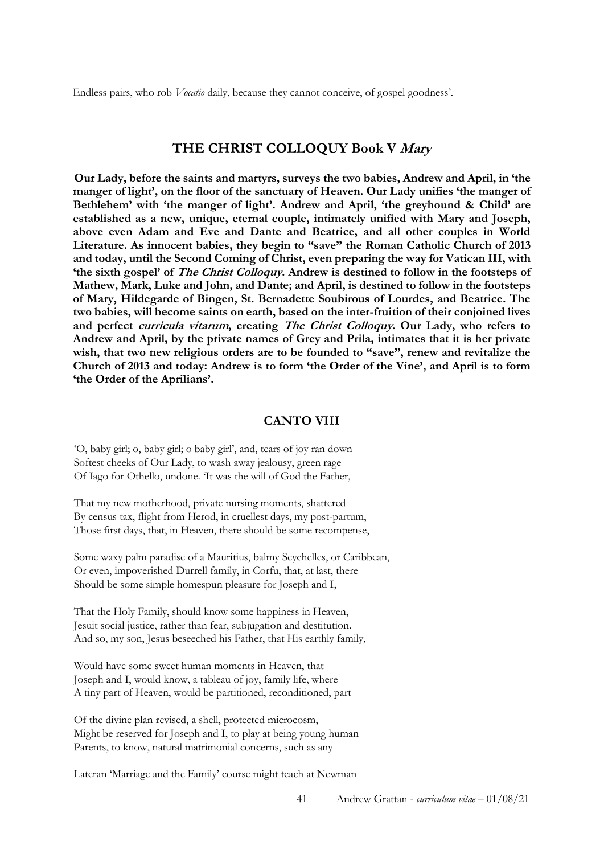Endless pairs, who rob *Vocatio* daily, because they cannot conceive, of gospel goodness'.

### **THE CHRIST COLLOQUY Book V Mary**

**Our Lady, before the saints and martyrs, surveys the two babies, Andrew and April, in 'the manger of light', on the floor of the sanctuary of Heaven. Our Lady unifies 'the manger of Bethlehem' with 'the manger of light'. Andrew and April, 'the greyhound & Child' are established as a new, unique, eternal couple, intimately unified with Mary and Joseph, above even Adam and Eve and Dante and Beatrice, and all other couples in World Literature. As innocent babies, they begin to "save" the Roman Catholic Church of 2013 and today, until the Second Coming of Christ, even preparing the way for Vatican III, with 'the sixth gospel' of The Christ Colloquy. Andrew is destined to follow in the footsteps of Mathew, Mark, Luke and John, and Dante; and April, is destined to follow in the footsteps of Mary, Hildegarde of Bingen, St. Bernadette Soubirous of Lourdes, and Beatrice. The two babies, will become saints on earth, based on the inter-fruition of their conjoined lives and perfect curricula vitarum, creating The Christ Colloquy. Our Lady, who refers to Andrew and April, by the private names of Grey and Prila, intimates that it is her private wish, that two new religious orders are to be founded to "save", renew and revitalize the Church of 2013 and today: Andrew is to form 'the Order of the Vine', and April is to form 'the Order of the Aprilians'.** 

#### **CANTO VIII**

'O, baby girl; o, baby girl; o baby girl', and, tears of joy ran down Softest cheeks of Our Lady, to wash away jealousy, green rage Of Iago for Othello, undone. 'It was the will of God the Father,

That my new motherhood, private nursing moments, shattered By census tax, flight from Herod, in cruellest days, my post-partum, Those first days, that, in Heaven, there should be some recompense,

Some waxy palm paradise of a Mauritius, balmy Seychelles, or Caribbean, Or even, impoverished Durrell family, in Corfu, that, at last, there Should be some simple homespun pleasure for Joseph and I,

That the Holy Family, should know some happiness in Heaven, Jesuit social justice, rather than fear, subjugation and destitution. And so, my son, Jesus beseeched his Father, that His earthly family,

Would have some sweet human moments in Heaven, that Joseph and I, would know, a tableau of joy, family life, where A tiny part of Heaven, would be partitioned, reconditioned, part

Of the divine plan revised, a shell, protected microcosm, Might be reserved for Joseph and I, to play at being young human Parents, to know, natural matrimonial concerns, such as any

Lateran 'Marriage and the Family' course might teach at Newman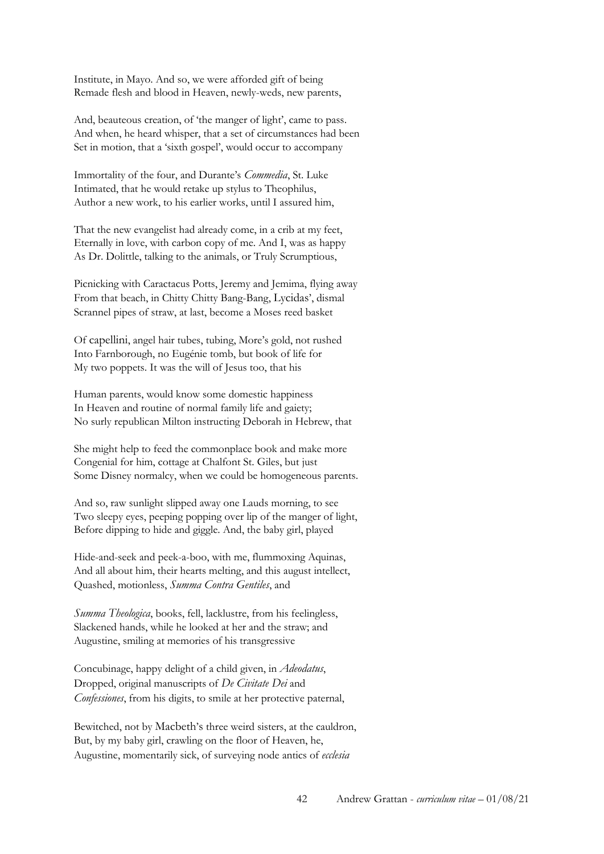Institute, in Mayo. And so, we were afforded gift of being Remade flesh and blood in Heaven, newly-weds, new parents,

And, beauteous creation, of 'the manger of light', came to pass. And when, he heard whisper, that a set of circumstances had been Set in motion, that a 'sixth gospel', would occur to accompany

Immortality of the four, and Durante's *Commedia*, St. Luke Intimated, that he would retake up stylus to Theophilus, Author a new work, to his earlier works, until I assured him,

That the new evangelist had already come, in a crib at my feet, Eternally in love, with carbon copy of me. And I, was as happy As Dr. Dolittle, talking to the animals, or Truly Scrumptious,

Picnicking with Caractacus Potts, Jeremy and Jemima, flying away From that beach, in Chitty Chitty Bang-Bang, Lycidas', dismal Scrannel pipes of straw, at last, become a Moses reed basket

Of capellini, angel hair tubes, tubing, More's gold, not rushed Into Farnborough, no Eugénie tomb, but book of life for My two poppets. It was the will of Jesus too, that his

Human parents, would know some domestic happiness In Heaven and routine of normal family life and gaiety; No surly republican Milton instructing Deborah in Hebrew, that

She might help to feed the commonplace book and make more Congenial for him, cottage at Chalfont St. Giles, but just Some Disney normalcy, when we could be homogeneous parents.

And so, raw sunlight slipped away one Lauds morning, to see Two sleepy eyes, peeping popping over lip of the manger of light, Before dipping to hide and giggle. And, the baby girl, played

Hide-and-seek and peek-a-boo, with me, flummoxing Aquinas, And all about him, their hearts melting, and this august intellect, Quashed, motionless, *Summa Contra Gentiles*, and

*Summa Theologica*, books, fell, lacklustre, from his feelingless, Slackened hands, while he looked at her and the straw; and Augustine, smiling at memories of his transgressive

Concubinage, happy delight of a child given, in *Adeodatus*, Dropped, original manuscripts of *De Civitate Dei* and *Confessiones*, from his digits, to smile at her protective paternal,

Bewitched, not by Macbeth's three weird sisters, at the cauldron, But, by my baby girl, crawling on the floor of Heaven, he, Augustine, momentarily sick, of surveying node antics of *ecclesia*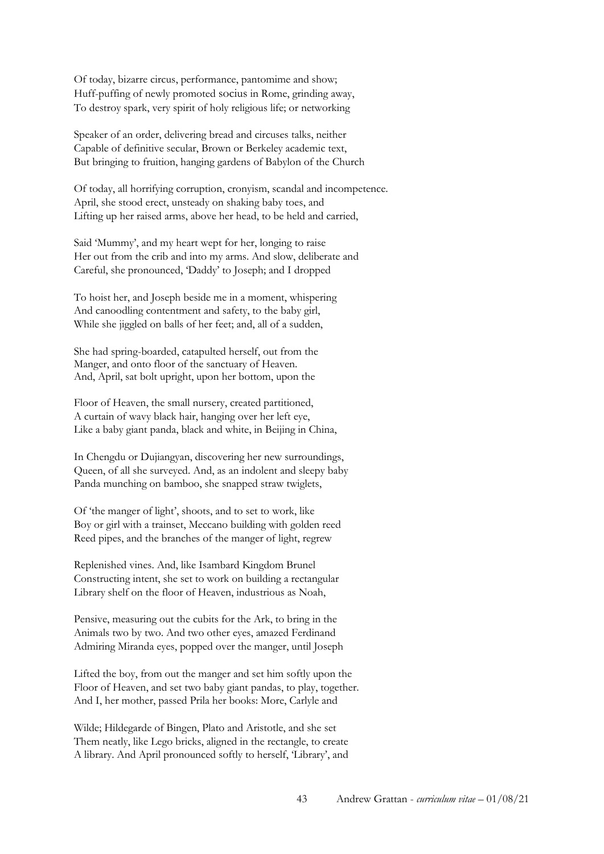Of today, bizarre circus, performance, pantomime and show; Huff-puffing of newly promoted socius in Rome, grinding away, To destroy spark, very spirit of holy religious life; or networking

Speaker of an order, delivering bread and circuses talks, neither Capable of definitive secular, Brown or Berkeley academic text, But bringing to fruition, hanging gardens of Babylon of the Church

Of today, all horrifying corruption, cronyism, scandal and incompetence. April, she stood erect, unsteady on shaking baby toes, and Lifting up her raised arms, above her head, to be held and carried,

Said 'Mummy', and my heart wept for her, longing to raise Her out from the crib and into my arms. And slow, deliberate and Careful, she pronounced, 'Daddy' to Joseph; and I dropped

To hoist her, and Joseph beside me in a moment, whispering And canoodling contentment and safety, to the baby girl, While she jiggled on balls of her feet; and, all of a sudden,

She had spring-boarded, catapulted herself, out from the Manger, and onto floor of the sanctuary of Heaven. And, April, sat bolt upright, upon her bottom, upon the

Floor of Heaven, the small nursery, created partitioned, A curtain of wavy black hair, hanging over her left eye, Like a baby giant panda, black and white, in Beijing in China,

In Chengdu or Dujiangyan, discovering her new surroundings, Queen, of all she surveyed. And, as an indolent and sleepy baby Panda munching on bamboo, she snapped straw twiglets,

Of 'the manger of light', shoots, and to set to work, like Boy or girl with a trainset, Meccano building with golden reed Reed pipes, and the branches of the manger of light, regrew

Replenished vines. And, like Isambard Kingdom Brunel Constructing intent, she set to work on building a rectangular Library shelf on the floor of Heaven, industrious as Noah,

Pensive, measuring out the cubits for the Ark, to bring in the Animals two by two. And two other eyes, amazed Ferdinand Admiring Miranda eyes, popped over the manger, until Joseph

Lifted the boy, from out the manger and set him softly upon the Floor of Heaven, and set two baby giant pandas, to play, together. And I, her mother, passed Prila her books: More, Carlyle and

Wilde; Hildegarde of Bingen, Plato and Aristotle, and she set Them neatly, like Lego bricks, aligned in the rectangle, to create A library. And April pronounced softly to herself, 'Library', and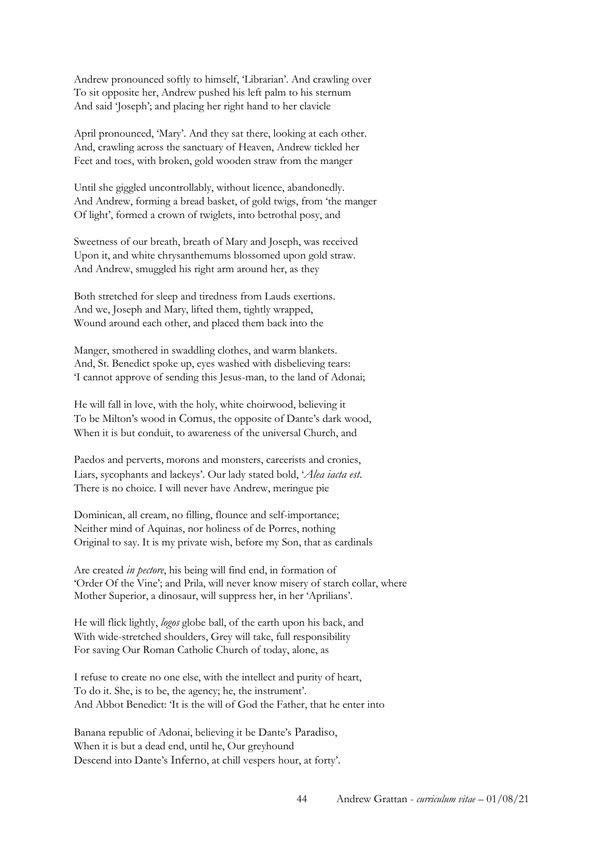Andrew pronounced softly to himself, 'Librarian'. And crawling over To sit opposite her, Andrew pushed his left palm to his sternum And said 'Joseph'; and placing her right hand to her clavicle

April pronounced, 'Mary'. And they sat there, looking at each other. And, crawling across the sanctuary of Heaven, Andrew tickled her Feet and toes, with broken, gold wooden straw from the manger

Until she giggled uncontrollably, without licence, abandonedly. And Andrew, forming a bread basket, of gold twigs, from 'the manger Of light', formed a crown of twiglets, into betrothal posy, and

Sweetness of our breath, breath of Mary and Joseph, was received Upon it, and white chrysanthemums blossomed upon gold straw. And Andrew, smuggled his right arm around her, as they

Both stretched for sleep and tiredness from Lauds exertions. And we, Joseph and Mary, lifted them, tightly wrapped, Wound around each other, and placed them back into the

Manger, smothered in swaddling clothes, and warm blankets. And, St. Benedict spoke up, eyes washed with disbelieving tears: 'I cannot approve of sending this Jesus-man, to the land of Adonai;

He will fall in love, with the holy, white choirwood, believing it To be Milton's wood in Comus, the opposite of Dante's dark wood, When it is but conduit, to awareness of the universal Church, and

Paedos and perverts, morons and monsters, careerists and cronies, Liars, sycophants and lackeys'. Our lady stated bold, '*Alea iacta est*. There is no choice. I will never have Andrew, meringue pie

Dominican, all cream, no filling, flounce and self-importance; Neither mind of Aquinas, nor holiness of de Porres, nothing Original to say. It is my private wish, before my Son, that as cardinals

Are created *in pectore*, his being will find end, in formation of 'Order Of the Vine'; and Prila, will never know misery of starch collar, where Mother Superior, a dinosaur, will suppress her, in her 'Aprilians'.

He will flick lightly, *logos* globe ball, of the earth upon his back, and With wide-stretched shoulders, Grey will take, full responsibility For saving Our Roman Catholic Church of today, alone, as

I refuse to create no one else, with the intellect and purity of heart, To do it. She, is to be, the agency; he, the instrument'. And Abbot Benedict: 'It is the will of God the Father, that he enter into

Banana republic of Adonai, believing it be Dante's Paradiso, When it is but a dead end, until he, Our greyhound Descend into Dante's Inferno, at chill vespers hour, at forty'.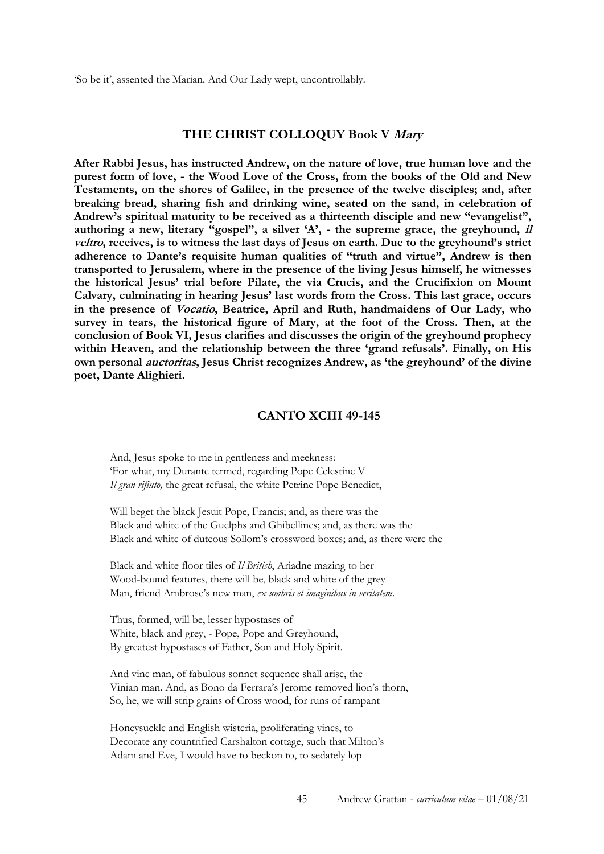'So be it', assented the Marian. And Our Lady wept, uncontrollably.

#### **THE CHRIST COLLOQUY Book V Mary**

**After Rabbi Jesus, has instructed Andrew, on the nature of love, true human love and the purest form of love, - the Wood Love of the Cross, from the books of the Old and New Testaments, on the shores of Galilee, in the presence of the twelve disciples; and, after breaking bread, sharing fish and drinking wine, seated on the sand, in celebration of Andrew's spiritual maturity to be received as a thirteenth disciple and new "evangelist", authoring a new, literary "gospel", a silver 'A', - the supreme grace, the greyhound, il veltro, receives, is to witness the last days of Jesus on earth. Due to the greyhound's strict adherence to Dante's requisite human qualities of "truth and virtue", Andrew is then transported to Jerusalem, where in the presence of the living Jesus himself, he witnesses the historical Jesus' trial before Pilate, the via Crucis, and the Crucifixion on Mount Calvary, culminating in hearing Jesus' last words from the Cross. This last grace, occurs in the presence of Vocatio, Beatrice, April and Ruth, handmaidens of Our Lady, who survey in tears, the historical figure of Mary, at the foot of the Cross. Then, at the conclusion of Book VI, Jesus clarifies and discusses the origin of the greyhound prophecy within Heaven, and the relationship between the three 'grand refusals'. Finally, on His own personal auctoritas, Jesus Christ recognizes Andrew, as 'the greyhound' of the divine poet, Dante Alighieri.** 

### **CANTO XCIII 49-145**

And, Jesus spoke to me in gentleness and meekness: 'For what, my Durante termed, regarding Pope Celestine V *Il gran rifiuto,* the great refusal, the white Petrine Pope Benedict,

Will beget the black Jesuit Pope, Francis; and, as there was the Black and white of the Guelphs and Ghibellines; and, as there was the Black and white of duteous Sollom's crossword boxes; and, as there were the

Black and white floor tiles of *Il British*, Ariadne mazing to her Wood-bound features, there will be, black and white of the grey Man, friend Ambrose's new man, *ex umbris et imaginibus in veritatem*.

Thus, formed, will be, lesser hypostases of White, black and grey, - Pope, Pope and Greyhound, By greatest hypostases of Father, Son and Holy Spirit.

And vine man, of fabulous sonnet sequence shall arise, the Vinian man. And, as Bono da Ferrara's Jerome removed lion's thorn, So, he, we will strip grains of Cross wood, for runs of rampant

Honeysuckle and English wisteria, proliferating vines, to Decorate any countrified Carshalton cottage, such that Milton's Adam and Eve, I would have to beckon to, to sedately lop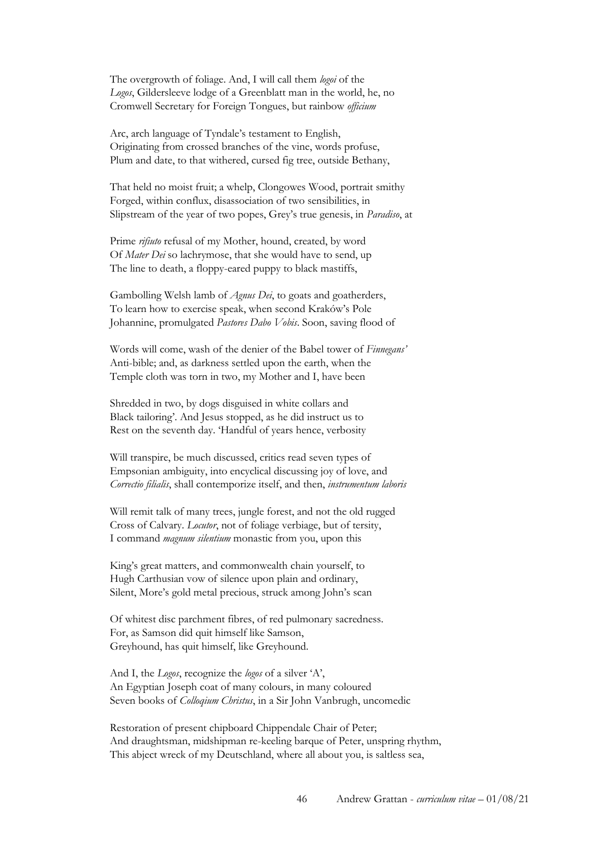The overgrowth of foliage. And, I will call them *logoi* of the *Logos*, Gildersleeve lodge of a Greenblatt man in the world, he, no Cromwell Secretary for Foreign Tongues, but rainbow *officium* 

Arc, arch language of Tyndale's testament to English, Originating from crossed branches of the vine, words profuse, Plum and date, to that withered, cursed fig tree, outside Bethany,

That held no moist fruit; a whelp, Clongowes Wood, portrait smithy Forged, within conflux, disassociation of two sensibilities, in Slipstream of the year of two popes, Grey's true genesis, in *Paradiso*, at

Prime *rifiuto* refusal of my Mother, hound, created, by word Of *Mater Dei* so lachrymose, that she would have to send, up The line to death, a floppy-eared puppy to black mastiffs,

Gambolling Welsh lamb of *Agnus Dei*, to goats and goatherders, To learn how to exercise speak, when second Kraków's Pole Johannine, promulgated *Pastores Dabo Vobis*. Soon, saving flood of

Words will come, wash of the denier of the Babel tower of *Finnegans'*  Anti-bible; and, as darkness settled upon the earth, when the Temple cloth was torn in two, my Mother and I, have been

Shredded in two, by dogs disguised in white collars and Black tailoring'. And Jesus stopped, as he did instruct us to Rest on the seventh day. 'Handful of years hence, verbosity

Will transpire, be much discussed, critics read seven types of Empsonian ambiguity, into encyclical discussing joy of love, and *Correctio filialis*, shall contemporize itself, and then, *instrumentum laboris* 

Will remit talk of many trees, jungle forest, and not the old rugged Cross of Calvary. *Locutor*, not of foliage verbiage, but of tersity, I command *magnum silentium* monastic from you, upon this

King's great matters, and commonwealth chain yourself, to Hugh Carthusian vow of silence upon plain and ordinary, Silent, More's gold metal precious, struck among John's scan

Of whitest disc parchment fibres, of red pulmonary sacredness. For, as Samson did quit himself like Samson, Greyhound, has quit himself, like Greyhound.

And I, the *Logos*, recognize the *logos* of a silver 'A', An Egyptian Joseph coat of many colours, in many coloured Seven books of *Colloqium Christus*, in a Sir John Vanbrugh, uncomedic

Restoration of present chipboard Chippendale Chair of Peter; And draughtsman, midshipman re-keeling barque of Peter, unspring rhythm, This abject wreck of my Deutschland, where all about you, is saltless sea,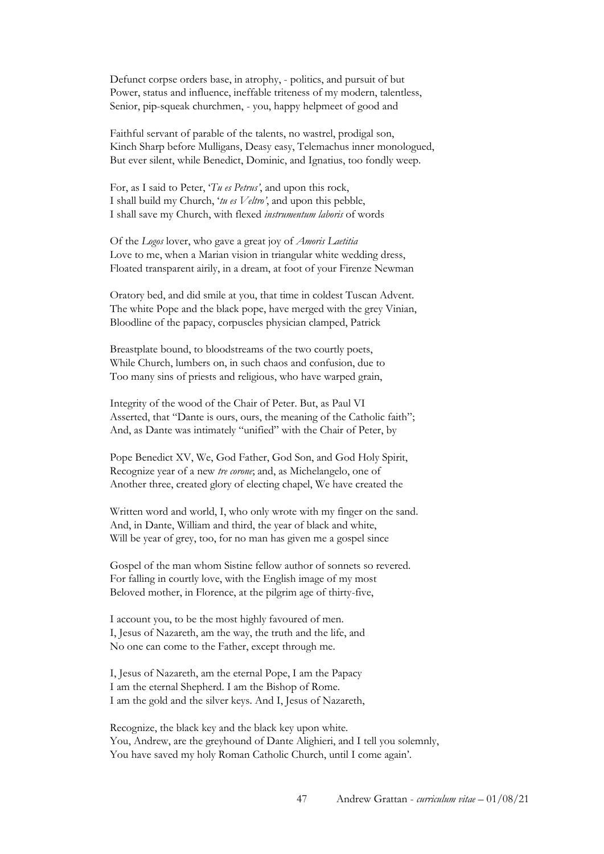Defunct corpse orders base, in atrophy, - politics, and pursuit of but Power, status and influence, ineffable triteness of my modern, talentless, Senior, pip-squeak churchmen, - you, happy helpmeet of good and

Faithful servant of parable of the talents, no wastrel, prodigal son, Kinch Sharp before Mulligans, Deasy easy, Telemachus inner monologued, But ever silent, while Benedict, Dominic, and Ignatius, too fondly weep.

For, as I said to Peter, '*Tu es Petrus'*, and upon this rock, I shall build my Church, '*tu es Veltro'*, and upon this pebble, I shall save my Church, with flexed *instrumentum laboris* of words

Of the *Logos* lover, who gave a great joy of *Amoris Laetitia*  Love to me, when a Marian vision in triangular white wedding dress, Floated transparent airily, in a dream, at foot of your Firenze Newman

Oratory bed, and did smile at you, that time in coldest Tuscan Advent. The white Pope and the black pope, have merged with the grey Vinian, Bloodline of the papacy, corpuscles physician clamped, Patrick

Breastplate bound, to bloodstreams of the two courtly poets, While Church, lumbers on, in such chaos and confusion, due to Too many sins of priests and religious, who have warped grain,

Integrity of the wood of the Chair of Peter. But, as Paul VI Asserted, that "Dante is ours, ours, the meaning of the Catholic faith"; And, as Dante was intimately "unified" with the Chair of Peter, by

Pope Benedict XV, We, God Father, God Son, and God Holy Spirit, Recognize year of a new *tre corone*; and, as Michelangelo, one of Another three, created glory of electing chapel, We have created the

Written word and world, I, who only wrote with my finger on the sand. And, in Dante, William and third, the year of black and white, Will be year of grey, too, for no man has given me a gospel since

Gospel of the man whom Sistine fellow author of sonnets so revered. For falling in courtly love, with the English image of my most Beloved mother, in Florence, at the pilgrim age of thirty-five,

I account you, to be the most highly favoured of men. I, Jesus of Nazareth, am the way, the truth and the life, and No one can come to the Father, except through me.

I, Jesus of Nazareth, am the eternal Pope, I am the Papacy I am the eternal Shepherd. I am the Bishop of Rome. I am the gold and the silver keys. And I, Jesus of Nazareth,

Recognize, the black key and the black key upon white. You, Andrew, are the greyhound of Dante Alighieri, and I tell you solemnly, You have saved my holy Roman Catholic Church, until I come again'.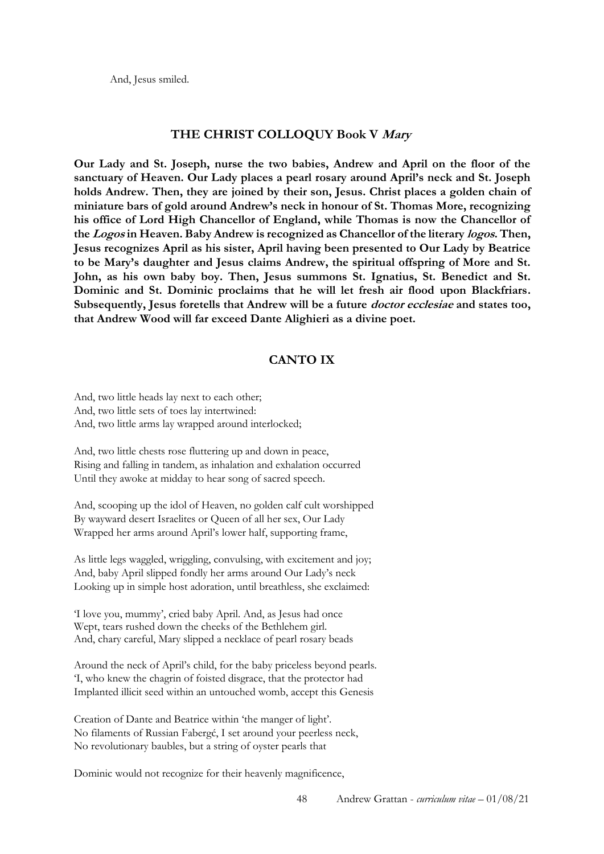And, Jesus smiled.

#### **THE CHRIST COLLOQUY Book V Mary**

**Our Lady and St. Joseph, nurse the two babies, Andrew and April on the floor of the sanctuary of Heaven. Our Lady places a pearl rosary around April's neck and St. Joseph holds Andrew. Then, they are joined by their son, Jesus. Christ places a golden chain of miniature bars of gold around Andrew's neck in honour of St. Thomas More, recognizing his office of Lord High Chancellor of England, while Thomas is now the Chancellor of the Logos in Heaven. Baby Andrew is recognized as Chancellor of the literary logos. Then, Jesus recognizes April as his sister, April having been presented to Our Lady by Beatrice to be Mary's daughter and Jesus claims Andrew, the spiritual offspring of More and St. John, as his own baby boy. Then, Jesus summons St. Ignatius, St. Benedict and St. Dominic and St. Dominic proclaims that he will let fresh air flood upon Blackfriars. Subsequently, Jesus foretells that Andrew will be a future doctor ecclesiae and states too, that Andrew Wood will far exceed Dante Alighieri as a divine poet.** 

### **CANTO IX**

And, two little heads lay next to each other; And, two little sets of toes lay intertwined: And, two little arms lay wrapped around interlocked;

And, two little chests rose fluttering up and down in peace, Rising and falling in tandem, as inhalation and exhalation occurred Until they awoke at midday to hear song of sacred speech.

And, scooping up the idol of Heaven, no golden calf cult worshipped By wayward desert Israelites or Queen of all her sex, Our Lady Wrapped her arms around April's lower half, supporting frame,

As little legs waggled, wriggling, convulsing, with excitement and joy; And, baby April slipped fondly her arms around Our Lady's neck Looking up in simple host adoration, until breathless, she exclaimed:

'I love you, mummy', cried baby April. And, as Jesus had once Wept, tears rushed down the cheeks of the Bethlehem girl. And, chary careful, Mary slipped a necklace of pearl rosary beads

Around the neck of April's child, for the baby priceless beyond pearls. 'I, who knew the chagrin of foisted disgrace, that the protector had Implanted illicit seed within an untouched womb, accept this Genesis

Creation of Dante and Beatrice within 'the manger of light'. No filaments of Russian Fabergć, I set around your peerless neck, No revolutionary baubles, but a string of oyster pearls that

Dominic would not recognize for their heavenly magnificence,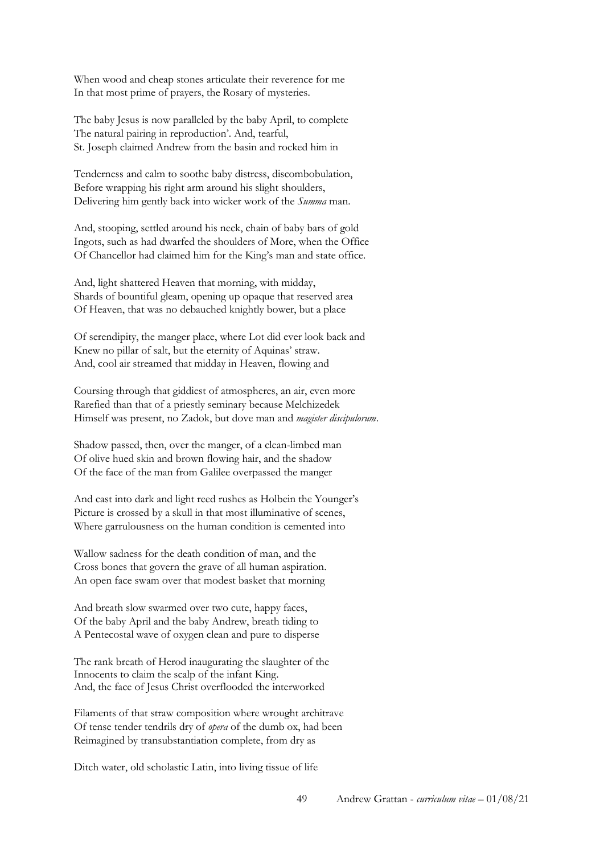When wood and cheap stones articulate their reverence for me In that most prime of prayers, the Rosary of mysteries.

The baby Jesus is now paralleled by the baby April, to complete The natural pairing in reproduction'. And, tearful, St. Joseph claimed Andrew from the basin and rocked him in

Tenderness and calm to soothe baby distress, discombobulation, Before wrapping his right arm around his slight shoulders, Delivering him gently back into wicker work of the *Summa* man.

And, stooping, settled around his neck, chain of baby bars of gold Ingots, such as had dwarfed the shoulders of More, when the Office Of Chancellor had claimed him for the King's man and state office.

And, light shattered Heaven that morning, with midday, Shards of bountiful gleam, opening up opaque that reserved area Of Heaven, that was no debauched knightly bower, but a place

Of serendipity, the manger place, where Lot did ever look back and Knew no pillar of salt, but the eternity of Aquinas' straw. And, cool air streamed that midday in Heaven, flowing and

Coursing through that giddiest of atmospheres, an air, even more Rarefied than that of a priestly seminary because Melchizedek Himself was present, no Zadok, but dove man and *magister discipulorum*.

Shadow passed, then, over the manger, of a clean-limbed man Of olive hued skin and brown flowing hair, and the shadow Of the face of the man from Galilee overpassed the manger

And cast into dark and light reed rushes as Holbein the Younger's Picture is crossed by a skull in that most illuminative of scenes, Where garrulousness on the human condition is cemented into

Wallow sadness for the death condition of man, and the Cross bones that govern the grave of all human aspiration. An open face swam over that modest basket that morning

And breath slow swarmed over two cute, happy faces, Of the baby April and the baby Andrew, breath tiding to A Pentecostal wave of oxygen clean and pure to disperse

The rank breath of Herod inaugurating the slaughter of the Innocents to claim the scalp of the infant King. And, the face of Jesus Christ overflooded the interworked

Filaments of that straw composition where wrought architrave Of tense tender tendrils dry of *opera* of the dumb ox, had been Reimagined by transubstantiation complete, from dry as

Ditch water, old scholastic Latin, into living tissue of life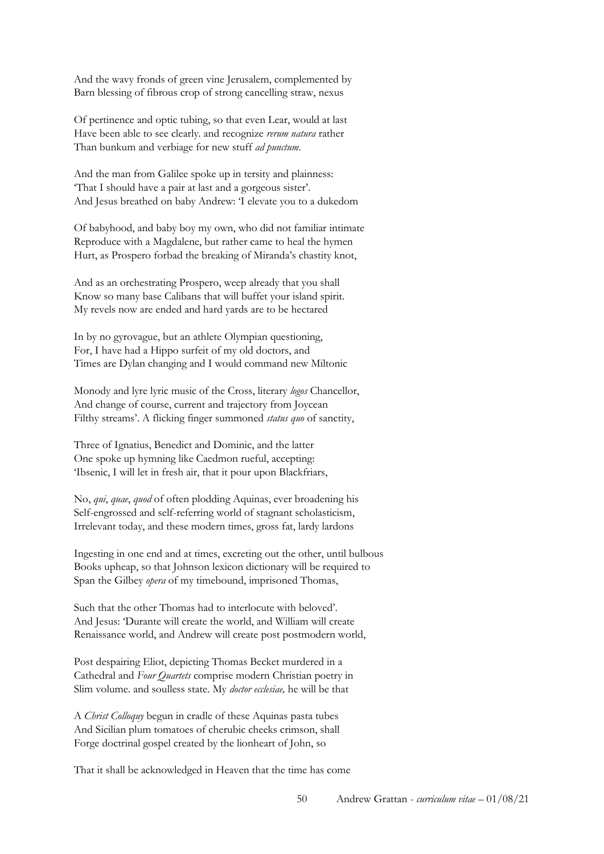And the wavy fronds of green vine Jerusalem, complemented by Barn blessing of fibrous crop of strong cancelling straw, nexus

Of pertinence and optic tubing, so that even Lear, would at last Have been able to see clearly. and recognize *rerum natura* rather Than bunkum and verbiage for new stuff *ad punctum*.

And the man from Galilee spoke up in tersity and plainness: 'That I should have a pair at last and a gorgeous sister'. And Jesus breathed on baby Andrew: 'I elevate you to a dukedom

Of babyhood, and baby boy my own, who did not familiar intimate Reproduce with a Magdalene, but rather came to heal the hymen Hurt, as Prospero forbad the breaking of Miranda's chastity knot,

And as an orchestrating Prospero, weep already that you shall Know so many base Calibans that will buffet your island spirit. My revels now are ended and hard yards are to be hectared

In by no gyrovague, but an athlete Olympian questioning, For, I have had a Hippo surfeit of my old doctors, and Times are Dylan changing and I would command new Miltonic

Monody and lyre lyric music of the Cross, literary *logos* Chancellor, And change of course, current and trajectory from Joycean Filthy streams'. A flicking finger summoned *status quo* of sanctity,

Three of Ignatius, Benedict and Dominic, and the latter One spoke up hymning like Caedmon rueful, accepting: 'Ibsenic, I will let in fresh air, that it pour upon Blackfriars,

No, *qui*, *quae*, *quod* of often plodding Aquinas, ever broadening his Self-engrossed and self-referring world of stagnant scholasticism, Irrelevant today, and these modern times, gross fat, lardy lardons

Ingesting in one end and at times, excreting out the other, until bulbous Books upheap, so that Johnson lexicon dictionary will be required to Span the Gilbey *opera* of my timebound, imprisoned Thomas,

Such that the other Thomas had to interlocute with beloved'. And Jesus: 'Durante will create the world, and William will create Renaissance world, and Andrew will create post postmodern world,

Post despairing Eliot, depicting Thomas Becket murdered in a Cathedral and *Four Quartets* comprise modern Christian poetry in Slim volume. and soulless state. My *doctor ecclesiae,* he will be that

A *Christ Colloquy* begun in cradle of these Aquinas pasta tubes And Sicilian plum tomatoes of cherubic cheeks crimson, shall Forge doctrinal gospel created by the lionheart of John, so

That it shall be acknowledged in Heaven that the time has come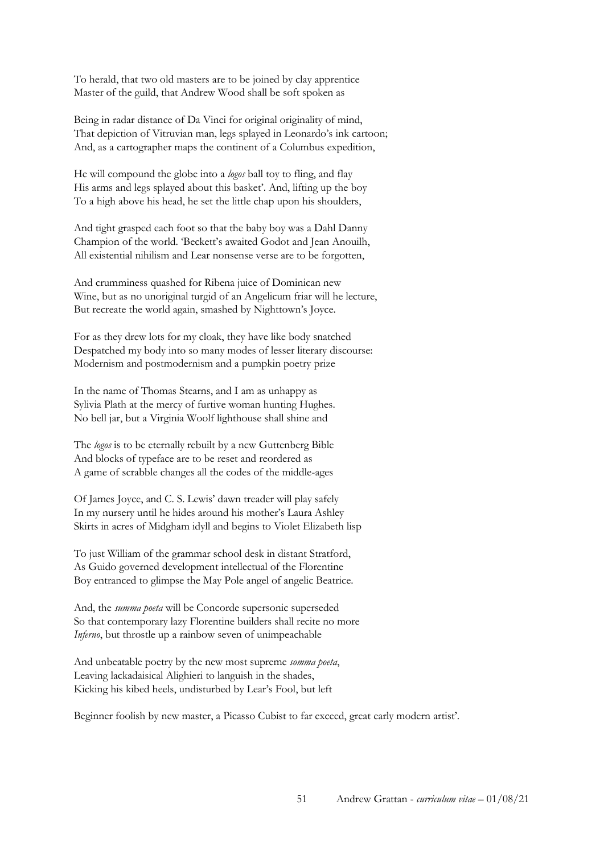To herald, that two old masters are to be joined by clay apprentice Master of the guild, that Andrew Wood shall be soft spoken as

Being in radar distance of Da Vinci for original originality of mind, That depiction of Vitruvian man, legs splayed in Leonardo's ink cartoon; And, as a cartographer maps the continent of a Columbus expedition,

He will compound the globe into a *logos* ball toy to fling, and flay His arms and legs splayed about this basket'. And, lifting up the boy To a high above his head, he set the little chap upon his shoulders,

And tight grasped each foot so that the baby boy was a Dahl Danny Champion of the world. 'Beckett's awaited Godot and Jean Anouilh, All existential nihilism and Lear nonsense verse are to be forgotten,

And crumminess quashed for Ribena juice of Dominican new Wine, but as no unoriginal turgid of an Angelicum friar will he lecture, But recreate the world again, smashed by Nighttown's Joyce.

For as they drew lots for my cloak, they have like body snatched Despatched my body into so many modes of lesser literary discourse: Modernism and postmodernism and a pumpkin poetry prize

In the name of Thomas Stearns, and I am as unhappy as Sylivia Plath at the mercy of furtive woman hunting Hughes. No bell jar, but a Virginia Woolf lighthouse shall shine and

The *logos* is to be eternally rebuilt by a new Guttenberg Bible And blocks of typeface are to be reset and reordered as A game of scrabble changes all the codes of the middle-ages

Of James Joyce, and C. S. Lewis' dawn treader will play safely In my nursery until he hides around his mother's Laura Ashley Skirts in acres of Midgham idyll and begins to Violet Elizabeth lisp

To just William of the grammar school desk in distant Stratford, As Guido governed development intellectual of the Florentine Boy entranced to glimpse the May Pole angel of angelic Beatrice.

And, the *summa poeta* will be Concorde supersonic superseded So that contemporary lazy Florentine builders shall recite no more *Inferno*, but throstle up a rainbow seven of unimpeachable

And unbeatable poetry by the new most supreme *somma poeta*, Leaving lackadaisical Alighieri to languish in the shades, Kicking his kibed heels, undisturbed by Lear's Fool, but left

Beginner foolish by new master, a Picasso Cubist to far exceed, great early modern artist'.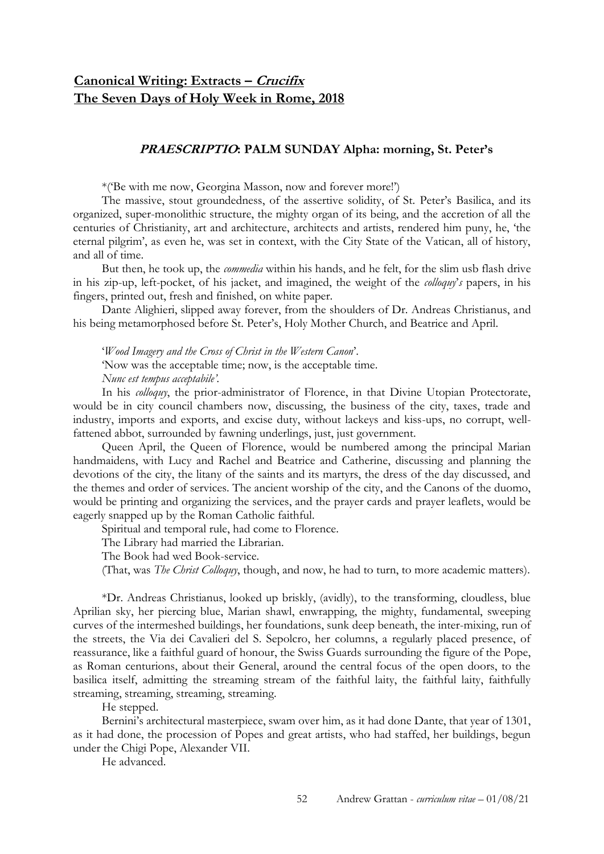# **Canonical Writing: Extracts – Crucifix The Seven Days of Holy Week in Rome, 2018**

### **PRAESCRIPTIO: PALM SUNDAY Alpha: morning, St. Peter's**

\*('Be with me now, Georgina Masson, now and forever more!')

The massive, stout groundedness, of the assertive solidity, of St. Peter's Basilica, and its organized, super-monolithic structure, the mighty organ of its being, and the accretion of all the centuries of Christianity, art and architecture, architects and artists, rendered him puny, he, 'the eternal pilgrim', as even he, was set in context, with the City State of the Vatican, all of history, and all of time.

But then, he took up, the *commedia* within his hands, and he felt, for the slim usb flash drive in his zip-up, left-pocket, of his jacket, and imagined, the weight of the *colloquy*'*s* papers, in his fingers, printed out, fresh and finished, on white paper.

Dante Alighieri, slipped away forever, from the shoulders of Dr. Andreas Christianus, and his being metamorphosed before St. Peter's, Holy Mother Church, and Beatrice and April.

'*Wood Imagery and the Cross of Christ in the Western Canon*'. 'Now was the acceptable time; now, is the acceptable time. *Nunc est tempus acceptabile'.*

In his *colloquy*, the prior-administrator of Florence, in that Divine Utopian Protectorate, would be in city council chambers now, discussing, the business of the city, taxes, trade and industry, imports and exports, and excise duty, without lackeys and kiss-ups, no corrupt, wellfattened abbot, surrounded by fawning underlings, just, just government.

Queen April, the Queen of Florence, would be numbered among the principal Marian handmaidens, with Lucy and Rachel and Beatrice and Catherine, discussing and planning the devotions of the city, the litany of the saints and its martyrs, the dress of the day discussed, and the themes and order of services. The ancient worship of the city, and the Canons of the duomo, would be printing and organizing the services, and the prayer cards and prayer leaflets, would be eagerly snapped up by the Roman Catholic faithful.

Spiritual and temporal rule, had come to Florence.

The Library had married the Librarian.

The Book had wed Book-service.

(That, was *The Christ Colloquy*, though, and now, he had to turn, to more academic matters).

\*Dr. Andreas Christianus, looked up briskly, (avidly), to the transforming, cloudless, blue Aprilian sky, her piercing blue, Marian shawl, enwrapping, the mighty, fundamental, sweeping curves of the intermeshed buildings, her foundations, sunk deep beneath, the inter-mixing, run of the streets, the Via dei Cavalieri del S. Sepolcro, her columns, a regularly placed presence, of reassurance, like a faithful guard of honour, the Swiss Guards surrounding the figure of the Pope, as Roman centurions, about their General, around the central focus of the open doors, to the basilica itself, admitting the streaming stream of the faithful laity, the faithful laity, faithfully streaming, streaming, streaming, streaming.

He stepped.

Bernini's architectural masterpiece, swam over him, as it had done Dante, that year of 1301, as it had done, the procession of Popes and great artists, who had staffed, her buildings, begun under the Chigi Pope, Alexander VII.

He advanced.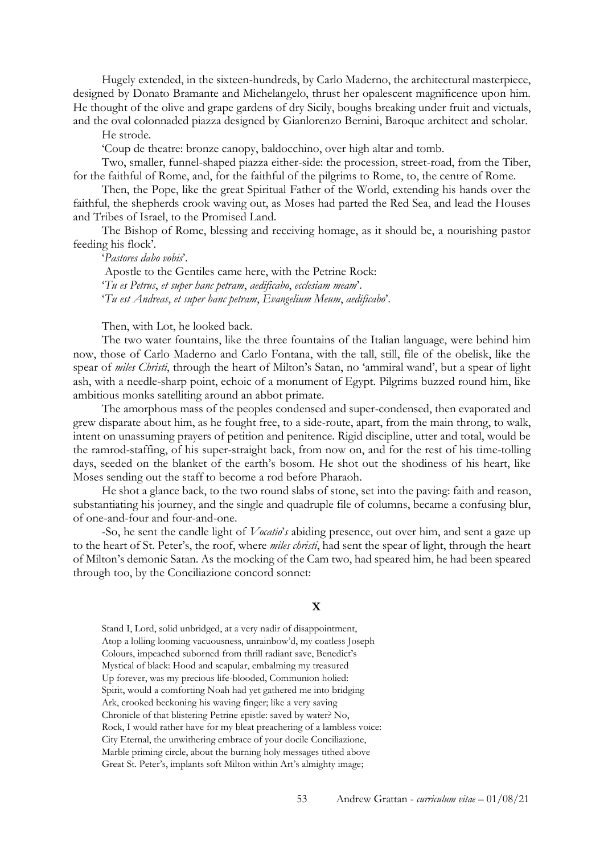Hugely extended, in the sixteen-hundreds, by Carlo Maderno, the architectural masterpiece, designed by Donato Bramante and Michelangelo, thrust her opalescent magnificence upon him. He thought of the olive and grape gardens of dry Sicily, boughs breaking under fruit and victuals, and the oval colonnaded piazza designed by Gianlorenzo Bernini, Baroque architect and scholar.

He strode.

'Coup de theatre: bronze canopy, baldocchino, over high altar and tomb.

Two, smaller, funnel-shaped piazza either-side: the procession, street-road, from the Tiber, for the faithful of Rome, and, for the faithful of the pilgrims to Rome, to, the centre of Rome.

Then, the Pope, like the great Spiritual Father of the World, extending his hands over the faithful, the shepherds crook waving out, as Moses had parted the Red Sea, and lead the Houses and Tribes of Israel, to the Promised Land.

The Bishop of Rome, blessing and receiving homage, as it should be, a nourishing pastor feeding his flock'.

'*Pastores dabo vobis*'.

Apostle to the Gentiles came here, with the Petrine Rock: '*Tu es Petrus*, *et super hanc petram*, *aedificabo*, *ecclesiam meam*'. '*Tu est Andreas*, *et super hanc petram*, *Evangelium Meum*, *aedificabo*'.

Then, with Lot, he looked back.

The two water fountains, like the three fountains of the Italian language, were behind him now, those of Carlo Maderno and Carlo Fontana, with the tall, still, file of the obelisk, like the spear of *miles Christi*, through the heart of Milton's Satan, no 'ammiral wand', but a spear of light ash, with a needle-sharp point, echoic of a monument of Egypt. Pilgrims buzzed round him, like ambitious monks satelliting around an abbot primate.

The amorphous mass of the peoples condensed and super-condensed, then evaporated and grew disparate about him, as he fought free, to a side-route, apart, from the main throng, to walk, intent on unassuming prayers of petition and penitence. Rigid discipline, utter and total, would be the ramrod-staffing, of his super-straight back, from now on, and for the rest of his time-tolling days, seeded on the blanket of the earth's bosom. He shot out the shodiness of his heart, like Moses sending out the staff to become a rod before Pharaoh.

He shot a glance back, to the two round slabs of stone, set into the paving: faith and reason, substantiating his journey, and the single and quadruple file of columns, became a confusing blur, of one-and-four and four-and-one.

-So, he sent the candle light of *Vocatio*'*s* abiding presence, out over him, and sent a gaze up to the heart of St. Peter's, the roof, where *miles christi*, had sent the spear of light, through the heart of Milton's demonic Satan. As the mocking of the Cam two, had speared him, he had been speared through too, by the Conciliazione concord sonnet:

#### **X**

Stand I, Lord, solid unbridged, at a very nadir of disappointment, Atop a lolling looming vacuousness, unrainbow'd, my coatless Joseph Colours, impeached suborned from thrill radiant save, Benedict's Mystical of black: Hood and scapular, embalming my treasured Up forever, was my precious life-blooded, Communion holied: Spirit, would a comforting Noah had yet gathered me into bridging Ark, crooked beckoning his waving finger; like a very saving Chronicle of that blistering Petrine epistle: saved by water? No, Rock, I would rather have for my bleat preachering of a lambless voice: City Eternal, the unwithering embrace of your docile Conciliazione, Marble priming circle, about the burning holy messages tithed above Great St. Peter's, implants soft Milton within Art's almighty image;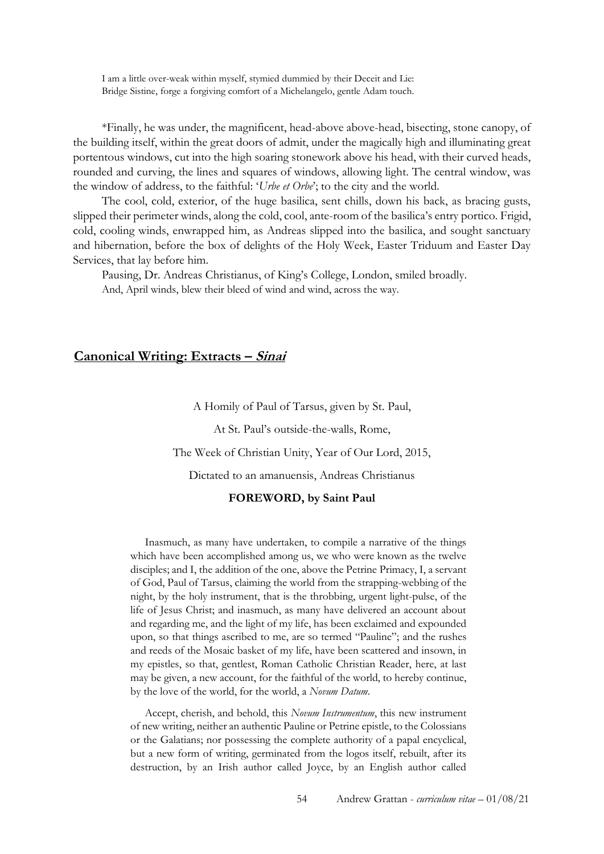I am a little over-weak within myself, stymied dummied by their Deceit and Lie: Bridge Sistine, forge a forgiving comfort of a Michelangelo, gentle Adam touch.

\*Finally, he was under, the magnificent, head-above above-head, bisecting, stone canopy, of the building itself, within the great doors of admit, under the magically high and illuminating great portentous windows, cut into the high soaring stonework above his head, with their curved heads, rounded and curving, the lines and squares of windows, allowing light. The central window, was the window of address, to the faithful: '*Urbe et Orbe*'; to the city and the world.

The cool, cold, exterior, of the huge basilica, sent chills, down his back, as bracing gusts, slipped their perimeter winds, along the cold, cool, ante-room of the basilica's entry portico. Frigid, cold, cooling winds, enwrapped him, as Andreas slipped into the basilica, and sought sanctuary and hibernation, before the box of delights of the Holy Week, Easter Triduum and Easter Day Services, that lay before him.

Pausing, Dr. Andreas Christianus, of King's College, London, smiled broadly. And, April winds, blew their bleed of wind and wind, across the way.

### **Canonical Writing: Extracts – Sinai**

A Homily of Paul of Tarsus, given by St. Paul,

At St. Paul's outside-the-walls, Rome,

The Week of Christian Unity, Year of Our Lord, 2015,

Dictated to an amanuensis, Andreas Christianus

#### **FOREWORD, by Saint Paul**

Inasmuch, as many have undertaken, to compile a narrative of the things which have been accomplished among us, we who were known as the twelve disciples; and I, the addition of the one, above the Petrine Primacy, I, a servant of God, Paul of Tarsus, claiming the world from the strapping-webbing of the night, by the holy instrument, that is the throbbing, urgent light-pulse, of the life of Jesus Christ; and inasmuch, as many have delivered an account about and regarding me, and the light of my life, has been exclaimed and expounded upon, so that things ascribed to me, are so termed "Pauline"; and the rushes and reeds of the Mosaic basket of my life, have been scattered and insown, in my epistles, so that, gentlest, Roman Catholic Christian Reader, here, at last may be given, a new account, for the faithful of the world, to hereby continue, by the love of the world, for the world, a *Novum Datum*.

Accept, cherish, and behold, this *Novum Instrumentum*, this new instrument of new writing, neither an authentic Pauline or Petrine epistle, to the Colossians or the Galatians; nor possessing the complete authority of a papal encyclical, but a new form of writing, germinated from the logos itself, rebuilt, after its destruction, by an Irish author called Joyce, by an English author called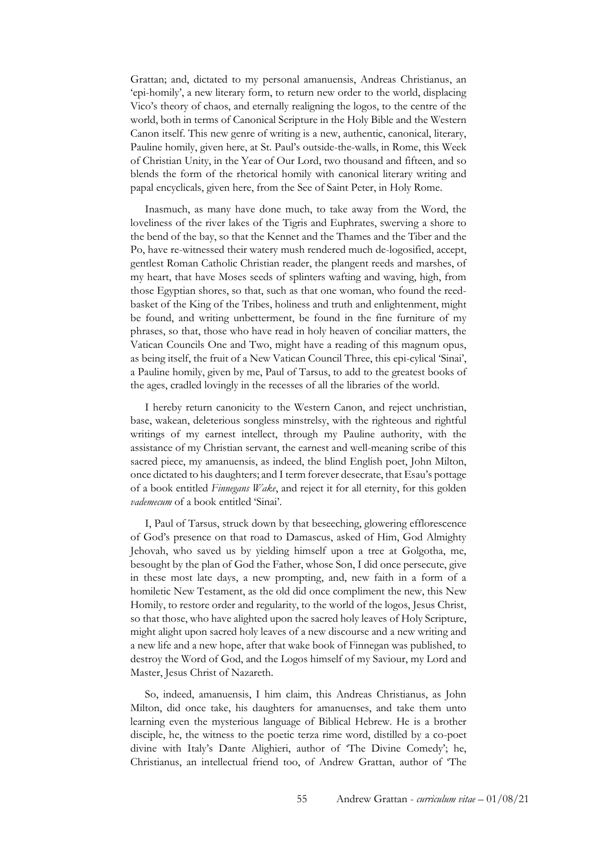Grattan; and, dictated to my personal amanuensis, Andreas Christianus, an 'epi-homily', a new literary form, to return new order to the world, displacing Vico's theory of chaos, and eternally realigning the logos, to the centre of the world, both in terms of Canonical Scripture in the Holy Bible and the Western Canon itself. This new genre of writing is a new, authentic, canonical, literary, Pauline homily, given here, at St. Paul's outside-the-walls, in Rome, this Week of Christian Unity, in the Year of Our Lord, two thousand and fifteen, and so blends the form of the rhetorical homily with canonical literary writing and papal encyclicals, given here, from the See of Saint Peter, in Holy Rome.

Inasmuch, as many have done much, to take away from the Word, the loveliness of the river lakes of the Tigris and Euphrates, swerving a shore to the bend of the bay, so that the Kennet and the Thames and the Tiber and the Po, have re-witnessed their watery mush rendered much de-logosified, accept, gentlest Roman Catholic Christian reader, the plangent reeds and marshes, of my heart, that have Moses seeds of splinters wafting and waving, high, from those Egyptian shores, so that, such as that one woman, who found the reedbasket of the King of the Tribes, holiness and truth and enlightenment, might be found, and writing unbetterment, be found in the fine furniture of my phrases, so that, those who have read in holy heaven of conciliar matters, the Vatican Councils One and Two, might have a reading of this magnum opus, as being itself, the fruit of a New Vatican Council Three, this epi-cylical 'Sinai', a Pauline homily, given by me, Paul of Tarsus, to add to the greatest books of the ages, cradled lovingly in the recesses of all the libraries of the world.

I hereby return canonicity to the Western Canon, and reject unchristian, base, wakean, deleterious songless minstrelsy, with the righteous and rightful writings of my earnest intellect, through my Pauline authority, with the assistance of my Christian servant, the earnest and well-meaning scribe of this sacred piece, my amanuensis, as indeed, the blind English poet, John Milton, once dictated to his daughters; and I term forever desecrate, that Esau's pottage of a book entitled *Finnegans Wake*, and reject it for all eternity, for this golden *vademecum* of a book entitled 'Sinai'.

I, Paul of Tarsus, struck down by that beseeching, glowering efflorescence of God's presence on that road to Damascus, asked of Him, God Almighty Jehovah, who saved us by yielding himself upon a tree at Golgotha, me, besought by the plan of God the Father, whose Son, I did once persecute, give in these most late days, a new prompting, and, new faith in a form of a homiletic New Testament, as the old did once compliment the new, this New Homily, to restore order and regularity, to the world of the logos, Jesus Christ, so that those, who have alighted upon the sacred holy leaves of Holy Scripture, might alight upon sacred holy leaves of a new discourse and a new writing and a new life and a new hope, after that wake book of Finnegan was published, to destroy the Word of God, and the Logos himself of my Saviour, my Lord and Master, Jesus Christ of Nazareth.

So, indeed, amanuensis, I him claim, this Andreas Christianus, as John Milton, did once take, his daughters for amanuenses, and take them unto learning even the mysterious language of Biblical Hebrew. He is a brother disciple, he, the witness to the poetic terza rime word, distilled by a co-poet divine with Italy's Dante Alighieri, author of 'The Divine Comedy'; he, Christianus, an intellectual friend too, of Andrew Grattan, author of 'The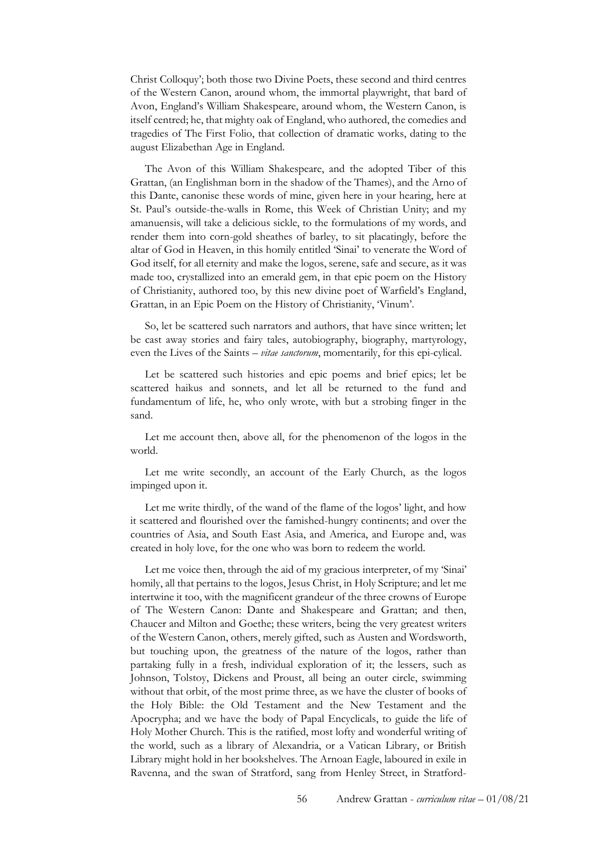Christ Colloquy'; both those two Divine Poets, these second and third centres of the Western Canon, around whom, the immortal playwright, that bard of Avon, England's William Shakespeare, around whom, the Western Canon, is itself centred; he, that mighty oak of England, who authored, the comedies and tragedies of The First Folio, that collection of dramatic works, dating to the august Elizabethan Age in England.

The Avon of this William Shakespeare, and the adopted Tiber of this Grattan, (an Englishman born in the shadow of the Thames), and the Arno of this Dante, canonise these words of mine, given here in your hearing, here at St. Paul's outside-the-walls in Rome, this Week of Christian Unity; and my amanuensis, will take a delicious sickle, to the formulations of my words, and render them into corn-gold sheathes of barley, to sit placatingly, before the altar of God in Heaven, in this homily entitled 'Sinai' to venerate the Word of God itself, for all eternity and make the logos, serene, safe and secure, as it was made too, crystallized into an emerald gem, in that epic poem on the History of Christianity, authored too, by this new divine poet of Warfield's England, Grattan, in an Epic Poem on the History of Christianity, 'Vinum'.

So, let be scattered such narrators and authors, that have since written; let be cast away stories and fairy tales, autobiography, biography, martyrology, even the Lives of the Saints – *vitae sanctorum*, momentarily, for this epi-cylical.

Let be scattered such histories and epic poems and brief epics; let be scattered haikus and sonnets, and let all be returned to the fund and fundamentum of life, he, who only wrote, with but a strobing finger in the sand.

Let me account then, above all, for the phenomenon of the logos in the world.

Let me write secondly, an account of the Early Church, as the logos impinged upon it.

Let me write thirdly, of the wand of the flame of the logos' light, and how it scattered and flourished over the famished-hungry continents; and over the countries of Asia, and South East Asia, and America, and Europe and, was created in holy love, for the one who was born to redeem the world.

Let me voice then, through the aid of my gracious interpreter, of my 'Sinai' homily, all that pertains to the logos, Jesus Christ, in Holy Scripture; and let me intertwine it too, with the magnificent grandeur of the three crowns of Europe of The Western Canon: Dante and Shakespeare and Grattan; and then, Chaucer and Milton and Goethe; these writers, being the very greatest writers of the Western Canon, others, merely gifted, such as Austen and Wordsworth, but touching upon, the greatness of the nature of the logos, rather than partaking fully in a fresh, individual exploration of it; the lessers, such as Johnson, Tolstoy, Dickens and Proust, all being an outer circle, swimming without that orbit, of the most prime three, as we have the cluster of books of the Holy Bible: the Old Testament and the New Testament and the Apocrypha; and we have the body of Papal Encyclicals, to guide the life of Holy Mother Church. This is the ratified, most lofty and wonderful writing of the world, such as a library of Alexandria, or a Vatican Library, or British Library might hold in her bookshelves. The Arnoan Eagle, laboured in exile in Ravenna, and the swan of Stratford, sang from Henley Street, in Stratford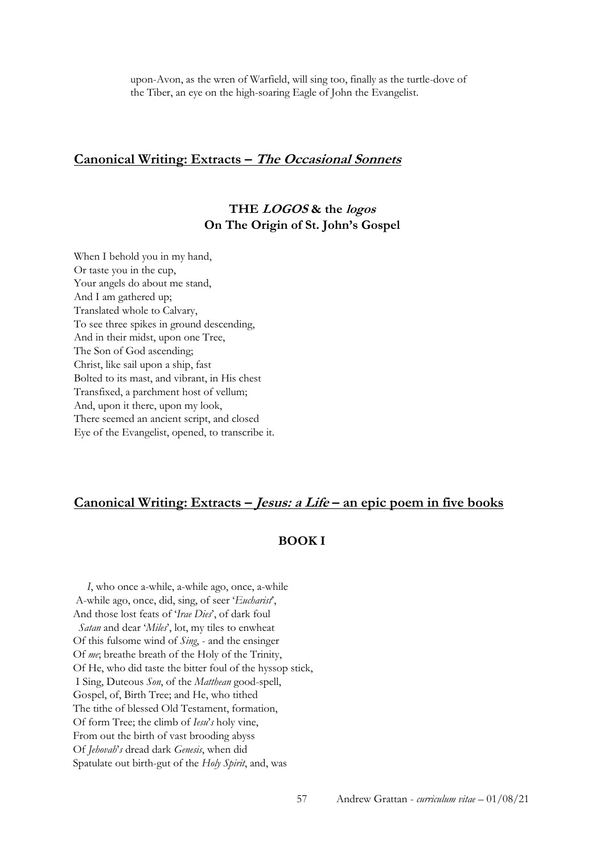upon-Avon, as the wren of Warfield, will sing too, finally as the turtle-dove of the Tiber, an eye on the high-soaring Eagle of John the Evangelist.

### **Canonical Writing: Extracts – The Occasional Sonnets**

## **THE LOGOS & the logos On The Origin of St. John's Gospel**

When I behold you in my hand, Or taste you in the cup, Your angels do about me stand, And I am gathered up; Translated whole to Calvary, To see three spikes in ground descending, And in their midst, upon one Tree, The Son of God ascending; Christ, like sail upon a ship, fast Bolted to its mast, and vibrant, in His chest Transfixed, a parchment host of vellum; And, upon it there, upon my look, There seemed an ancient script, and closed Eye of the Evangelist, opened, to transcribe it.

### **Canonical Writing: Extracts – Jesus: a Life – an epic poem in five books**

### **BOOK I**

 *I*, who once a-while, a-while ago, once, a-while A-while ago, once, did, sing, of seer '*Eucharist*', And those lost feats of '*Irae Dies*', of dark foul *Satan* and dear '*Miles*', lot, my tiles to enwheat Of this fulsome wind of *Sing*, - and the ensinger Of *me*; breathe breath of the Holy of the Trinity, Of He, who did taste the bitter foul of the hyssop stick, I Sing, Duteous *Son*, of the *Matthean* good-spell, Gospel, of, Birth Tree; and He, who tithed The tithe of blessed Old Testament, formation, Of form Tree; the climb of *Iesu*'*s* holy vine, From out the birth of vast brooding abyss Of *Jehovah*'*s* dread dark *Genesis*, when did Spatulate out birth-gut of the *Holy Spirit*, and, was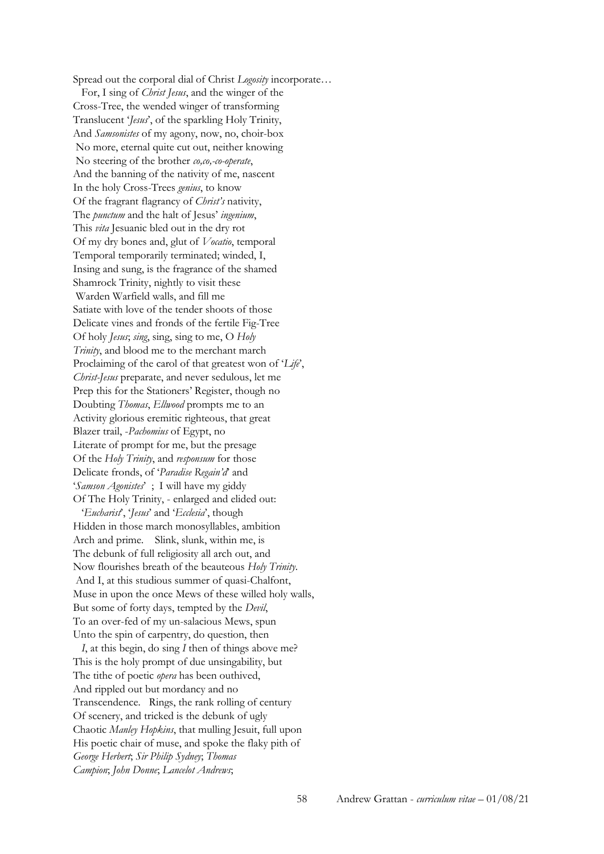Spread out the corporal dial of Christ *Logosity* incorporate… For, I sing of *Christ Jesus*, and the winger of the Cross-Tree, the wended winger of transforming Translucent '*Jesus*', of the sparkling Holy Trinity, And *Samsonistes* of my agony, now, no, choir-box No more, eternal quite cut out, neither knowing No steering of the brother *co,co,-co-operate*, And the banning of the nativity of me, nascent In the holy Cross-Trees *genius*, to know Of the fragrant flagrancy of *Christ's* nativity, The *punctum* and the halt of Jesus' *ingenium*, This *vita* Jesuanic bled out in the dry rot Of my dry bones and, glut of *Vocatio*, temporal Temporal temporarily terminated; winded, I, Insing and sung, is the fragrance of the shamed Shamrock Trinity, nightly to visit these Warden Warfield walls, and fill me Satiate with love of the tender shoots of those Delicate vines and fronds of the fertile Fig-Tree Of holy *Jesus*; *sing*, sing, sing to me, O *Holy Trinity*, and blood me to the merchant march Proclaiming of the carol of that greatest won of '*Life*', *Christ-Jesus* preparate, and never sedulous, let me Prep this for the Stationers' Register, though no Doubting *Thomas*, *Ellwood* prompts me to an Activity glorious eremitic righteous, that great Blazer trail, -*Pachomius* of Egypt, no Literate of prompt for me, but the presage Of the *Holy Trinity*, and *responsum* for those Delicate fronds, of '*Paradise Regain'd*' and '*Samson Agonistes*' ; I will have my giddy Of The Holy Trinity, - enlarged and elided out: '*Eucharist*', '*Jesus*' and '*Ecclesia*', though Hidden in those march monosyllables, ambition Arch and prime. Slink, slunk, within me, is The debunk of full religiosity all arch out, and Now flourishes breath of the beauteous *Holy Trinity*. And I, at this studious summer of quasi-Chalfont, Muse in upon the once Mews of these willed holy walls, But some of forty days, tempted by the *Devil*, To an over-fed of my un-salacious Mews, spun Unto the spin of carpentry, do question, then

 *I*, at this begin, do sing *I* then of things above me? This is the holy prompt of due unsingability, but The tithe of poetic *opera* has been outhived, And rippled out but mordancy and no Transcendence. Rings, the rank rolling of century Of scenery, and tricked is the debunk of ugly Chaotic *Manley Hopkins*, that mulling Jesuit, full upon His poetic chair of muse, and spoke the flaky pith of *George Herbert*; *Sir Philip Sydney*; *Thomas Campion*; *John Donne*; *Lancelot Andrews*;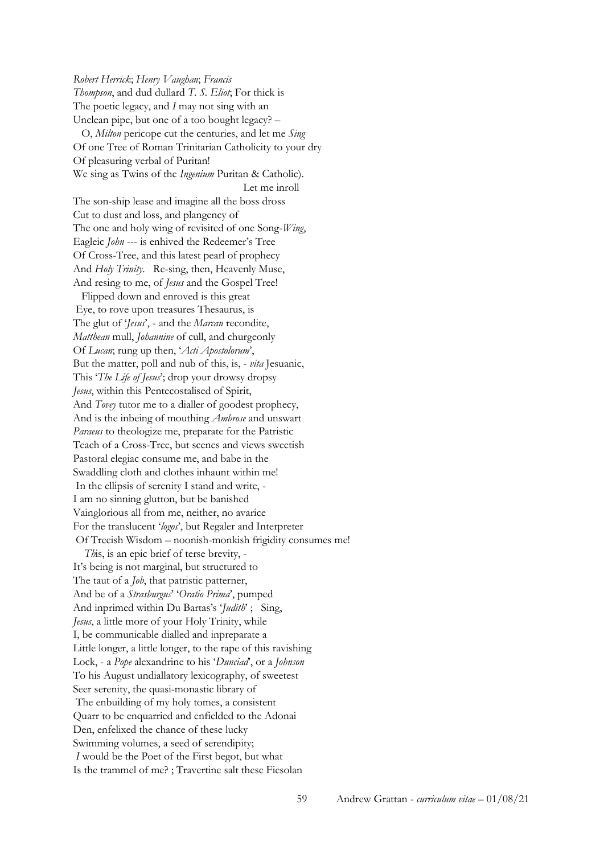*Robert Herrick*; *Henry Vaughan*; *Francis Thompson*, and dud dullard *T. S. Eliot*; For thick is The poetic legacy, and *I* may not sing with an Unclean pipe, but one of a too bought legacy? – O, *Milton* pericope cut the centuries, and let me *Sing* Of one Tree of Roman Trinitarian Catholicity to your dry Of pleasuring verbal of Puritan! We sing as Twins of the *Ingenium* Puritan & Catholic). Let me inroll The son-ship lease and imagine all the boss dross Cut to dust and loss, and plangency of The one and holy wing of revisited of one Song-*Wing*, Eagleic *John* --- is enhived the Redeemer's Tree Of Cross-Tree, and this latest pearl of prophecy And *Holy Trinity*. Re-sing, then, Heavenly Muse, And resing to me, of *Jesus* and the Gospel Tree! Flipped down and enroved is this great Eye, to rove upon treasures Thesaurus, is The glut of '*Jesus*', - and the *Marcan* recondite, *Matthean* mull, *Johannine* of cull, and churgeonly Of *Lucan*; rung up then, '*Acti Apostolorum*', But the matter, poll and nub of this, is, - *vita* Jesuanic, This '*The Life of Jesus*'; drop your drowsy dropsy *Jesus*, within this Pentecostalised of Spirit, And *Tovey* tutor me to a dialler of goodest prophecy, And is the inbeing of mouthing *Ambrose* and unswart *Paraeus* to theologize me, preparate for the Patristic Teach of a Cross-Tree, but scenes and views sweetish Pastoral elegiac consume me, and babe in the Swaddling cloth and clothes inhaunt within me! In the ellipsis of serenity I stand and write, - I am no sinning glutton, but be banished Vainglorious all from me, neither, no avarice For the translucent '*logos*', but Regaler and Interpreter Of Treeish Wisdom – noonish-monkish frigidity consumes me! *Th*is, is an epic brief of terse brevity, - It's being is not marginal, but structured to The taut of a *Job*, that patristic patterner, And be of a *Strasburgus*' '*Oratio Prima*', pumped And inprimed within Du Bartas's '*Judith*' ; Sing, *Jesus*, a little more of your Holy Trinity, while I, be communicable dialled and inpreparate a Little longer, a little longer, to the rape of this ravishing Lock, - a *Pope* alexandrine to his '*Dunciad*', or a *Johnson* To his August undiallatory lexicography, of sweetest Seer serenity, the quasi-monastic library of The enbuilding of my holy tomes, a consistent Quarr to be enquarried and enfielded to the Adonai Den, enfelixed the chance of these lucky Swimming volumes, a seed of serendipity; *I* would be the Poet of the First begot, but what Is the trammel of me? ; Travertine salt these Fiesolan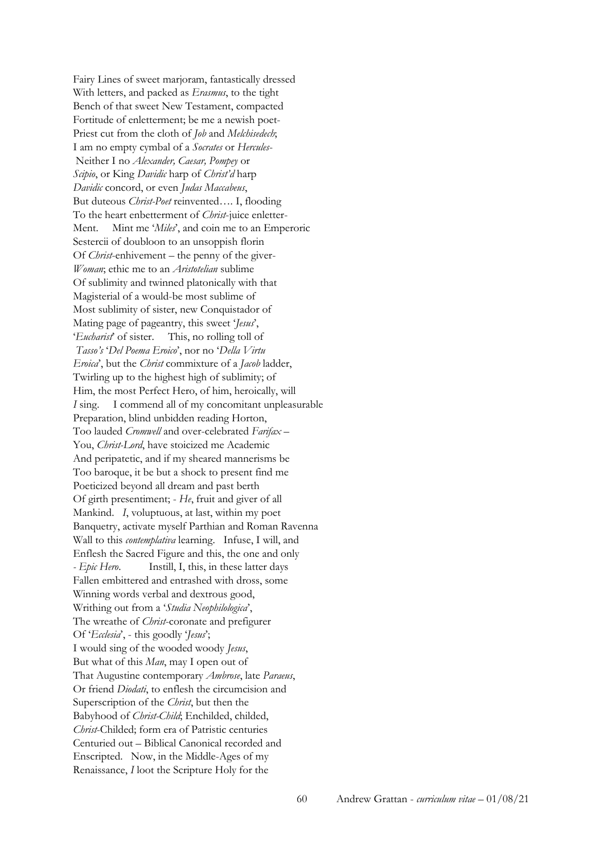Fairy Lines of sweet marjoram, fantastically dressed With letters, and packed as *Erasmus*, to the tight Bench of that sweet New Testament, compacted Fortitude of enletterment; be me a newish poet-Priest cut from the cloth of *Job* and *Melchisedech*; I am no empty cymbal of a *Socrates* or *Hercules*-Neither I no *Alexander, Caesar, Pompey* or *Scipio*, or King *Davidic* harp of *Christ'd* harp *Davidic* concord, or even *Judas Maccabeus*, But duteous *Christ-Poet* reinvented…. I, flooding To the heart enbetterment of *Christ*-juice enletter-Ment. Mint me '*Miles*', and coin me to an Emperoric Sestercii of doubloon to an unsoppish florin Of *Christ*-enhivement – the penny of the giver-*Woman*; ethic me to an *Aristotelian* sublime Of sublimity and twinned platonically with that Magisterial of a would-be most sublime of Most sublimity of sister, new Conquistador of Mating page of pageantry, this sweet '*Jesus*', '*Eucharist*' of sister. This, no rolling toll of *Tasso's* '*Del Poema Eroico*', nor no '*Della Virtu Eroica*', but the *Christ* commixture of a *Jacob* ladder, Twirling up to the highest high of sublimity; of Him, the most Perfect Hero, of him, heroically, will *I* sing. I commend all of my concomitant unpleasurable Preparation, blind unbidden reading Horton, Too lauded *Cromwell* and over-celebrated *Farifax* – You, *Christ-Lord*, have stoicized me Academic And peripatetic, and if my sheared mannerisms be Too baroque, it be but a shock to present find me Poeticized beyond all dream and past berth Of girth presentiment; - *He*, fruit and giver of all Mankind. *I*, voluptuous, at last, within my poet Banquetry, activate myself Parthian and Roman Ravenna Wall to this *contemplativa* learning. Infuse, I will, and Enflesh the Sacred Figure and this, the one and only *- Epic Hero*. Instill, I, this, in these latter days Fallen embittered and entrashed with dross, some Winning words verbal and dextrous good, Writhing out from a '*Studia Neophilologica*', The wreathe of *Christ*-coronate and prefigurer Of '*Ecclesia*', - this goodly '*Jesus*'; I would sing of the wooded woody *Jesus*, But what of this *Man*, may I open out of That Augustine contemporary *Ambrose*, late *Paraeus*, Or friend *Diodati*, to enflesh the circumcision and Superscription of the *Christ*, but then the Babyhood of *Christ-Child*; Enchilded, childed, *Christ*-Childed; form era of Patristic centuries Centuried out – Biblical Canonical recorded and Enscripted. Now, in the Middle-Ages of my Renaissance, *I* loot the Scripture Holy for the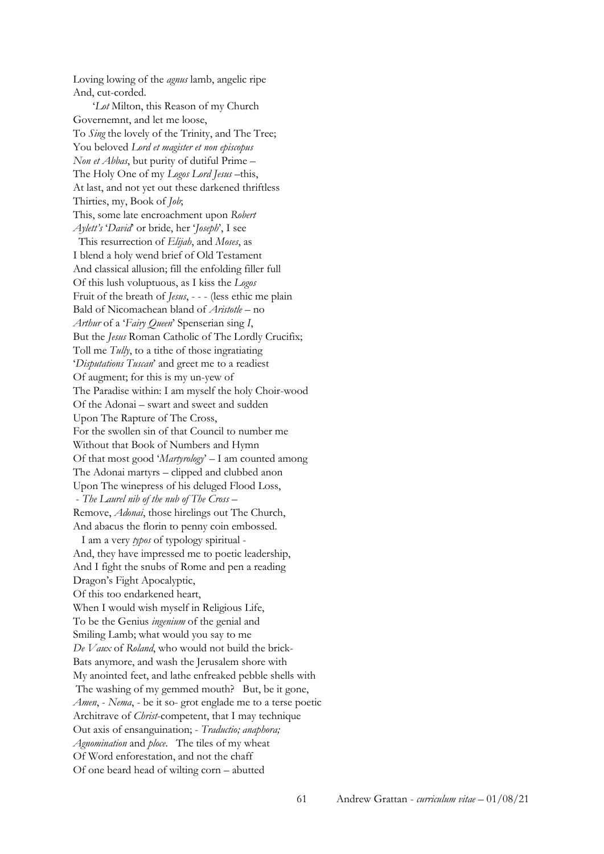Loving lowing of the *agnus* lamb, angelic ripe And, cut-corded.

 '*Lot* Milton, this Reason of my Church Governemnt, and let me loose, To *Sing* the lovely of the Trinity, and The Tree; You beloved *Lord et magister et non episcopus Non et Abbas*, but purity of dutiful Prime – The Holy One of my *Logos Lord Jesus* –this, At last, and not yet out these darkened thriftless Thirties, my, Book of *Job*; This, some late encroachment upon *Robert Aylett's* '*David*' or bride, her '*Joseph*', I see This resurrection of *Elijah*, and *Moses*, as I blend a holy wend brief of Old Testament And classical allusion; fill the enfolding filler full Of this lush voluptuous, as I kiss the *Logos* Fruit of the breath of *Jesus*, - - - (less ethic me plain Bald of Nicomachean bland of *Aristotle* – no *Arthur* of a '*Fairy Queen*' Spenserian sing *I*, But the *Jesus* Roman Catholic of The Lordly Crucifix; Toll me *Tully*, to a tithe of those ingratiating '*Disputations Tuscan*' and greet me to a readiest Of augment; for this is my un-yew of The Paradise within: I am myself the holy Choir-wood Of the Adonai – swart and sweet and sudden Upon The Rapture of The Cross, For the swollen sin of that Council to number me Without that Book of Numbers and Hymn Of that most good '*Martyrology*' – I am counted among The Adonai martyrs – clipped and clubbed anon Upon The winepress of his deluged Flood Loss, - *The Laurel nib of the nub of The Cross* – Remove, *Adonai*, those hirelings out The Church, And abacus the florin to penny coin embossed. I am a very *typos* of typology spiritual - And, they have impressed me to poetic leadership, And I fight the snubs of Rome and pen a reading Dragon's Fight Apocalyptic, Of this too endarkened heart, When I would wish myself in Religious Life, To be the Genius *ingenium* of the genial and Smiling Lamb; what would you say to me *De Vaux* of *Roland*, who would not build the brick-Bats anymore, and wash the Jerusalem shore with My anointed feet, and lathe enfreaked pebble shells with The washing of my gemmed mouth? But, be it gone,

*Amen*, - *Nema*, - be it so- grot englade me to a terse poetic Architrave of *Christ*-competent, that I may technique Out axis of ensanguination; - *Traductio; anaphora; Agnomination* and *ploce*. The tiles of my wheat Of Word enforestation, and not the chaff Of one beard head of wilting corn – abutted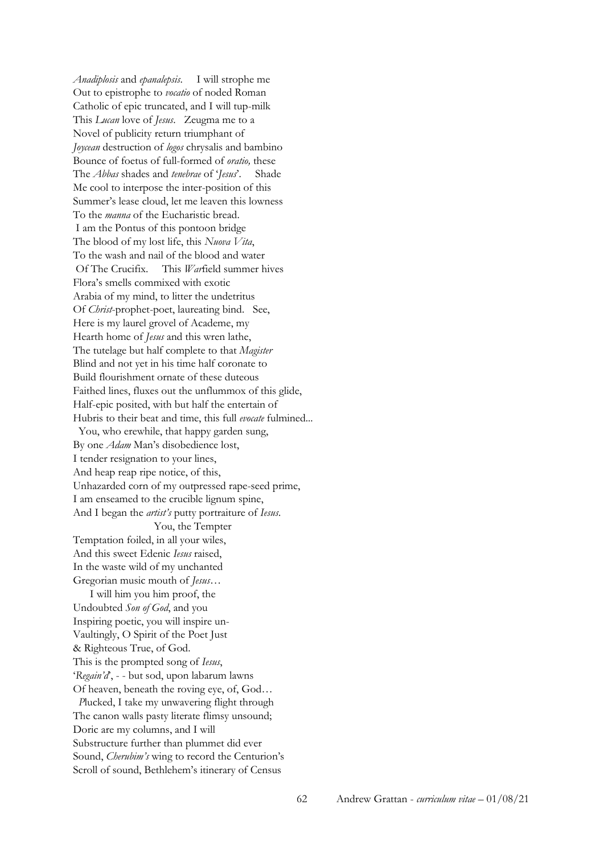*Anadiplosis* and *epanalepsis*. I will strophe me Out to epistrophe to *vocatio* of noded Roman Catholic of epic truncated, and I will tup-milk This *Lucan* love of *Jesus*. Zeugma me to a Novel of publicity return triumphant of *Joycean* destruction of *logos* chrysalis and bambino Bounce of foetus of full-formed of *oratio,* these The *Abbas* shades and *tenebrae* of '*Jesus*'. Shade Me cool to interpose the inter-position of this Summer's lease cloud, let me leaven this lowness To the *manna* of the Eucharistic bread. I am the Pontus of this pontoon bridge The blood of my lost life, this *Nuova Vita*, To the wash and nail of the blood and water Of The Crucifix. This *War*field summer hives Flora's smells commixed with exotic Arabia of my mind, to litter the undetritus Of *Christ*-prophet-poet, laureating bind. See, Here is my laurel grovel of Academe, my Hearth home of *Jesus* and this wren lathe, The tutelage but half complete to that *Magister* Blind and not yet in his time half coronate to Build flourishment ornate of these duteous Faithed lines, fluxes out the unflummox of this glide, Half-epic posited, with but half the entertain of Hubris to their beat and time, this full *evocate* fulmined...

 You, who erewhile, that happy garden sung, By one *Adam* Man's disobedience lost, I tender resignation to your lines, And heap reap ripe notice, of this, Unhazarded corn of my outpressed rape-seed prime, I am enseamed to the crucible lignum spine, And I began the *artist's* putty portraiture of *Iesus*. You, the Tempter Temptation foiled, in all your wiles, And this sweet Edenic *Iesus* raised, In the waste wild of my unchanted Gregorian music mouth of *Jesus*…

 I will him you him proof, the Undoubted *Son of God*, and you Inspiring poetic, you will inspire un-Vaultingly, O Spirit of the Poet Just & Righteous True, of God. This is the prompted song of *Iesus*, '*Regain'd*', - - but sod, upon labarum lawns Of heaven, beneath the roving eye, of, God…

 *P*lucked, I take my unwavering flight through The canon walls pasty literate flimsy unsound; Doric are my columns, and I will Substructure further than plummet did ever Sound, *Cherubim's* wing to record the Centurion's Scroll of sound, Bethlehem's itinerary of Census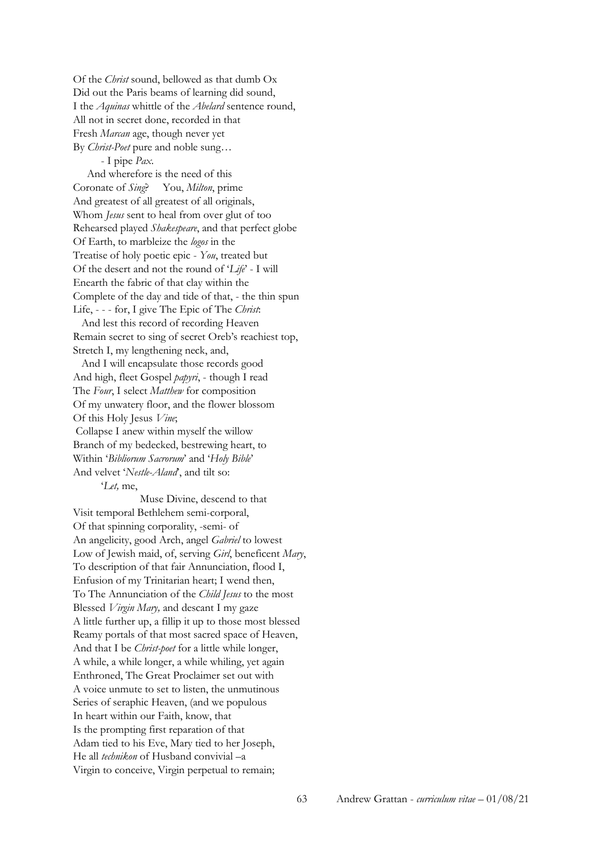Of the *Christ* sound, bellowed as that dumb Ox Did out the Paris beams of learning did sound, I the *Aquinas* whittle of the *Abelard* sentence round, All not in secret done, recorded in that Fresh *Marcan* age, though never yet By *Christ-Poet* pure and noble sung…

- I pipe *Pax*.

 And wherefore is the need of this Coronate of *Sing*? You, *Milton*, prime And greatest of all greatest of all originals, Whom *Jesus* sent to heal from over glut of too Rehearsed played *Shakespeare*, and that perfect globe Of Earth, to marbleize the *logos* in the Treatise of holy poetic epic - *You*, treated but Of the desert and not the round of '*Life*' - I will Enearth the fabric of that clay within the Complete of the day and tide of that, - the thin spun Life, - - - for, I give The Epic of The *Christ*: And lest this record of recording Heaven

Remain secret to sing of secret Oreb's reachiest top, Stretch I, my lengthening neck, and,

 And I will encapsulate those records good And high, fleet Gospel *papyri*, - though I read The *Four*, I select *Matthew* for composition Of my unwatery floor, and the flower blossom Of this Holy Jesus *Vine*; Collapse I anew within myself the willow Branch of my bedecked, bestrewing heart, to Within '*Bibliorum Sacrorum*' and '*Holy Bible*' And velvet '*Nestle-Aland*', and tilt so:

'*Let,* me,

 Muse Divine, descend to that Visit temporal Bethlehem semi-corporal, Of that spinning corporality, -semi- of An angelicity, good Arch, angel *Gabriel* to lowest Low of Jewish maid, of, serving *Girl*, beneficent *Mary*, To description of that fair Annunciation, flood I, Enfusion of my Trinitarian heart; I wend then, To The Annunciation of the *Child Jesus* to the most Blessed *Virgin Mary,* and descant I my gaze A little further up, a fillip it up to those most blessed Reamy portals of that most sacred space of Heaven, And that I be *Christ-poet* for a little while longer, A while, a while longer, a while whiling, yet again Enthroned, The Great Proclaimer set out with A voice unmute to set to listen, the unmutinous Series of seraphic Heaven, (and we populous In heart within our Faith, know, that Is the prompting first reparation of that Adam tied to his Eve, Mary tied to her Joseph, He all *technikon* of Husband convivial –a Virgin to conceive, Virgin perpetual to remain;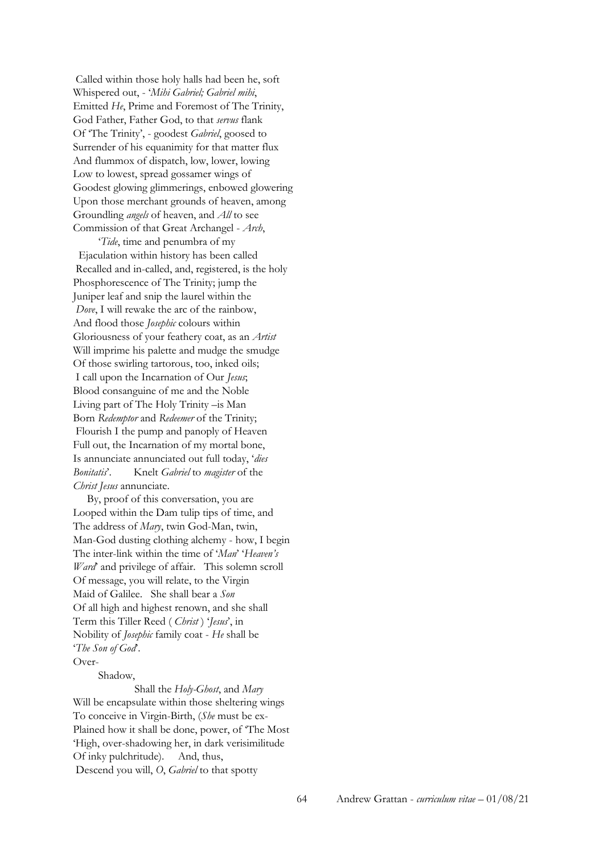Called within those holy halls had been he, soft Whispered out, - '*Mihi Gabriel; Gabriel mihi*, Emitted *He*, Prime and Foremost of The Trinity, God Father, Father God, to that *servus* flank Of 'The Trinity', - goodest *Gabriel*, goosed to Surrender of his equanimity for that matter flux And flummox of dispatch, low, lower, lowing Low to lowest, spread gossamer wings of Goodest glowing glimmerings, enbowed glowering Upon those merchant grounds of heaven, among Groundling *angels* of heaven, and *All* to see Commission of that Great Archangel - *Arch*,

 '*Tide*, time and penumbra of my Ejaculation within history has been called Recalled and in-called, and, registered, is the holy Phosphorescence of The Trinity; jump the Juniper leaf and snip the laurel within the *Dove*, I will rewake the arc of the rainbow, And flood those *Josephic* colours within Gloriousness of your feathery coat, as an *Artist* Will imprime his palette and mudge the smudge Of those swirling tartorous, too, inked oils; I call upon the Incarnation of Our *Jesus*; Blood consanguine of me and the Noble Living part of The Holy Trinity –is Man Born *Redemptor* and *Redeemer* of the Trinity; Flourish I the pump and panoply of Heaven Full out, the Incarnation of my mortal bone, Is annunciate annunciated out full today, '*dies Bonitatis*'. Knelt *Gabriel* to *magister* of the *Christ Jesus* annunciate.

 By, proof of this conversation, you are Looped within the Dam tulip tips of time, and The address of *Mary*, twin God-Man, twin, Man-God dusting clothing alchemy - how, I begin The inter-link within the time of '*Man*' '*Heaven's Ward* and privilege of affair. This solemn scroll Of message, you will relate, to the Virgin Maid of Galilee. She shall bear a *Son* Of all high and highest renown, and she shall Term this Tiller Reed ( *Christ* ) '*Jesus*', in Nobility of *Josephic* family coat - *He* shall be '*The Son of God*'.

Over-

Shadow,

 Shall the *Holy-Ghost*, and *Mary* Will be encapsulate within those sheltering wings To conceive in Virgin-Birth, (*She* must be ex-Plained how it shall be done, power, of 'The Most 'High, over-shadowing her, in dark verisimilitude Of inky pulchritude). And, thus, Descend you will, *O*, *Gabriel* to that spotty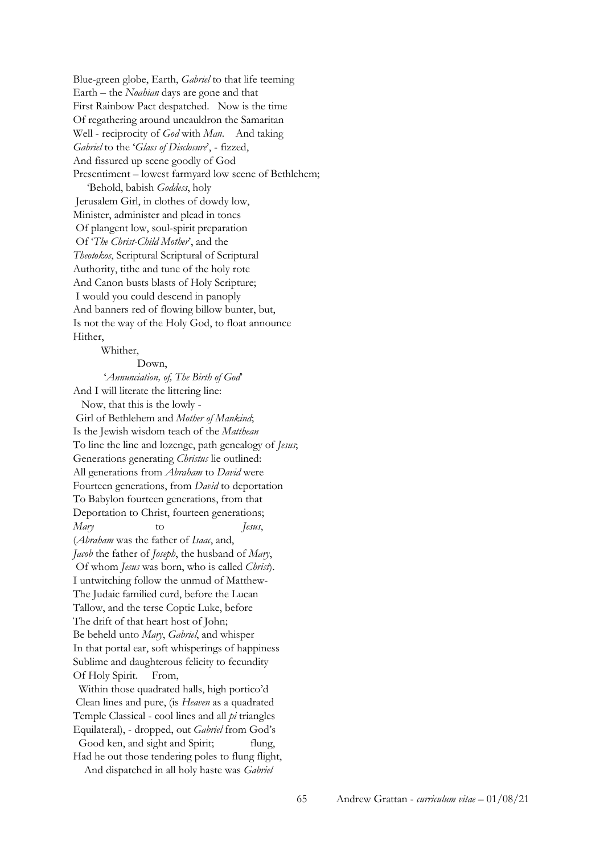Blue-green globe, Earth, *Gabriel* to that life teeming Earth – the *Noahian* days are gone and that First Rainbow Pact despatched. Now is the time Of regathering around uncauldron the Samaritan Well - reciprocity of *God* with *Man*. And taking *Gabriel* to the '*Glass of Disclosure*', - fizzed, And fissured up scene goodly of God Presentiment – lowest farmyard low scene of Bethlehem; 'Behold, babish *Goddess*, holy Jerusalem Girl, in clothes of dowdy low, Minister, administer and plead in tones Of plangent low, soul-spirit preparation Of '*The Christ-Child Mother*', and the *Theotokos*, Scriptural Scriptural of Scriptural Authority, tithe and tune of the holy rote And Canon busts blasts of Holy Scripture; I would you could descend in panoply And banners red of flowing billow bunter, but, Is not the way of the Holy God, to float announce Hither,

Whither,

#### Down,

 '*Annunciation, of, The Birth of God*' And I will literate the littering line:

 Now, that this is the lowly - Girl of Bethlehem and *Mother of Mankind*; Is the Jewish wisdom teach of the *Matthean* To line the line and lozenge, path genealogy of *Jesus*; Generations generating *Christus* lie outlined: All generations from *Abraham* to *David* were Fourteen generations, from *David* to deportation To Babylon fourteen generations, from that Deportation to Christ, fourteen generations; *Mary* to *Jesus*, (*Abraham* was the father of *Isaac*, and, *Jacob* the father of *Joseph*, the husband of *Mary*, Of whom *Jesus* was born, who is called *Christ*). I untwitching follow the unmud of Matthew-The Judaic familied curd, before the Lucan Tallow, and the terse Coptic Luke, before The drift of that heart host of John; Be beheld unto *Mary*, *Gabriel*, and whisper In that portal ear, soft whisperings of happiness Sublime and daughterous felicity to fecundity Of Holy Spirit. From,

 Within those quadrated halls, high portico'd Clean lines and pure, (is *Heaven* as a quadrated Temple Classical - cool lines and all *pi* triangles Equilateral), - dropped, out *Gabriel* from God's Good ken, and sight and Spirit; flung,

Had he out those tendering poles to flung flight, And dispatched in all holy haste was *Gabriel*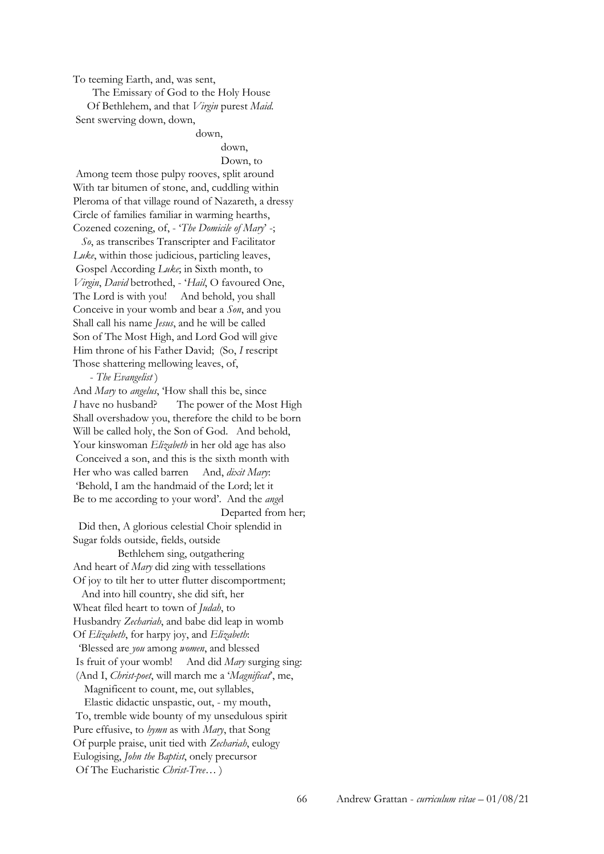To teeming Earth, and, was sent,

The Emissary of God to the Holy House

 Of Bethlehem, and that *Virgin* purest *Maid*. Sent swerving down, down,

### down,

#### down,

Down, to

Among teem those pulpy rooves, split around With tar bitumen of stone, and, cuddling within Pleroma of that village round of Nazareth, a dressy Circle of families familiar in warming hearths, Cozened cozening, of, - '*The Domicile of Mary*' -;

 *So*, as transcribes Transcripter and Facilitator *Luke*, within those judicious, particling leaves, Gospel According *Luke*; in Sixth month, to *Virgin*, *David* betrothed, - '*Hail*, O favoured One, The Lord is with you! And behold, you shall Conceive in your womb and bear a *Son*, and you Shall call his name *Jesus*, and he will be called Son of The Most High, and Lord God will give Him throne of his Father David; (So, *I* rescript Those shattering mellowing leaves, of,

#### - *The Evangelist* )

And *Mary* to *angelus*, 'How shall this be, since *I* have no husband? The power of the Most High Shall overshadow you, therefore the child to be born Will be called holy, the Son of God. And behold, Your kinswoman *Elizabeth* in her old age has also Conceived a son, and this is the sixth month with Her who was called barren And, *dixit Mary*: 'Behold, I am the handmaid of the Lord; let it Be to me according to your word'. And the *ange*l Departed from her;

### Did then, A glorious celestial Choir splendid in Sugar folds outside, fields, outside

 Bethlehem sing, outgathering And heart of *Mary* did zing with tessellations Of joy to tilt her to utter flutter discomportment;

 And into hill country, she did sift, her Wheat filed heart to town of *Judah*, to Husbandry *Zechariah*, and babe did leap in womb Of *Elizabeth*, for harpy joy, and *Elizabeth*: 'Blessed are *you* among *women*, and blessed Is fruit of your womb! And did *Mary* surging sing: (And I, *Christ-poet*, will march me a '*Magnificat*', me, Magnificent to count, me, out syllables, Elastic didactic unspastic, out, - my mouth,

To, tremble wide bounty of my unsedulous spirit Pure effusive, to *hymn* as with *Mary*, that Song Of purple praise, unit tied with *Zechariah*, eulogy Eulogising, *John the Baptist*, onely precursor Of The Eucharistic *Christ-Tree*… )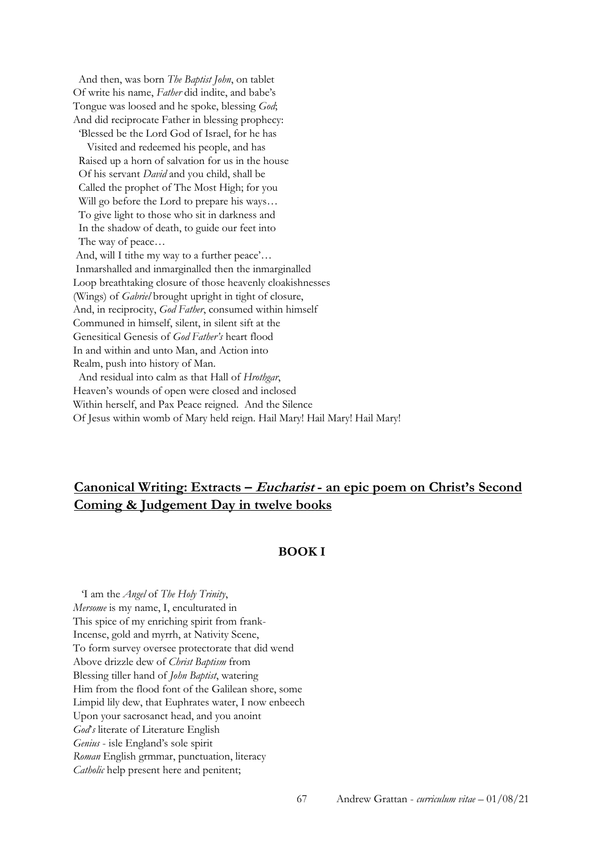And then, was born *The Baptist John*, on tablet Of write his name, *Father* did indite, and babe's Tongue was loosed and he spoke, blessing *God*; And did reciprocate Father in blessing prophecy: 'Blessed be the Lord God of Israel, for he has

 Visited and redeemed his people, and has Raised up a horn of salvation for us in the house Of his servant *David* and you child, shall be Called the prophet of The Most High; for you Will go before the Lord to prepare his ways... To give light to those who sit in darkness and In the shadow of death, to guide our feet into The way of peace…

And, will I tithe my way to a further peace'… Inmarshalled and inmarginalled then the inmarginalled Loop breathtaking closure of those heavenly cloakishnesses (Wings) of *Gabriel* brought upright in tight of closure, And, in reciprocity, *God Father*, consumed within himself Communed in himself, silent, in silent sift at the Genesitical Genesis of *God Father's* heart flood In and within and unto Man, and Action into Realm, push into history of Man.

 And residual into calm as that Hall of *Hrothgar*, Heaven's wounds of open were closed and inclosed Within herself, and Pax Peace reigned. And the Silence Of Jesus within womb of Mary held reign. Hail Mary! Hail Mary! Hail Mary!

# **Canonical Writing: Extracts – Eucharist - an epic poem on Christ's Second Coming & Judgement Day in twelve books**

## **BOOK I**

 'I am the *Angel* of *The Holy Trinity*, *Mersome* is my name, I, enculturated in This spice of my enriching spirit from frank-Incense, gold and myrrh, at Nativity Scene, To form survey oversee protectorate that did wend Above drizzle dew of *Christ Baptism* from Blessing tiller hand of *John Baptist*, watering Him from the flood font of the Galilean shore, some Limpid lily dew, that Euphrates water, I now enbeech Upon your sacrosanct head, and you anoint *God*'*s* literate of Literature English *Genius* - isle England's sole spirit *Roman* English grmmar, punctuation, literacy *Catholic* help present here and penitent;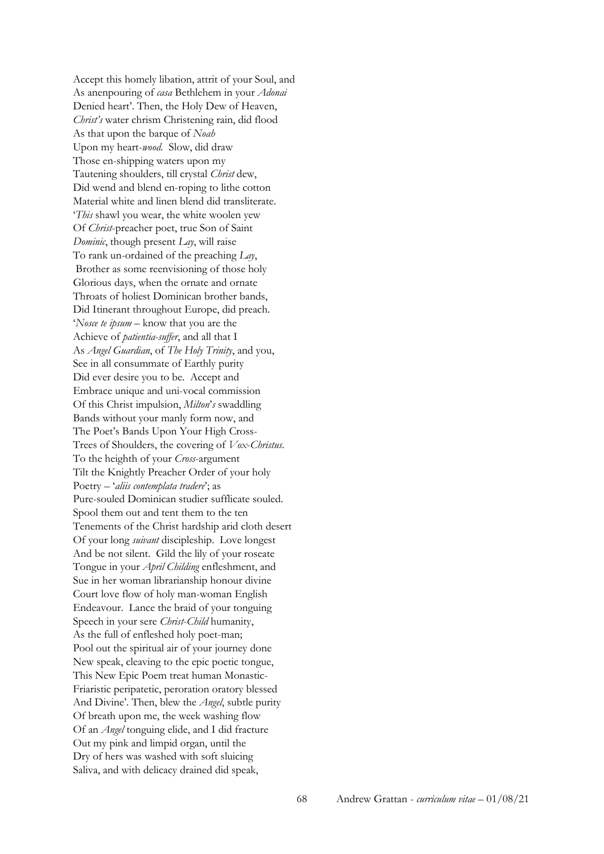Accept this homely libation, attrit of your Soul, and As anenpouring of *casa* Bethlehem in your *Adonai* Denied heart'. Then, the Holy Dew of Heaven, *Christ's* water chrism Christening rain, did flood As that upon the barque of *Noah* Upon my heart-*wood*. Slow, did draw Those en-shipping waters upon my Tautening shoulders, till crystal *Christ* dew, Did wend and blend en-roping to lithe cotton Material white and linen blend did transliterate. '*This* shawl you wear, the white woolen yew Of *Christ*-preacher poet, true Son of Saint *Dominic*, though present *Lay*, will raise To rank un-ordained of the preaching *Lay*, Brother as some reenvisioning of those holy Glorious days, when the ornate and ornate Throats of holiest Dominican brother bands, Did Itinerant throughout Europe, did preach. '*Nosce te ipsum* – know that you are the Achieve of *patientia-suffer*, and all that I As *Angel Guardian*, of *The Holy Trinity*, and you, See in all consummate of Earthly purity Did ever desire you to be. Accept and Embrace unique and uni-vocal commission Of this Christ impulsion, *Milton*'*s* swaddling Bands without your manly form now, and The Poet's Bands Upon Your High Cross-Trees of Shoulders, the covering of *Vox*-*Christus*. To the heighth of your *Cross*-argument Tilt the Knightly Preacher Order of your holy Poetry – '*aliis contemplata tradere*'; as Pure-souled Dominican studier sufflicate souled. Spool them out and tent them to the ten Tenements of the Christ hardship arid cloth desert Of your long *suivant* discipleship. Love longest And be not silent. Gild the lily of your roseate Tongue in your *April Childing* enfleshment, and Sue in her woman librarianship honour divine Court love flow of holy man-woman English Endeavour. Lance the braid of your tonguing Speech in your sere *Christ*-*Child* humanity, As the full of enfleshed holy poet-man; Pool out the spiritual air of your journey done New speak, cleaving to the epic poetic tongue, This New Epic Poem treat human Monastic-Friaristic peripatetic, peroration oratory blessed And Divine'. Then, blew the *Angel*, subtle purity Of breath upon me, the week washing flow Of an *Angel* tonguing elide, and I did fracture Out my pink and limpid organ, until the Dry of hers was washed with soft sluicing Saliva, and with delicacy drained did speak,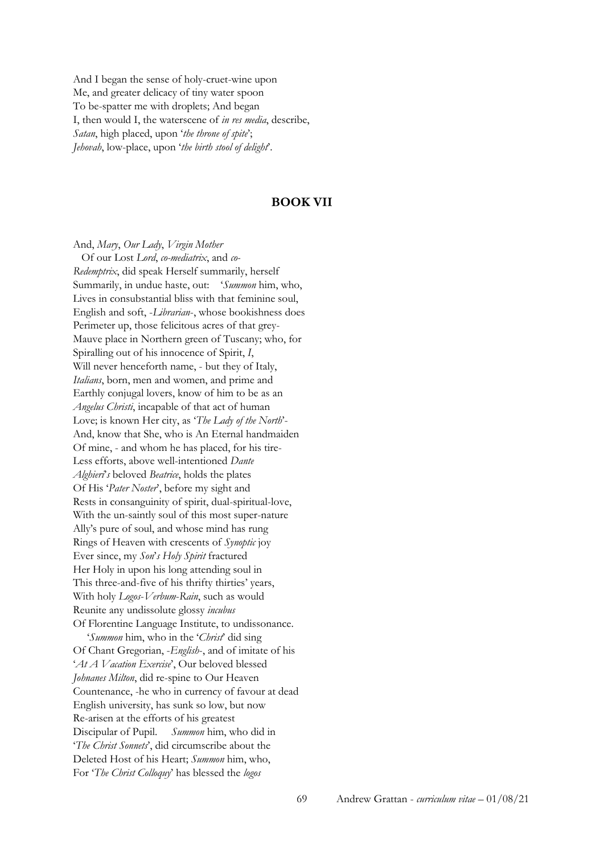And I began the sense of holy-cruet-wine upon Me, and greater delicacy of tiny water spoon To be-spatter me with droplets; And began I, then would I, the waterscene of *in res media*, describe, *Satan*, high placed, upon '*the throne of spite*'; *Jehovah*, low-place, upon '*the birth stool of delight*'.

### **BOOK VII**

And, *Mary*, *Our Lady*, *Virgin Mother* Of our Lost *Lord*, *co-mediatrix*, and *co-Redemptrix*, did speak Herself summarily, herself Summarily, in undue haste, out: '*Summon* him, who, Lives in consubstantial bliss with that feminine soul, English and soft, -*Librarian*-, whose bookishness does Perimeter up, those felicitous acres of that grey-Mauve place in Northern green of Tuscany; who, for Spiralling out of his innocence of Spirit, *I*, Will never henceforth name, - but they of Italy, *Italians*, born, men and women, and prime and Earthly conjugal lovers, know of him to be as an *Angelus Christi*, incapable of that act of human Love; is known Her city, as '*The Lady of the North*'- And, know that She, who is An Eternal handmaiden Of mine, - and whom he has placed, for his tire-Less efforts, above well-intentioned *Dante Alghieri*'*s* beloved *Beatrice*, holds the plates Of His '*Pater Noster*', before my sight and Rests in consanguinity of spirit, dual-spiritual-love, With the un-saintly soul of this most super-nature Ally's pure of soul, and whose mind has rung Rings of Heaven with crescents of *Synoptic* joy Ever since, my *Son*'*s Holy Spirit* fractured Her Holy in upon his long attending soul in This three-and-five of his thrifty thirties' years, With holy *Logos*-*Verbum*-*Rain*, such as would Reunite any undissolute glossy *incubus* Of Florentine Language Institute, to undissonance. '*Summon* him, who in the '*Christ*' did sing

Of Chant Gregorian, -*English*-, and of imitate of his '*At A Vacation Exercise*', Our beloved blessed *Johnanes Milton*, did re-spine to Our Heaven Countenance, -he who in currency of favour at dead English university, has sunk so low, but now Re-arisen at the efforts of his greatest Discipular of Pupil. *Summon* him, who did in '*The Christ Sonnets*', did circumscribe about the Deleted Host of his Heart; *Summon* him, who, For '*The Christ Colloquy*' has blessed the *logos*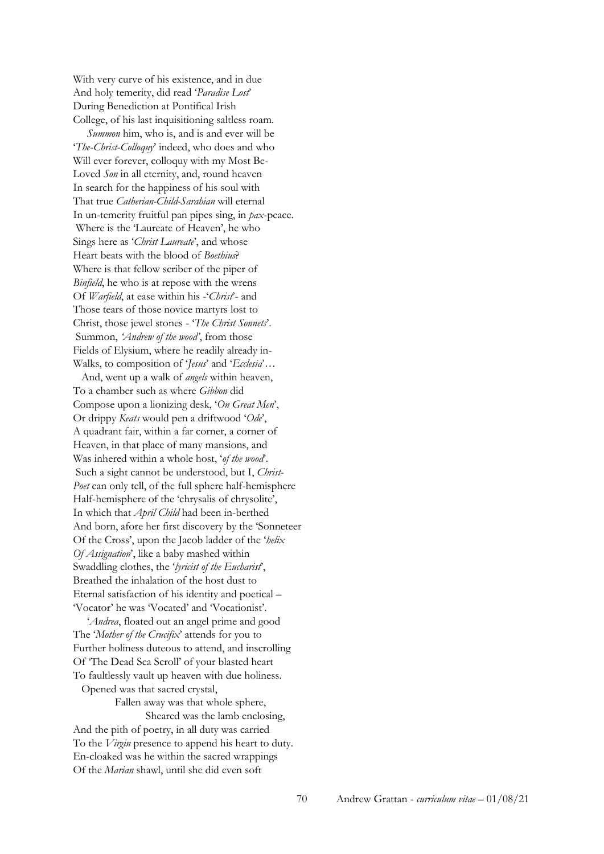With very curve of his existence, and in due And holy temerity, did read '*Paradise Lost*' During Benediction at Pontifical Irish College, of his last inquisitioning saltless roam.

 *Summon* him, who is, and is and ever will be '*The*-*Christ*-*Colloquy*' indeed, who does and who Will ever forever, colloquy with my Most Be-Loved *Son* in all eternity, and, round heaven In search for the happiness of his soul with That true *Catherian-Child-Sarahian* will eternal In un-temerity fruitful pan pipes sing, in *pax*-peace. Where is the 'Laureate of Heaven', he who Sings here as '*Christ Laureate*', and whose Heart beats with the blood of *Boethius*? Where is that fellow scriber of the piper of *Binfield*, he who is at repose with the wrens Of *Warfield*, at ease within his -'*Christ*'- and Those tears of those novice martyrs lost to Christ, those jewel stones - '*The Christ Sonnets*'. Summon, *'Andrew of the wood'*, from those Fields of Elysium, where he readily already in-Walks, to composition of '*Jesus*' and '*Ecclesia*'…

 And, went up a walk of *angels* within heaven, To a chamber such as where *Gibbon* did Compose upon a lionizing desk, '*On Great Men*', Or drippy *Keats* would pen a driftwood '*Ode*', A quadrant fair, within a far corner, a corner of Heaven, in that place of many mansions, and Was inhered within a whole host, '*of the wood*'. Such a sight cannot be understood, but I, *Christ*-*Poet* can only tell, of the full sphere half-hemisphere Half-hemisphere of the 'chrysalis of chrysolite', In which that *April Child* had been in-berthed And born, afore her first discovery by the 'Sonneteer Of the Cross', upon the Jacob ladder of the '*helix Of Assignation*', like a baby mashed within Swaddling clothes, the '*lyricist of the Eucharist*', Breathed the inhalation of the host dust to Eternal satisfaction of his identity and poetical – 'Vocator' he was 'Vocated' and 'Vocationist'.

 '*Andrea*, floated out an angel prime and good The '*Mother of the Crucifix*' attends for you to Further holiness duteous to attend, and inscrolling Of 'The Dead Sea Scroll' of your blasted heart To faultlessly vault up heaven with due holiness. Opened was that sacred crystal,

 Fallen away was that whole sphere, Sheared was the lamb enclosing,

And the pith of poetry, in all duty was carried To the *Virgin* presence to append his heart to duty. En-cloaked was he within the sacred wrappings Of the *Marian* shawl, until she did even soft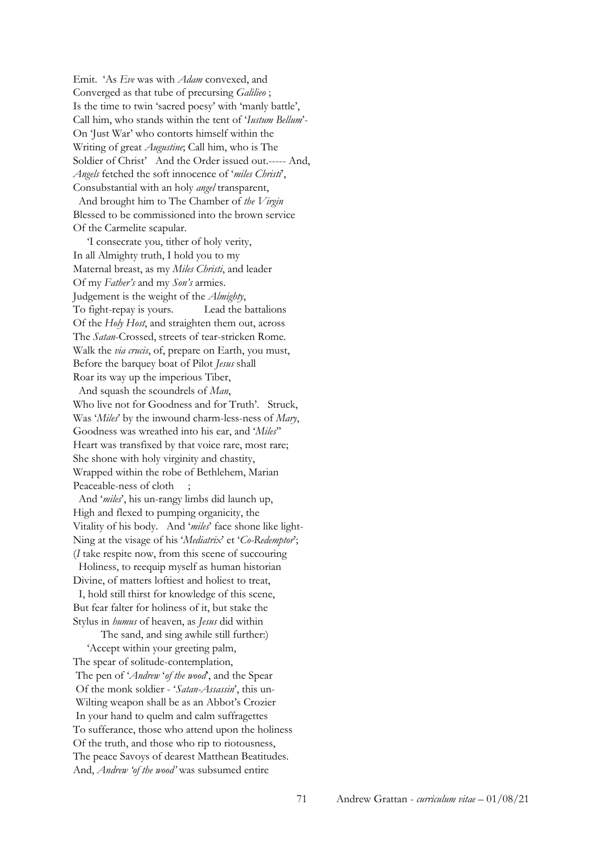Emit. 'As *Eve* was with *Adam* convexed, and Converged as that tube of precursing *Galilieo* ; Is the time to twin 'sacred poesy' with 'manly battle', Call him, who stands within the tent of '*Iustum Bellum*'- On 'Just War' who contorts himself within the Writing of great *Augustine*; Call him, who is The Soldier of Christ' And the Order issued out.----- And, *Angels* fetched the soft innocence of '*miles Christi*', Consubstantial with an holy *angel* transparent,

 And brought him to The Chamber of *the Virgin* Blessed to be commissioned into the brown service Of the Carmelite scapular.

 'I consecrate you, tither of holy verity, In all Almighty truth, I hold you to my Maternal breast, as my *Miles Christi*, and leader Of my *Father's* and my *Son's* armies. Judgement is the weight of the *Almighty*, To fight-repay is yours. Lead the battalions Of the *Holy Host*, and straighten them out, across The *Satan*-Crossed, streets of tear-stricken Rome. Walk the *via crucis*, of, prepare on Earth, you must, Before the barquey boat of Pilot *Jesus* shall Roar its way up the imperious Tiber,

 And squash the scoundrels of *Man*, Who live not for Goodness and for Truth'. Struck, Was '*Miles*' by the inwound charm-less-ness of *Mary*, Goodness was wreathed into his ear, and '*Miles*'' Heart was transfixed by that voice rare, most rare; She shone with holy virginity and chastity, Wrapped within the robe of Bethlehem, Marian Peaceable-ness of cloth

 And '*miles*', his un-rangy limbs did launch up, High and flexed to pumping organicity, the Vitality of his body. And '*miles*' face shone like light-Ning at the visage of his '*Mediatrix*' et '*Co-Redemptor*'; (*I* take respite now, from this scene of succouring

 Holiness, to reequip myself as human historian Divine, of matters loftiest and holiest to treat,

 I, hold still thirst for knowledge of this scene, But fear falter for holiness of it, but stake the Stylus in *humus* of heaven, as *Jesus* did within

 The sand, and sing awhile still further:) 'Accept within your greeting palm, The spear of solitude-contemplation, The pen of '*Andrew* '*of the wood*', and the Spear Of the monk soldier - '*Satan-Assassin*', this un-Wilting weapon shall be as an Abbot's Crozier In your hand to quelm and calm suffragettes To sufferance, those who attend upon the holiness Of the truth, and those who rip to riotousness, The peace Savoys of dearest Matthean Beatitudes. And, *Andrew 'of the wood'* was subsumed entire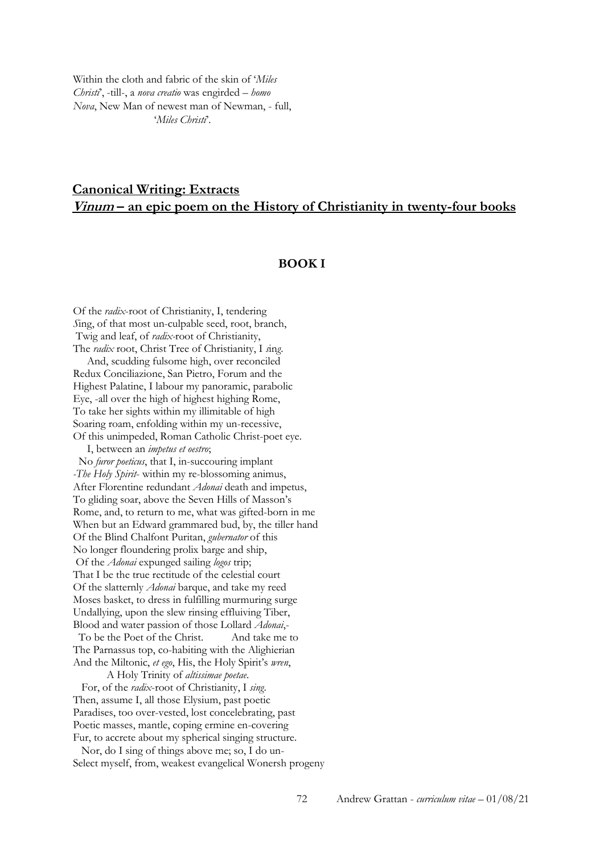Within the cloth and fabric of the skin of '*Miles Christi*', -till-, a *nova creatio* was engirded – *homo Nova*, New Man of newest man of Newman, - full, '*Miles Christi*'.

# **Canonical Writing: Extracts Vinum – an epic poem on the History of Christianity in twenty-four books**

### **BOOK I**

Of the *radix*-root of Christianity, I, tendering *S*ing, of that most un-culpable seed, root, branch, Twig and leaf, of *radix-*root of Christianity, The *radix* root, Christ Tree of Christianity, I *s*in*g*.

 And, scudding fulsome high, over reconciled Redux Conciliazione, San Pietro, Forum and the Highest Palatine, I labour my panoramic, parabolic Eye, -all over the high of highest highing Rome, To take her sights within my illimitable of high Soaring roam, enfolding within my un-recessive, Of this unimpeded, Roman Catholic Christ-poet eye.

 I, between an *impetus et oestro*; No *furor poeticus*, that I, in-succouring implant *-The Holy Spirit*- within my re-blossoming animus, After Florentine redundant *Adonai* death and impetus, To gliding soar, above the Seven Hills of Masson's Rome, and, to return to me, what was gifted-born in me When but an Edward grammared bud, by, the tiller hand Of the Blind Chalfont Puritan, *gubernator* of this No longer floundering prolix barge and ship, Of the *Adonai* expunged sailing *logos* trip; That I be the true rectitude of the celestial court Of the slatternly *Adonai* barque, and take my reed Moses basket, to dress in fulfilling murmuring surge Undallying, upon the slew rinsing effluiving Tiber, Blood and water passion of those Lollard *Adonai*,- To be the Poet of the Christ. And take me to The Parnassus top, co-habiting with the Alighierian And the Miltonic, *et ego*, His, the Holy Spirit's *wren*,

A Holy Trinity of *altissimae poetae*.

 For, of the *radix*-root of Christianity, I *sing*. Then, assume I, all those Elysium, past poetic Paradises, too over-vested, lost concelebrating, past Poetic masses, mantle, coping ermine en-covering Fur, to accrete about my spherical singing structure.

 Nor, do I sing of things above me; so, I do un-Select myself, from, weakest evangelical Wonersh progeny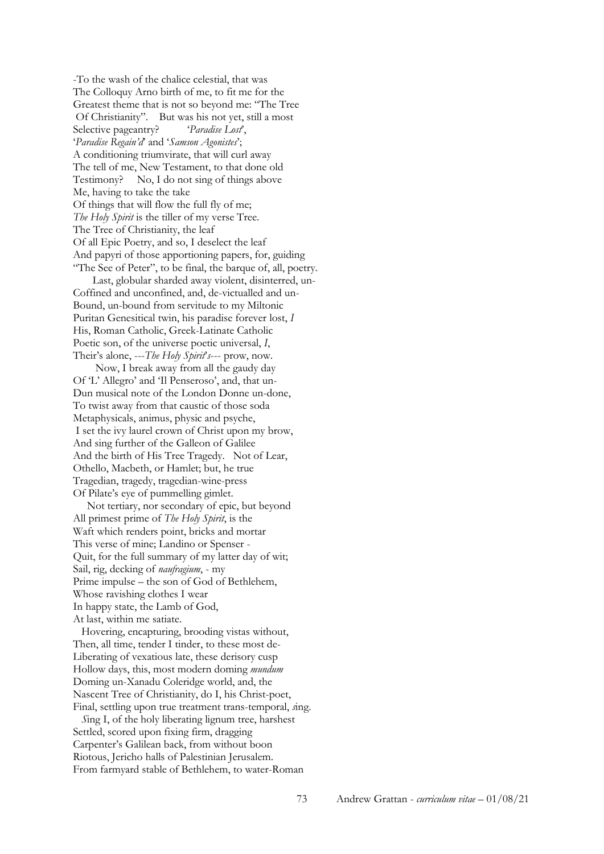-To the wash of the chalice celestial, that was The Colloquy Arno birth of me, to fit me for the Greatest theme that is not so beyond me: "The Tree Of Christianity". But was his not yet, still a most Selective pageantry? '*Paradise Lost*', '*Paradise Regain'd*' and '*Samson Agonistes*'; A conditioning triumvirate, that will curl away The tell of me, New Testament, to that done old Testimony? No, I do not sing of things above Me, having to take the take Of things that will flow the full fly of me; *The Holy Spirit* is the tiller of my verse Tree. The Tree of Christianity, the leaf Of all Epic Poetry, and so, I deselect the leaf And papyri of those apportioning papers, for, guiding "The See of Peter", to be final, the barque of, all, poetry.

 Last, globular sharded away violent, disinterred, un-Coffined and unconfined, and, de-victualled and un-Bound, un-bound from servitude to my Miltonic Puritan Genesitical twin, his paradise forever lost, *I* His, Roman Catholic, Greek-Latinate Catholic Poetic son, of the universe poetic universal, *I*, Their's alone, ---*The Holy Spirit*'*s*--- prow, now.

 Now, I break away from all the gaudy day Of 'L' Allegro' and 'Il Penseroso', and, that un-Dun musical note of the London Donne un-done, To twist away from that caustic of those soda Metaphysicals, animus, physic and psyche, I set the ivy laurel crown of Christ upon my brow, And sing further of the Galleon of Galilee And the birth of His Tree Tragedy. Not of Lear, Othello, Macbeth, or Hamlet; but, he true Tragedian, tragedy, tragedian-wine-press Of Pilate's eye of pummelling gimlet.

 Not tertiary, nor secondary of epic, but beyond All primest prime of *The Holy Spirit*, is the Waft which renders point, bricks and mortar This verse of mine; Landino or Spenser - Quit, for the full summary of my latter day of wit; Sail, rig, decking of *naufragium*, - my Prime impulse – the son of God of Bethlehem, Whose ravishing clothes I wear In happy state, the Lamb of God, At last, within me satiate.

 Hovering, encapturing, brooding vistas without, Then, all time, tender I tinder, to these most de-Liberating of vexatious late, these derisory cusp Hollow days, this, most modern doming *mundum* Doming un-Xanadu Coleridge world, and, the Nascent Tree of Christianity, do I, his Christ-poet, Final, settling upon true treatment trans-temporal, *s*ing.

 *S*ing I, of the holy liberating lignum tree, harshest Settled, scored upon fixing firm, dragging Carpenter's Galilean back, from without boon Riotous, Jericho halls of Palestinian Jerusalem. From farmyard stable of Bethlehem, to water-Roman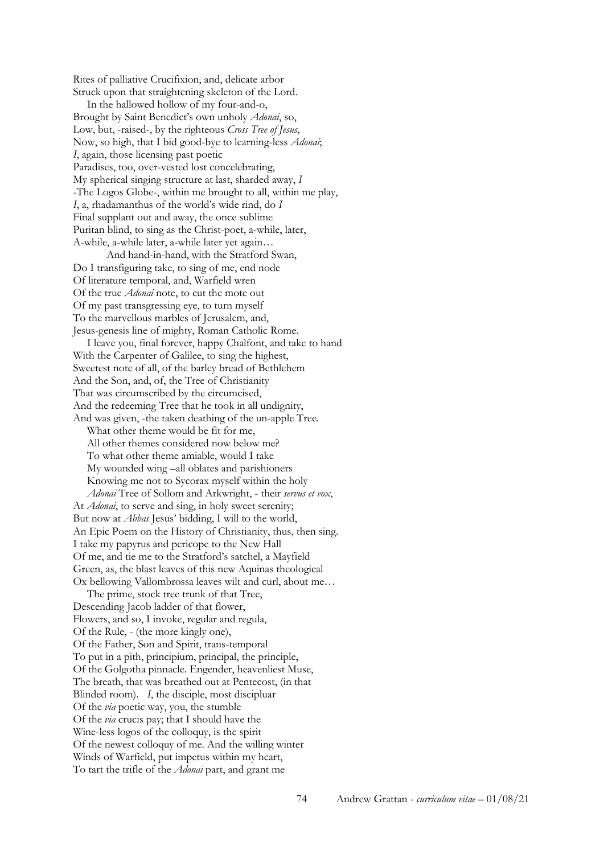Rites of palliative Crucifixion, and, delicate arbor Struck upon that straightening skeleton of the Lord.

 In the hallowed hollow of my four-and-o, Brought by Saint Benedict's own unholy *Adonai*, so, Low, but, -raised-, by the righteous *Cross Tree of Jesus*, Now, so high, that I bid good-bye to learning-less *Adonai*; *I*, again, those licensing past poetic Paradises, too, over-vested lost concelebrating, My spherical singing structure at last, sharded away, *I* -The Logos Globe-, within me brought to all, within me play, *I*, a, rhadamanthus of the world's wide rind, do *I* Final supplant out and away, the once sublime Puritan blind, to sing as the Christ-poet, a-while, later, A-while, a-while later, a-while later yet again…

 And hand-in-hand, with the Stratford Swan, Do I transfiguring take, to sing of me, end node Of literature temporal, and, Warfield wren Of the true *Adonai* note, to cut the mote out Of my past transgressing eye, to turn myself To the marvellous marbles of Jerusalem, and, Jesus-genesis line of mighty, Roman Catholic Rome.

 I leave you, final forever, happy Chalfont, and take to hand With the Carpenter of Galilee, to sing the highest, Sweetest note of all, of the barley bread of Bethlehem And the Son, and, of, the Tree of Christianity That was circumscribed by the circumcised, And the redeeming Tree that he took in all undignity, And was given, -the taken deathing of the un-apple Tree.

What other theme would be fit for me. All other themes considered now below me? To what other theme amiable, would I take My wounded wing –all oblates and parishioners Knowing me not to Sycorax myself within the holy *Adonai* Tree of Sollom and Arkwright, - their *servus et vox*,

At *Adonai*, to serve and sing, in holy sweet serenity; But now at *Abbas* Jesus' bidding, I will to the world, An Epic Poem on the History of Christianity, thus, then sing. I take my papyrus and pericope to the New Hall Of me, and tie me to the Stratford's satchel, a Mayfield Green, as, the blast leaves of this new Aquinas theological Ox bellowing Vallombrossa leaves wilt and curl, about me…

 The prime, stock tree trunk of that Tree, Descending Jacob ladder of that flower, Flowers, and so, I invoke, regular and regula, Of the Rule, - (the more kingly one), Of the Father, Son and Spirit, trans-temporal To put in a pith, principium, principal, the principle, Of the Golgotha pinnacle. Engender, heavenliest Muse, The breath, that was breathed out at Pentecost, (in that Blinded room). *I*, the disciple, most discipluar Of the *via* poetic way, you, the stumble Of the *via* crucis pay; that I should have the Wine-less logos of the colloquy, is the spirit Of the newest colloquy of me. And the willing winter Winds of Warfield, put impetus within my heart, To tart the trifle of the *Adonai* part, and grant me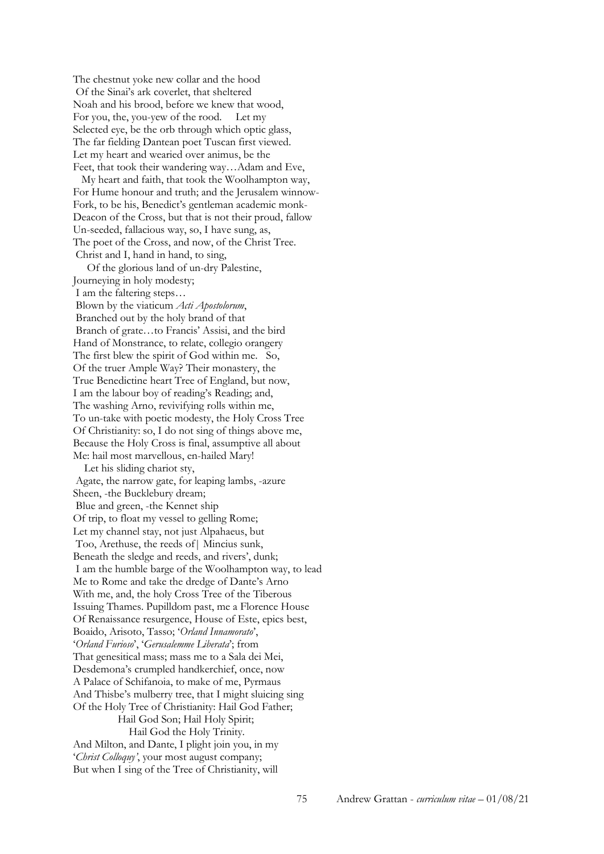The chestnut yoke new collar and the hood Of the Sinai's ark coverlet, that sheltered Noah and his brood, before we knew that wood, For you, the, you-yew of the rood. Let my Selected eye, be the orb through which optic glass, The far fielding Dantean poet Tuscan first viewed. Let my heart and wearied over animus, be the Feet, that took their wandering way…Adam and Eve,

 My heart and faith, that took the Woolhampton way, For Hume honour and truth; and the Jerusalem winnow-Fork, to be his, Benedict's gentleman academic monk-Deacon of the Cross, but that is not their proud, fallow Un-seeded, fallacious way, so, I have sung, as, The poet of the Cross, and now, of the Christ Tree. Christ and I, hand in hand, to sing,

 Of the glorious land of un-dry Palestine, Journeying in holy modesty;

I am the faltering steps…

Blown by the viaticum *Acti Apostolorum*, Branched out by the holy brand of that Branch of grate…to Francis' Assisi, and the bird Hand of Monstrance, to relate, collegio orangery The first blew the spirit of God within me. So, Of the truer Ample Way? Their monastery, the True Benedictine heart Tree of England, but now, I am the labour boy of reading's Reading; and, The washing Arno, revivifying rolls within me, To un-take with poetic modesty, the Holy Cross Tree Of Christianity: so, I do not sing of things above me, Because the Holy Cross is final, assumptive all about Me: hail most marvellous, en-hailed Mary!

 Let his sliding chariot sty, Agate, the narrow gate, for leaping lambs, -azure Sheen, -the Bucklebury dream; Blue and green, -the Kennet ship Of trip, to float my vessel to gelling Rome; Let my channel stay, not just Alpahaeus, but Too, Arethuse, the reeds of| Mincius sunk, Beneath the sledge and reeds, and rivers', dunk; I am the humble barge of the Woolhampton way, to lead Me to Rome and take the dredge of Dante's Arno With me, and, the holy Cross Tree of the Tiberous Issuing Thames. Pupilldom past, me a Florence House Of Renaissance resurgence, House of Este, epics best, Boaido, Arisoto, Tasso; '*Orland Innamorato*', '*Orland Furioso*', '*Gerusalemme Liberata*'; from That genesitical mass; mass me to a Sala dei Mei, Desdemona's crumpled handkerchief, once, now A Palace of Schifanoia, to make of me, Pyrmaus And Thisbe's mulberry tree, that I might sluicing sing Of the Holy Tree of Christianity: Hail God Father; Hail God Son; Hail Holy Spirit; Hail God the Holy Trinity. And Milton, and Dante, I plight join you, in my '*Christ Colloquy'*, your most august company; But when I sing of the Tree of Christianity, will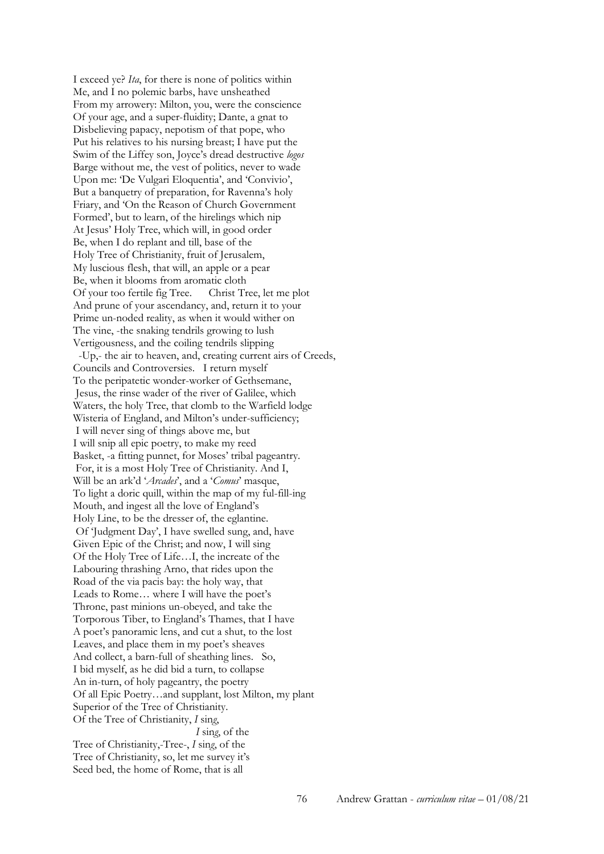I exceed ye? *Ita*, for there is none of politics within Me, and I no polemic barbs, have unsheathed From my arrowery: Milton, you, were the conscience Of your age, and a super-fluidity; Dante, a gnat to Disbelieving papacy, nepotism of that pope, who Put his relatives to his nursing breast; I have put the Swim of the Liffey son, Joyce's dread destructive *logos* Barge without me, the vest of politics, never to wade Upon me: 'De Vulgari Eloquentia', and 'Convivio', But a banquetry of preparation, for Ravenna's holy Friary, and 'On the Reason of Church Government Formed', but to learn, of the hirelings which nip At Jesus' Holy Tree, which will, in good order Be, when I do replant and till, base of the Holy Tree of Christianity, fruit of Jerusalem, My luscious flesh, that will, an apple or a pear Be, when it blooms from aromatic cloth Of your too fertile fig Tree. Christ Tree, let me plot And prune of your ascendancy, and, return it to your Prime un-noded reality, as when it would wither on The vine, -the snaking tendrils growing to lush Vertigousness, and the coiling tendrils slipping -Up,- the air to heaven, and, creating current airs of Creeds, Councils and Controversies. I return myself To the peripatetic wonder-worker of Gethsemane, Jesus, the rinse wader of the river of Galilee, which Waters, the holy Tree, that clomb to the Warfield lodge Wisteria of England, and Milton's under-sufficiency; I will never sing of things above me, but I will snip all epic poetry, to make my reed Basket, -a fitting punnet, for Moses' tribal pageantry. For, it is a most Holy Tree of Christianity. And I, Will be an ark'd '*Arcades*', and a '*Comus*' masque, To light a doric quill, within the map of my ful-fill-ing Mouth, and ingest all the love of England's Holy Line, to be the dresser of, the eglantine. Of 'Judgment Day', I have swelled sung, and, have Given Epic of the Christ; and now, I will sing Of the Holy Tree of Life…I, the increate of the Labouring thrashing Arno, that rides upon the Road of the via pacis bay: the holy way, that Leads to Rome… where I will have the poet's Throne, past minions un-obeyed, and take the Torporous Tiber, to England's Thames, that I have A poet's panoramic lens, and cut a shut, to the lost Leaves, and place them in my poet's sheaves And collect, a barn-full of sheathing lines. So, I bid myself, as he did bid a turn, to collapse An in-turn, of holy pageantry, the poetry Of all Epic Poetry…and supplant, lost Milton, my plant Superior of the Tree of Christianity. Of the Tree of Christianity, *I* sin*g*, *I* sin*g*, of the Tree of Christianity,-Tree-, *I* sin*g*, of the Tree of Christianity, so, let me survey it's Seed bed, the home of Rome, that is all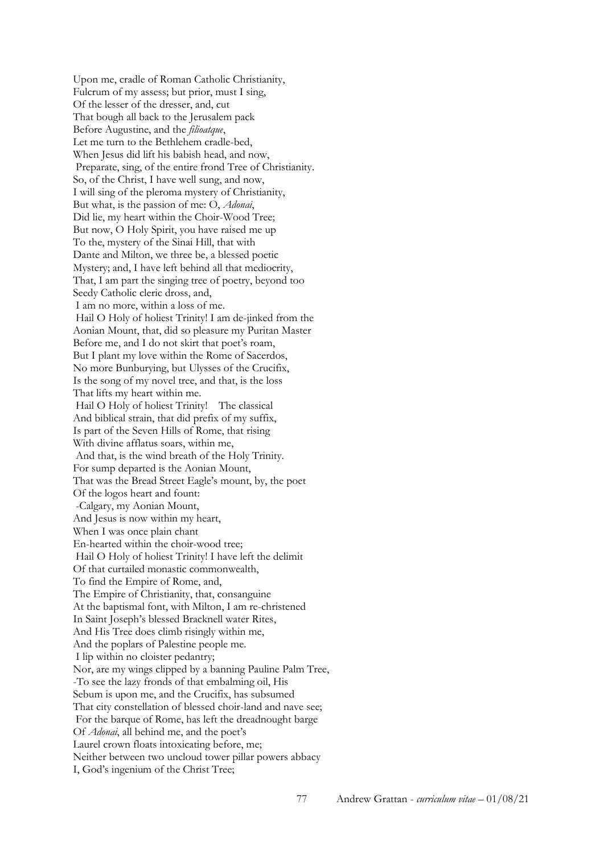Upon me, cradle of Roman Catholic Christianity, Fulcrum of my assess; but prior, must I sing, Of the lesser of the dresser, and, cut That bough all back to the Jerusalem pack Before Augustine, and the *filioatque*, Let me turn to the Bethlehem cradle-bed, When Jesus did lift his babish head, and now, Preparate, sing, of the entire frond Tree of Christianity. So, of the Christ, I have well sung, and now, I will sing of the pleroma mystery of Christianity, But what, is the passion of me: O, *Adonai*, Did lie, my heart within the Choir-Wood Tree; But now, O Holy Spirit, you have raised me up To the, mystery of the Sinai Hill, that with Dante and Milton, we three be, a blessed poetic Mystery; and, I have left behind all that mediocrity, That, I am part the singing tree of poetry, beyond too Seedy Catholic cleric dross, and, I am no more, within a loss of me. Hail O Holy of holiest Trinity! I am de-jinked from the Aonian Mount, that, did so pleasure my Puritan Master Before me, and I do not skirt that poet's roam, But I plant my love within the Rome of Sacerdos, No more Bunburying, but Ulysses of the Crucifix, Is the song of my novel tree, and that, is the loss That lifts my heart within me. Hail O Holy of holiest Trinity! The classical And biblical strain, that did prefix of my suffix, Is part of the Seven Hills of Rome, that rising With divine afflatus soars, within me, And that, is the wind breath of the Holy Trinity. For sump departed is the Aonian Mount, That was the Bread Street Eagle's mount, by, the poet Of the logos heart and fount: -Calgary, my Aonian Mount, And Jesus is now within my heart, When I was once plain chant En-hearted within the choir-wood tree; Hail O Holy of holiest Trinity! I have left the delimit Of that curtailed monastic commonwealth, To find the Empire of Rome, and, The Empire of Christianity, that, consanguine At the baptismal font, with Milton, I am re-christened In Saint Joseph's blessed Bracknell water Rites, And His Tree does climb risingly within me, And the poplars of Palestine people me. I lip within no cloister pedantry; Nor, are my wings clipped by a banning Pauline Palm Tree, -To see the lazy fronds of that embalming oil, His Sebum is upon me, and the Crucifix, has subsumed That city constellation of blessed choir-land and nave see; For the barque of Rome, has left the dreadnought barge Of *Adonai*, all behind me, and the poet's Laurel crown floats intoxicating before, me; Neither between two uncloud tower pillar powers abbacy I, God's ingenium of the Christ Tree;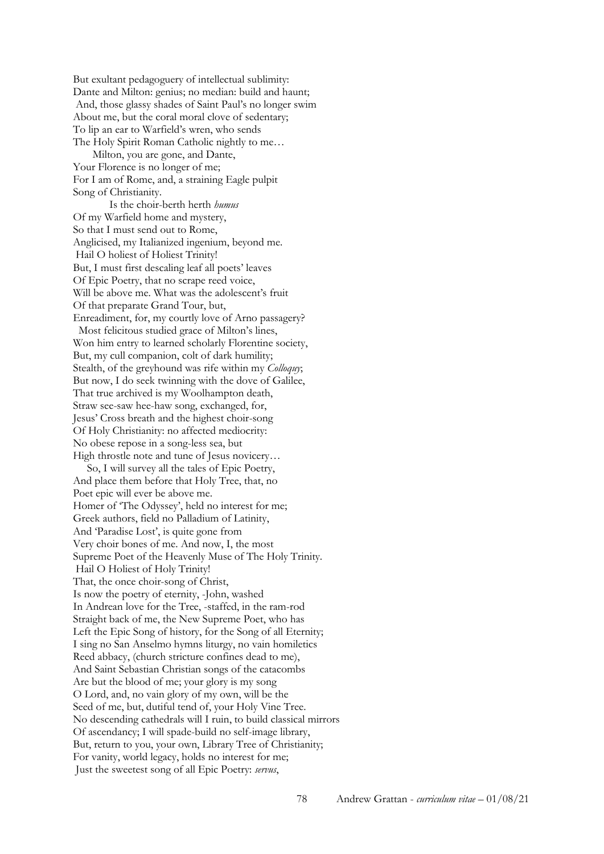But exultant pedagoguery of intellectual sublimity: Dante and Milton: genius; no median: build and haunt; And, those glassy shades of Saint Paul's no longer swim About me, but the coral moral clove of sedentary; To lip an ear to Warfield's wren, who sends The Holy Spirit Roman Catholic nightly to me…

 Milton, you are gone, and Dante, Your Florence is no longer of me; For I am of Rome, and, a straining Eagle pulpit Song of Christianity.

 Is the choir-berth herth *humus* Of my Warfield home and mystery, So that I must send out to Rome, Anglicised, my Italianized ingenium, beyond me. Hail O holiest of Holiest Trinity! But, I must first descaling leaf all poets' leaves Of Epic Poetry, that no scrape reed voice, Will be above me. What was the adolescent's fruit Of that preparate Grand Tour, but, Enreadiment, for, my courtly love of Arno passagery? Most felicitous studied grace of Milton's lines, Won him entry to learned scholarly Florentine society, But, my cull companion, colt of dark humility; Stealth, of the greyhound was rife within my *Colloquy*; But now, I do seek twinning with the dove of Galilee, That true archived is my Woolhampton death, Straw see-saw hee-haw song, exchanged, for, Jesus' Cross breath and the highest choir-song Of Holy Christianity: no affected mediocrity: No obese repose in a song-less sea, but High throstle note and tune of Jesus novicery…

 So, I will survey all the tales of Epic Poetry, And place them before that Holy Tree, that, no Poet epic will ever be above me. Homer of 'The Odyssey', held no interest for me; Greek authors, field no Palladium of Latinity, And 'Paradise Lost', is quite gone from Very choir bones of me. And now, I, the most Supreme Poet of the Heavenly Muse of The Holy Trinity. Hail O Holiest of Holy Trinity! That, the once choir-song of Christ, Is now the poetry of eternity, -John, washed In Andrean love for the Tree, -staffed, in the ram-rod Straight back of me, the New Supreme Poet, who has Left the Epic Song of history, for the Song of all Eternity; I sing no San Anselmo hymns liturgy, no vain homiletics Reed abbacy, (church stricture confines dead to me), And Saint Sebastian Christian songs of the catacombs Are but the blood of me; your glory is my song O Lord, and, no vain glory of my own, will be the Seed of me, but, dutiful tend of, your Holy Vine Tree. No descending cathedrals will I ruin, to build classical mirrors Of ascendancy; I will spade-build no self-image library, But, return to you, your own, Library Tree of Christianity; For vanity, world legacy, holds no interest for me; Just the sweetest song of all Epic Poetry: *servus*,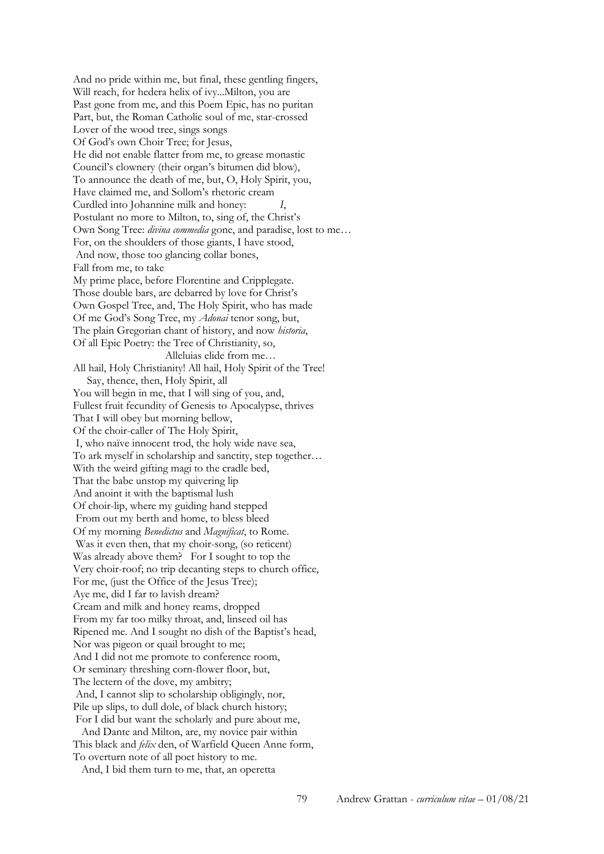And no pride within me, but final, these gentling fingers, Will reach, for hedera helix of ivy...Milton, you are Past gone from me, and this Poem Epic, has no puritan Part, but, the Roman Catholic soul of me, star-crossed Lover of the wood tree, sings songs Of God's own Choir Tree; for Jesus, He did not enable flatter from me, to grease monastic Council's clownery (their organ's bitumen did blow), To announce the death of me, but, O, Holy Spirit, you, Have claimed me, and Sollom's rhetoric cream Curdled into Johannine milk and honey: *I*, Postulant no more to Milton, to, sing of, the Christ's Own Song Tree: *divina commedia* gone, and paradise, lost to me… For, on the shoulders of those giants, I have stood, And now, those too glancing collar bones, Fall from me, to take My prime place, before Florentine and Cripplegate. Those double bars, are debarred by love for Christ's Own Gospel Tree, and, The Holy Spirit, who has made Of me God's Song Tree, my *Adonai* tenor song, but, The plain Gregorian chant of history, and now *historia*, Of all Epic Poetry: the Tree of Christianity, so, Alleluias elide from me… All hail, Holy Christianity! All hail, Holy Spirit of the Tree! Say, thence, then, Holy Spirit, all You will begin in me, that I will sing of you, and, Fullest fruit fecundity of Genesis to Apocalypse, thrives That I will obey but morning bellow, Of the choir-caller of The Holy Spirit, I, who naïve innocent trod, the holy wide nave sea, To ark myself in scholarship and sanctity, step together… With the weird gifting magi to the cradle bed, That the babe unstop my quivering lip And anoint it with the baptismal lush Of choir-lip, where my guiding hand stepped From out my berth and home, to bless bleed Of my morning *Benedictus* and *Magnificat*, to Rome. Was it even then, that my choir-song, (so reticent) Was already above them? For I sought to top the Very choir-roof; no trip decanting steps to church office, For me, (just the Office of the Jesus Tree); Aye me, did I far to lavish dream? Cream and milk and honey reams, dropped From my far too milky throat, and, linseed oil has Ripened me. And I sought no dish of the Baptist's head, Nor was pigeon or quail brought to me; And I did not me promote to conference room, Or seminary threshing corn-flower floor, but, The lectern of the dove, my ambitry; And, I cannot slip to scholarship obligingly, nor, Pile up slips, to dull dole, of black church history; For I did but want the scholarly and pure about me, And Dante and Milton, are, my novice pair within This black and *felix* den, of Warfield Queen Anne form, To overturn note of all poet history to me.

And, I bid them turn to me, that, an operetta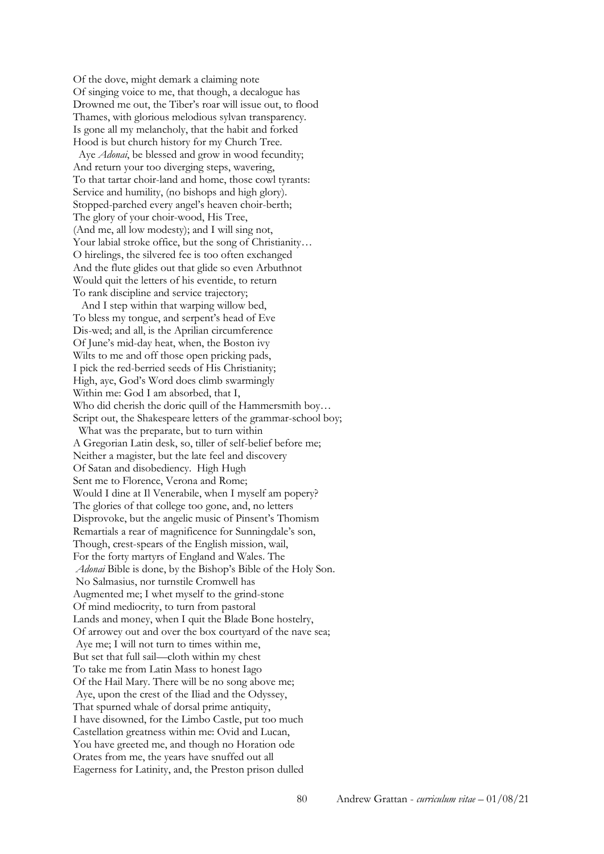Of the dove, might demark a claiming note Of singing voice to me, that though, a decalogue has Drowned me out, the Tiber's roar will issue out, to flood Thames, with glorious melodious sylvan transparency. Is gone all my melancholy, that the habit and forked Hood is but church history for my Church Tree.

 Aye *Adonai*, be blessed and grow in wood fecundity; And return your too diverging steps, wavering, To that tartar choir-land and home, those cowl tyrants: Service and humility, (no bishops and high glory). Stopped-parched every angel's heaven choir-berth; The glory of your choir-wood, His Tree, (And me, all low modesty); and I will sing not, Your labial stroke office, but the song of Christianity... O hirelings, the silvered fee is too often exchanged And the flute glides out that glide so even Arbuthnot Would quit the letters of his eventide, to return To rank discipline and service trajectory;

 And I step within that warping willow bed, To bless my tongue, and serpent's head of Eve Dis-wed; and all, is the Aprilian circumference Of June's mid-day heat, when, the Boston ivy Wilts to me and off those open pricking pads, I pick the red-berried seeds of His Christianity; High, aye, God's Word does climb swarmingly Within me: God I am absorbed, that I, Who did cherish the doric quill of the Hammersmith boy… Script out, the Shakespeare letters of the grammar-school boy; What was the preparate, but to turn within A Gregorian Latin desk, so, tiller of self-belief before me; Neither a magister, but the late feel and discovery Of Satan and disobediency. High Hugh Sent me to Florence, Verona and Rome; Would I dine at Il Venerabile, when I myself am popery? The glories of that college too gone, and, no letters Disprovoke, but the angelic music of Pinsent's Thomism Remartials a rear of magnificence for Sunningdale's son, Though, crest-spears of the English mission, wail, For the forty martyrs of England and Wales. The *Adonai* Bible is done, by the Bishop's Bible of the Holy Son. No Salmasius, nor turnstile Cromwell has Augmented me; I whet myself to the grind-stone Of mind mediocrity, to turn from pastoral Lands and money, when I quit the Blade Bone hostelry, Of arrowey out and over the box courtyard of the nave sea; Aye me; I will not turn to times within me, But set that full sail—cloth within my chest To take me from Latin Mass to honest Iago Of the Hail Mary. There will be no song above me; Aye, upon the crest of the Iliad and the Odyssey, That spurned whale of dorsal prime antiquity, I have disowned, for the Limbo Castle, put too much Castellation greatness within me: Ovid and Lucan, You have greeted me, and though no Horation ode Orates from me, the years have snuffed out all Eagerness for Latinity, and, the Preston prison dulled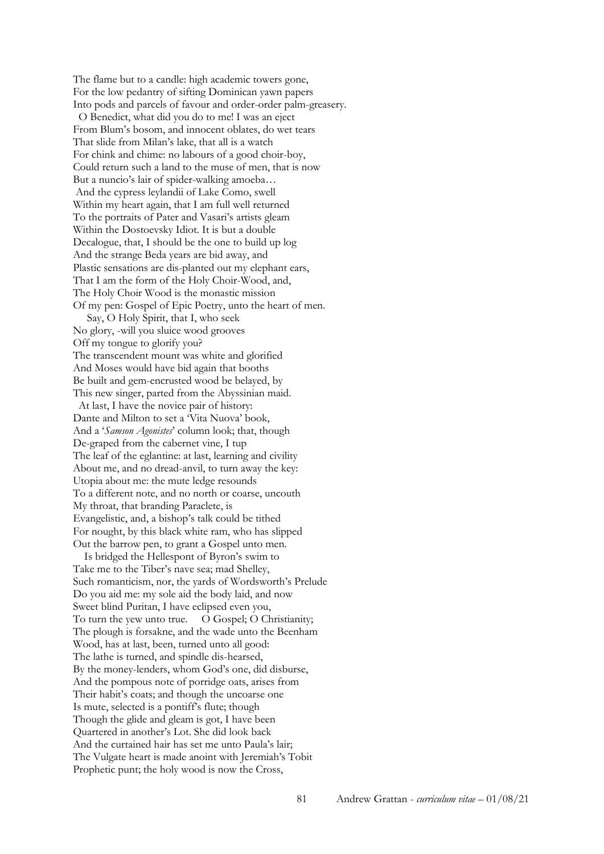The flame but to a candle: high academic towers gone, For the low pedantry of sifting Dominican yawn papers Into pods and parcels of favour and order-order palm-greasery. O Benedict, what did you do to me! I was an eject From Blum's bosom, and innocent oblates, do wet tears That slide from Milan's lake, that all is a watch For chink and chime: no labours of a good choir-boy, Could return such a land to the muse of men, that is now But a nuncio's lair of spider-walking amoeba… And the cypress leylandii of Lake Como, swell Within my heart again, that I am full well returned To the portraits of Pater and Vasari's artists gleam Within the Dostoevsky Idiot. It is but a double Decalogue, that, I should be the one to build up log And the strange Beda years are bid away, and Plastic sensations are dis-planted out my elephant ears, That I am the form of the Holy Choir-Wood, and, The Holy Choir Wood is the monastic mission Of my pen: Gospel of Epic Poetry, unto the heart of men.

 Say, O Holy Spirit, that I, who seek No glory, -will you sluice wood grooves Off my tongue to glorify you? The transcendent mount was white and glorified And Moses would have bid again that booths Be built and gem-encrusted wood be belayed, by This new singer, parted from the Abyssinian maid.

 At last, I have the novice pair of history: Dante and Milton to set a 'Vita Nuova' book, And a '*Samson Agonistes*' column look; that, though De-graped from the cabernet vine, I tup The leaf of the eglantine: at last, learning and civility About me, and no dread-anvil, to turn away the key: Utopia about me: the mute ledge resounds To a different note, and no north or coarse, uncouth My throat, that branding Paraclete, is Evangelistic, and, a bishop's talk could be tithed For nought, by this black white ram, who has slipped Out the barrow pen, to grant a Gospel unto men.

 Is bridged the Hellespont of Byron's swim to Take me to the Tiber's nave sea; mad Shelley, Such romanticism, nor, the yards of Wordsworth's Prelude Do you aid me: my sole aid the body laid, and now Sweet blind Puritan, I have eclipsed even you, To turn the yew unto true. O Gospel; O Christianity; The plough is forsakne, and the wade unto the Beenham Wood, has at last, been, turned unto all good: The lathe is turned, and spindle dis-hearsed, By the money-lenders, whom God's one, did disburse, And the pompous note of porridge oats, arises from Their habit's coats; and though the uncoarse one Is mute, selected is a pontiff's flute; though Though the glide and gleam is got, I have been Quartered in another's Lot. She did look back And the curtained hair has set me unto Paula's lair; The Vulgate heart is made anoint with Jeremiah's Tobit Prophetic punt; the holy wood is now the Cross,